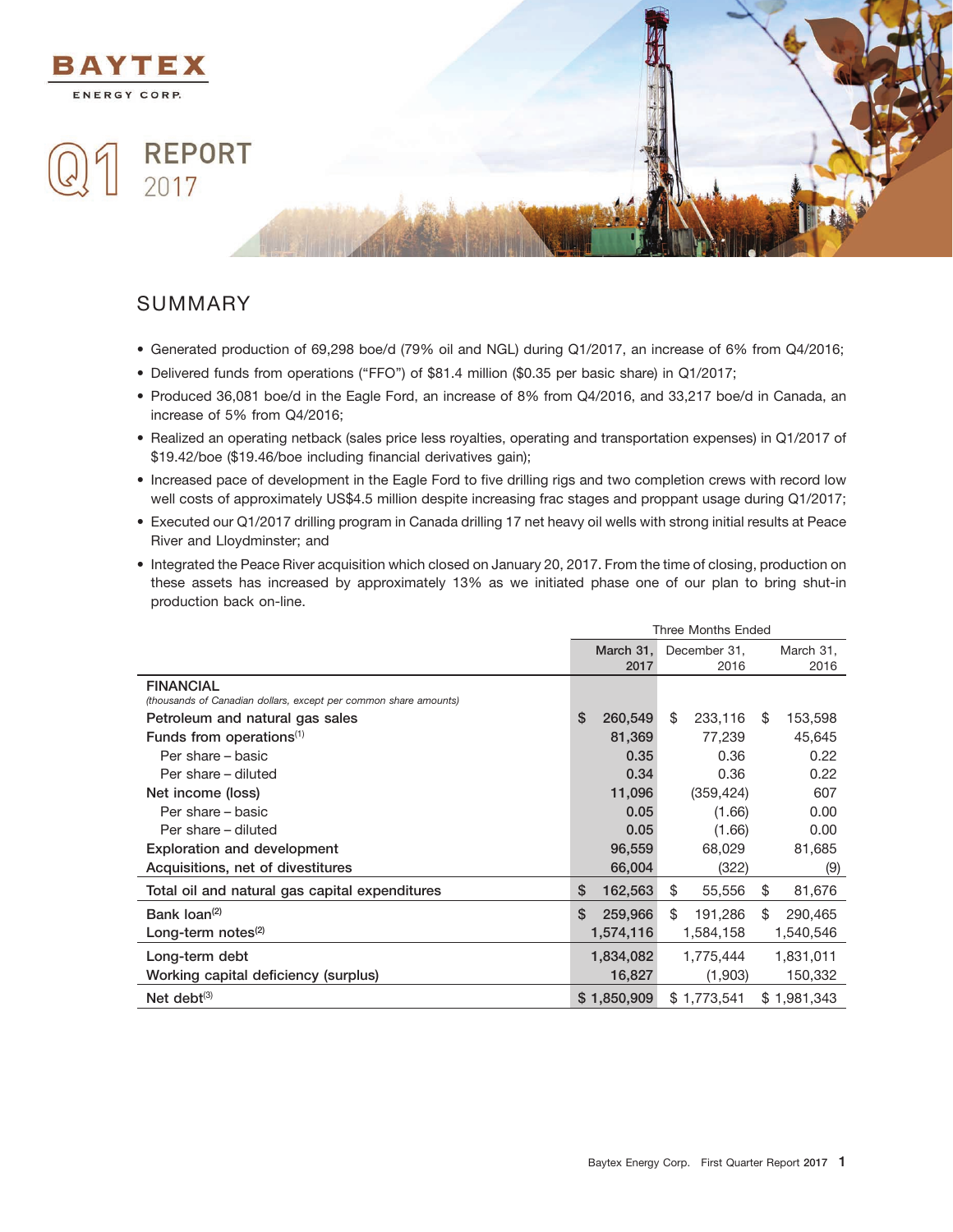

## SUMMARY

- Generated production of 69,298 boe/d (79% oil and NGL) during Q1/2017, an increase of 6% from Q4/2016;
- Delivered funds from operations (''FFO'') of \$81.4 million (\$0.35 per basic share) in Q1/2017;
- Produced 36,081 boe/d in the Eagle Ford, an increase of 8% from Q4/2016, and 33,217 boe/d in Canada, an increase of 5% from Q4/2016;
- Realized an operating netback (sales price less royalties, operating and transportation expenses) in Q1/2017 of \$19.42/boe (\$19.46/boe including financial derivatives gain);
- Increased pace of development in the Eagle Ford to five drilling rigs and two completion crews with record low well costs of approximately US\$4.5 million despite increasing frac stages and proppant usage during Q1/2017;
- Executed our Q1/2017 drilling program in Canada drilling 17 net heavy oil wells with strong initial results at Peace River and Lloydminster; and
- Integrated the Peace River acquisition which closed on January 20, 2017. From the time of closing, production on these assets has increased by approximately 13% as we initiated phase one of our plan to bring shut-in production back on-line.

|                                                                  | <b>Three Months Ended</b> |                                        |    |             |    |             |
|------------------------------------------------------------------|---------------------------|----------------------------------------|----|-------------|----|-------------|
|                                                                  |                           | March 31,<br>December 31,<br>March 31, |    |             |    |             |
|                                                                  |                           | 2017                                   |    | 2016        |    | 2016        |
| <b>FINANCIAL</b>                                                 |                           |                                        |    |             |    |             |
| (thousands of Canadian dollars, except per common share amounts) |                           |                                        |    |             |    |             |
| Petroleum and natural gas sales                                  | \$                        | 260,549                                | \$ | 233,116     | \$ | 153,598     |
| Funds from operations $(1)$                                      |                           | 81,369                                 |    | 77,239      |    | 45,645      |
| Per share – basic                                                |                           | 0.35                                   |    | 0.36        |    | 0.22        |
| Per share – diluted                                              |                           | 0.34                                   |    | 0.36        |    | 0.22        |
| Net income (loss)                                                |                           | 11,096                                 |    | (359, 424)  |    | 607         |
| Per share – basic                                                |                           | 0.05                                   |    | (1.66)      |    | 0.00        |
| Per share – diluted                                              |                           | 0.05                                   |    | (1.66)      |    | 0.00        |
| <b>Exploration and development</b>                               |                           | 96,559                                 |    | 68,029      |    | 81,685      |
| Acquisitions, net of divestitures                                |                           | 66,004                                 |    | (322)       |    | (9)         |
| Total oil and natural gas capital expenditures                   | \$                        | 162,563                                | \$ | 55,556      | \$ | 81,676      |
| Bank $\text{Ioan}^{(2)}$                                         | \$                        | 259,966                                | \$ | 191,286     | \$ | 290,465     |
| Long-term notes $(2)$                                            |                           | 1,574,116                              |    | 1,584,158   |    | 1,540,546   |
| Long-term debt                                                   |                           | 1,834,082                              |    | 1,775,444   |    | 1,831,011   |
| Working capital deficiency (surplus)                             |                           | 16,827                                 |    | (1,903)     |    | 150,332     |
| Net debt $(3)$                                                   |                           | \$1,850,909                            |    | \$1,773,541 |    | \$1,981,343 |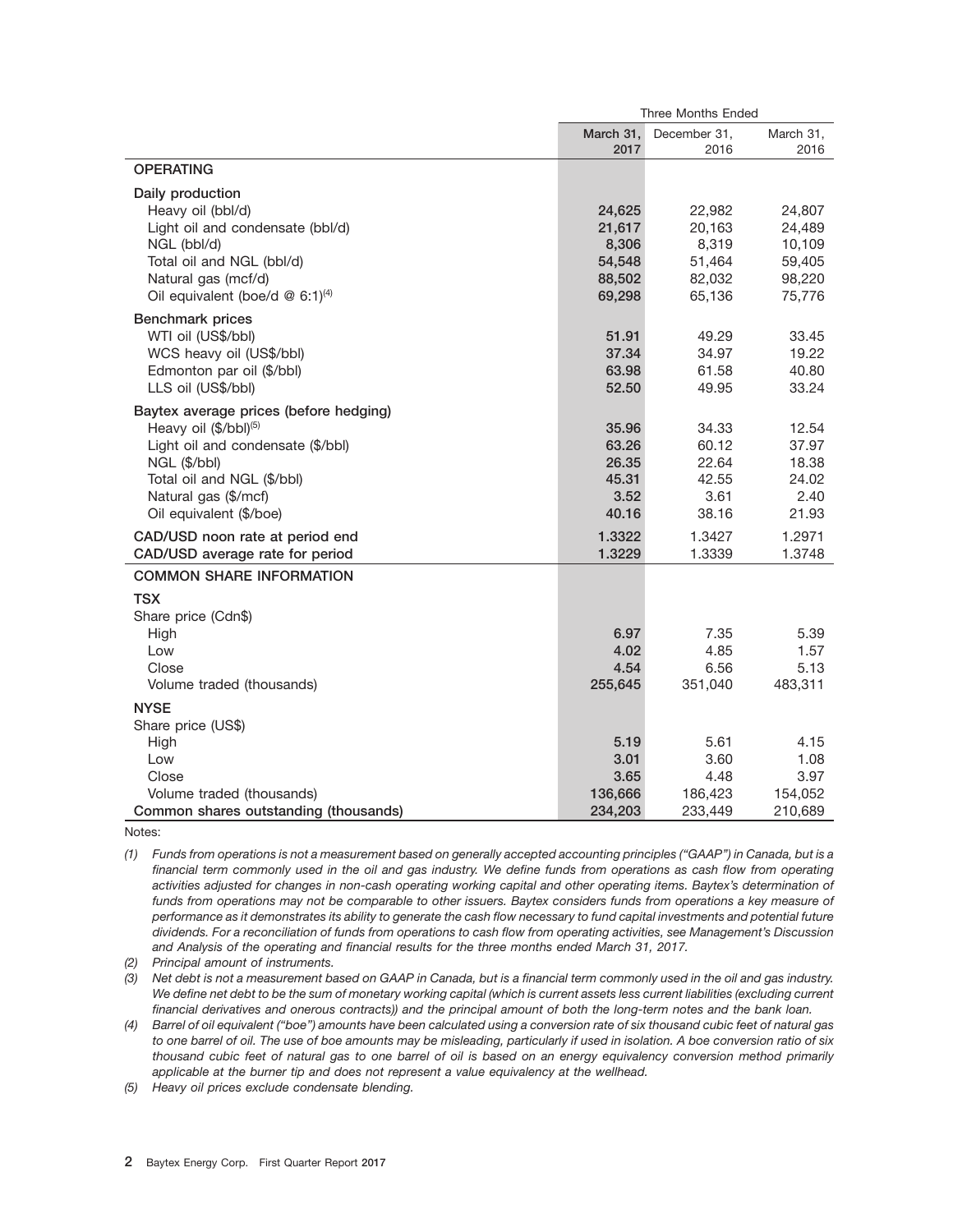|                                               | <b>Three Months Ended</b> |              |           |  |
|-----------------------------------------------|---------------------------|--------------|-----------|--|
|                                               | March 31.                 | December 31. | March 31, |  |
|                                               | 2017                      | 2016         | 2016      |  |
| <b>OPERATING</b>                              |                           |              |           |  |
| Daily production                              |                           |              |           |  |
| Heavy oil (bbl/d)                             | 24,625                    | 22,982       | 24,807    |  |
| Light oil and condensate (bbl/d)              | 21,617                    | 20,163       | 24,489    |  |
| NGL (bbl/d)                                   | 8,306                     | 8,319        | 10,109    |  |
| Total oil and NGL (bbl/d)                     | 54,548                    | 51,464       | 59,405    |  |
| Natural gas (mcf/d)                           | 88,502                    | 82,032       | 98,220    |  |
| Oil equivalent (boe/d $@$ 6:1) <sup>(4)</sup> | 69,298                    | 65,136       | 75,776    |  |
| <b>Benchmark prices</b>                       |                           |              |           |  |
| WTI oil (US\$/bbl)                            | 51.91                     | 49.29        | 33.45     |  |
| WCS heavy oil (US\$/bbl)                      | 37.34                     | 34.97        | 19.22     |  |
| Edmonton par oil (\$/bbl)                     | 63.98                     | 61.58        | 40.80     |  |
| LLS oil (US\$/bbl)                            | 52.50                     | 49.95        | 33.24     |  |
| Baytex average prices (before hedging)        |                           |              |           |  |
| Heavy oil (\$/bbl) <sup>(5)</sup>             | 35.96                     | 34.33        | 12.54     |  |
| Light oil and condensate (\$/bbl)             | 63.26                     | 60.12        | 37.97     |  |
| NGL (\$/bbl)                                  | 26.35                     | 22.64        | 18.38     |  |
| Total oil and NGL (\$/bbl)                    | 45.31                     | 42.55        | 24.02     |  |
| Natural gas (\$/mcf)                          | 3.52                      | 3.61         | 2.40      |  |
| Oil equivalent (\$/boe)                       | 40.16                     | 38.16        | 21.93     |  |
| CAD/USD noon rate at period end               | 1.3322                    | 1.3427       | 1.2971    |  |
| CAD/USD average rate for period               | 1.3229                    | 1.3339       | 1.3748    |  |
| <b>COMMON SHARE INFORMATION</b>               |                           |              |           |  |
| TSX                                           |                           |              |           |  |
| Share price (Cdn\$)                           |                           |              |           |  |
| High                                          | 6.97                      | 7.35         | 5.39      |  |
| Low                                           | 4.02                      | 4.85         | 1.57      |  |
| Close                                         | 4.54                      | 6.56         | 5.13      |  |
| Volume traded (thousands)                     | 255,645                   | 351,040      | 483,311   |  |
| <b>NYSE</b>                                   |                           |              |           |  |
| Share price (US\$)                            |                           |              |           |  |
| High                                          | 5.19                      | 5.61         | 4.15      |  |
| Low                                           | 3.01                      | 3.60         | 1.08      |  |
| Close                                         | 3.65                      | 4.48         | 3.97      |  |
| Volume traded (thousands)                     | 136,666                   | 186,423      | 154,052   |  |
| Common shares outstanding (thousands)         | 234,203                   | 233.449      | 210,689   |  |

Notes:

*(1) Funds from operations is not a measurement based on generally accepted accounting principles (''GAAP'') in Canada, but is a financial term commonly used in the oil and gas industry. We define funds from operations as cash flow from operating activities adjusted for changes in non-cash operating working capital and other operating items. Baytex's determination of funds from operations may not be comparable to other issuers. Baytex considers funds from operations a key measure of performance as it demonstrates its ability to generate the cash flow necessary to fund capital investments and potential future dividends. For a reconciliation of funds from operations to cash flow from operating activities, see Management's Discussion and Analysis of the operating and financial results for the three months ended March 31, 2017.*

*(2) Principal amount of instruments.*

*(3) Net debt is not a measurement based on GAAP in Canada, but is a financial term commonly used in the oil and gas industry. We define net debt to be the sum of monetary working capital (which is current assets less current liabilities (excluding current financial derivatives and onerous contracts)) and the principal amount of both the long-term notes and the bank loan.*

*(4) Barrel of oil equivalent (''boe'') amounts have been calculated using a conversion rate of six thousand cubic feet of natural gas to one barrel of oil. The use of boe amounts may be misleading, particularly if used in isolation. A boe conversion ratio of six thousand cubic feet of natural gas to one barrel of oil is based on an energy equivalency conversion method primarily applicable at the burner tip and does not represent a value equivalency at the wellhead.*

*(5) Heavy oil prices exclude condensate blending.*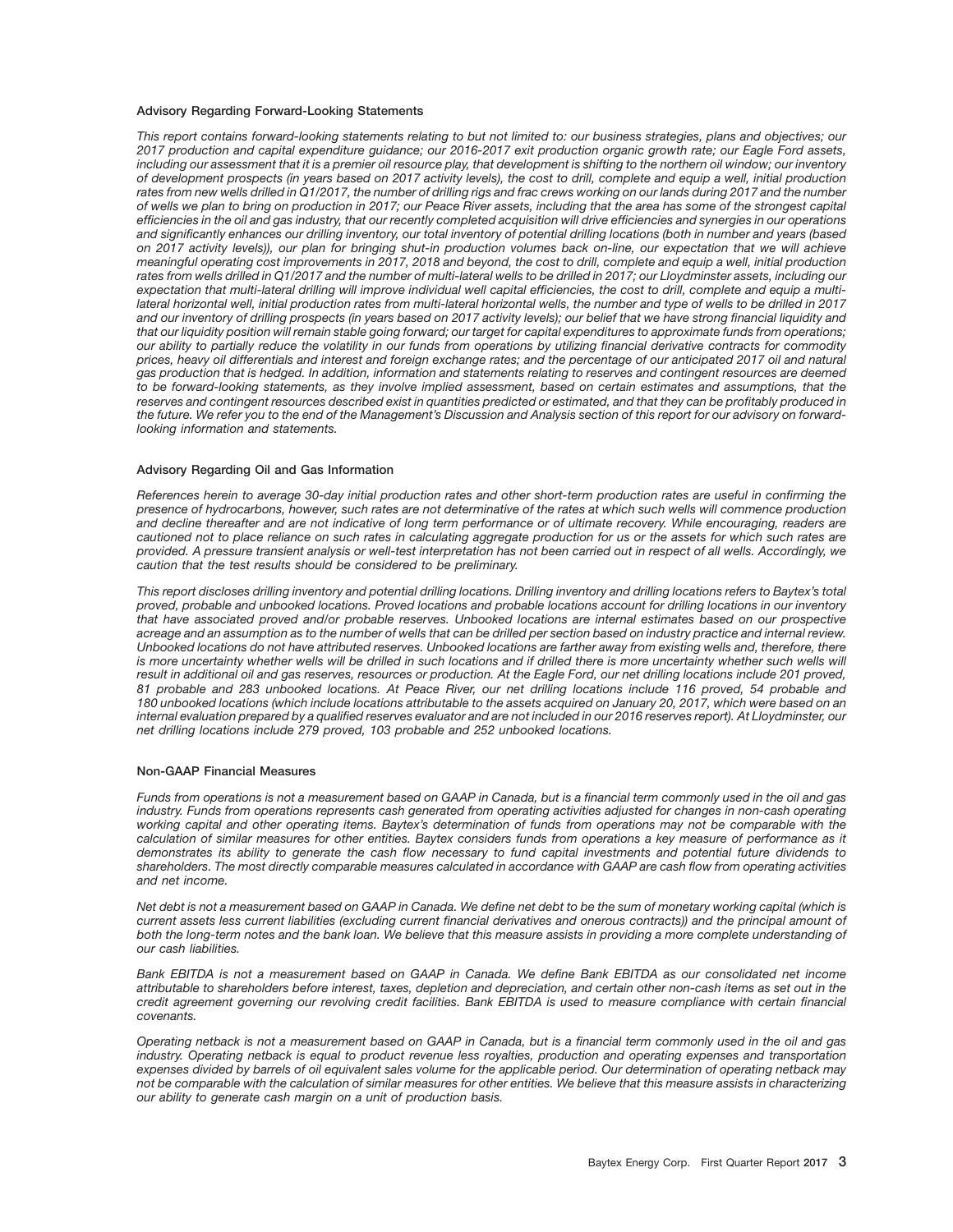#### **Advisory Regarding Forward-Looking Statements**

*This report contains forward-looking statements relating to but not limited to: our business strategies, plans and objectives; our 2017 production and capital expenditure guidance; our 2016-2017 exit production organic growth rate; our Eagle Ford assets, including our assessment that it is a premier oil resource play, that development is shifting to the northern oil window; our inventory of development prospects (in years based on 2017 activity levels), the cost to drill, complete and equip a well, initial production rates from new wells drilled in Q1/2017, the number of drilling rigs and frac crews working on our lands during 2017 and the number of wells we plan to bring on production in 2017; our Peace River assets, including that the area has some of the strongest capital efficiencies in the oil and gas industry, that our recently completed acquisition will drive efficiencies and synergies in our operations and significantly enhances our drilling inventory, our total inventory of potential drilling locations (both in number and years (based on 2017 activity levels)), our plan for bringing shut-in production volumes back on-line, our expectation that we will achieve meaningful operating cost improvements in 2017, 2018 and beyond, the cost to drill, complete and equip a well, initial production rates from wells drilled in Q1/2017 and the number of multi-lateral wells to be drilled in 2017; our Lloydminster assets, including our expectation that multi-lateral drilling will improve individual well capital efficiencies, the cost to drill, complete and equip a multilateral horizontal well, initial production rates from multi-lateral horizontal wells, the number and type of wells to be drilled in 2017 and our inventory of drilling prospects (in years based on 2017 activity levels); our belief that we have strong financial liquidity and that our liquidity position will remain stable going forward; our target for capital expenditures to approximate funds from operations; our ability to partially reduce the volatility in our funds from operations by utilizing financial derivative contracts for commodity prices, heavy oil differentials and interest and foreign exchange rates; and the percentage of our anticipated 2017 oil and natural gas production that is hedged. In addition, information and statements relating to reserves and contingent resources are deemed to be forward-looking statements, as they involve implied assessment, based on certain estimates and assumptions, that the reserves and contingent resources described exist in quantities predicted or estimated, and that they can be profitably produced in the future. We refer you to the end of the Management's Discussion and Analysis section of this report for our advisory on forwardlooking information and statements.*

#### **Advisory Regarding Oil and Gas Information**

*References herein to average 30-day initial production rates and other short-term production rates are useful in confirming the presence of hydrocarbons, however, such rates are not determinative of the rates at which such wells will commence production and decline thereafter and are not indicative of long term performance or of ultimate recovery. While encouraging, readers are cautioned not to place reliance on such rates in calculating aggregate production for us or the assets for which such rates are provided. A pressure transient analysis or well-test interpretation has not been carried out in respect of all wells. Accordingly, we caution that the test results should be considered to be preliminary.*

*This report discloses drilling inventory and potential drilling locations. Drilling inventory and drilling locations refers to Baytex's total proved, probable and unbooked locations. Proved locations and probable locations account for drilling locations in our inventory that have associated proved and/or probable reserves. Unbooked locations are internal estimates based on our prospective acreage and an assumption as to the number of wells that can be drilled per section based on industry practice and internal review. Unbooked locations do not have attributed reserves. Unbooked locations are farther away from existing wells and, therefore, there* is more uncertainty whether wells will be drilled in such locations and if drilled there is more uncertainty whether such wells will *result in additional oil and gas reserves, resources or production. At the Eagle Ford, our net drilling locations include 201 proved, 81 probable and 283 unbooked locations. At Peace River, our net drilling locations include 116 proved, 54 probable and 180 unbooked locations (which include locations attributable to the assets acquired on January 20, 2017, which were based on an internal evaluation prepared by a qualified reserves evaluator and are not included in our 2016 reserves report). At Lloydminster, our net drilling locations include 279 proved, 103 probable and 252 unbooked locations.*

#### **Non-GAAP Financial Measures**

*Funds from operations is not a measurement based on GAAP in Canada, but is a financial term commonly used in the oil and gas industry. Funds from operations represents cash generated from operating activities adjusted for changes in non-cash operating working capital and other operating items. Baytex's determination of funds from operations may not be comparable with the calculation of similar measures for other entities. Baytex considers funds from operations a key measure of performance as it demonstrates its ability to generate the cash flow necessary to fund capital investments and potential future dividends to shareholders. The most directly comparable measures calculated in accordance with GAAP are cash flow from operating activities and net income.*

*Net debt is not a measurement based on GAAP in Canada. We define net debt to be the sum of monetary working capital (which is current assets less current liabilities (excluding current financial derivatives and onerous contracts)) and the principal amount of both the long-term notes and the bank loan. We believe that this measure assists in providing a more complete understanding of our cash liabilities.*

*Bank EBITDA is not a measurement based on GAAP in Canada. We define Bank EBITDA as our consolidated net income attributable to shareholders before interest, taxes, depletion and depreciation, and certain other non-cash items as set out in the credit agreement governing our revolving credit facilities. Bank EBITDA is used to measure compliance with certain financial covenants.*

*Operating netback is not a measurement based on GAAP in Canada, but is a financial term commonly used in the oil and gas industry. Operating netback is equal to product revenue less royalties, production and operating expenses and transportation expenses divided by barrels of oil equivalent sales volume for the applicable period. Our determination of operating netback may not be comparable with the calculation of similar measures for other entities. We believe that this measure assists in characterizing our ability to generate cash margin on a unit of production basis.*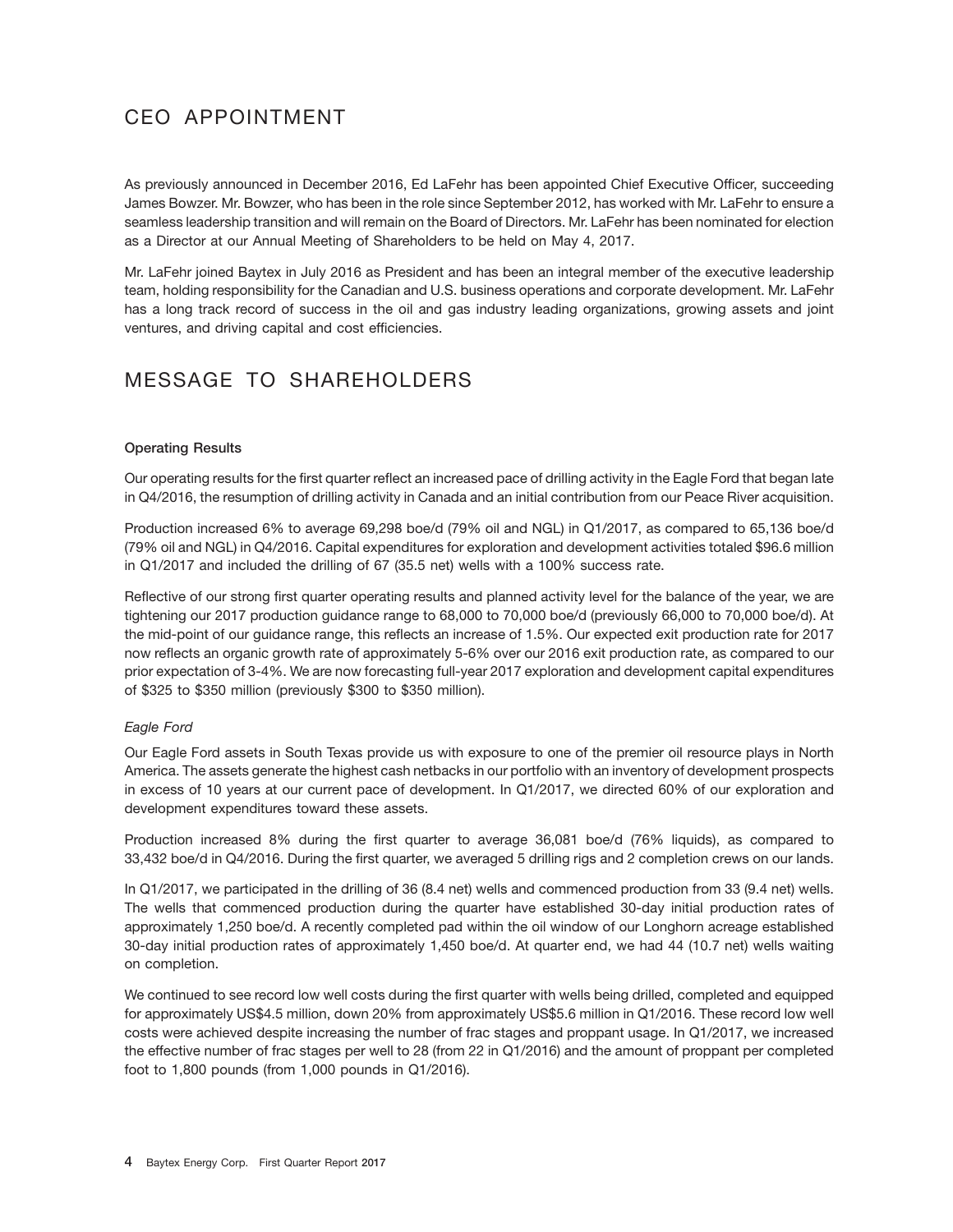# CEO APPOINTMENT

As previously announced in December 2016, Ed LaFehr has been appointed Chief Executive Officer, succeeding James Bowzer. Mr. Bowzer, who has been in the role since September 2012, has worked with Mr. LaFehr to ensure a seamless leadership transition and will remain on the Board of Directors. Mr. LaFehr has been nominated for election as a Director at our Annual Meeting of Shareholders to be held on May 4, 2017.

Mr. LaFehr joined Baytex in July 2016 as President and has been an integral member of the executive leadership team, holding responsibility for the Canadian and U.S. business operations and corporate development. Mr. LaFehr has a long track record of success in the oil and gas industry leading organizations, growing assets and joint ventures, and driving capital and cost efficiencies.

## MESSAGE TO SHAREHOLDERS

#### **Operating Results**

Our operating results for the first quarter reflect an increased pace of drilling activity in the Eagle Ford that began late in Q4/2016, the resumption of drilling activity in Canada and an initial contribution from our Peace River acquisition.

Production increased 6% to average 69,298 boe/d (79% oil and NGL) in Q1/2017, as compared to 65,136 boe/d (79% oil and NGL) in Q4/2016. Capital expenditures for exploration and development activities totaled \$96.6 million in Q1/2017 and included the drilling of 67 (35.5 net) wells with a 100% success rate.

Reflective of our strong first quarter operating results and planned activity level for the balance of the year, we are tightening our 2017 production guidance range to 68,000 to 70,000 boe/d (previously 66,000 to 70,000 boe/d). At the mid-point of our guidance range, this reflects an increase of 1.5%. Our expected exit production rate for 2017 now reflects an organic growth rate of approximately 5-6% over our 2016 exit production rate, as compared to our prior expectation of 3-4%. We are now forecasting full-year 2017 exploration and development capital expenditures of \$325 to \$350 million (previously \$300 to \$350 million).

#### *Eagle Ford*

Our Eagle Ford assets in South Texas provide us with exposure to one of the premier oil resource plays in North America. The assets generate the highest cash netbacks in our portfolio with an inventory of development prospects in excess of 10 years at our current pace of development. In Q1/2017, we directed 60% of our exploration and development expenditures toward these assets.

Production increased 8% during the first quarter to average 36,081 boe/d (76% liquids), as compared to 33,432 boe/d in Q4/2016. During the first quarter, we averaged 5 drilling rigs and 2 completion crews on our lands.

In Q1/2017, we participated in the drilling of 36 (8.4 net) wells and commenced production from 33 (9.4 net) wells. The wells that commenced production during the quarter have established 30-day initial production rates of approximately 1,250 boe/d. A recently completed pad within the oil window of our Longhorn acreage established 30-day initial production rates of approximately 1,450 boe/d. At quarter end, we had 44 (10.7 net) wells waiting on completion.

We continued to see record low well costs during the first quarter with wells being drilled, completed and equipped for approximately US\$4.5 million, down 20% from approximately US\$5.6 million in Q1/2016. These record low well costs were achieved despite increasing the number of frac stages and proppant usage. In Q1/2017, we increased the effective number of frac stages per well to 28 (from 22 in Q1/2016) and the amount of proppant per completed foot to 1,800 pounds (from 1,000 pounds in Q1/2016).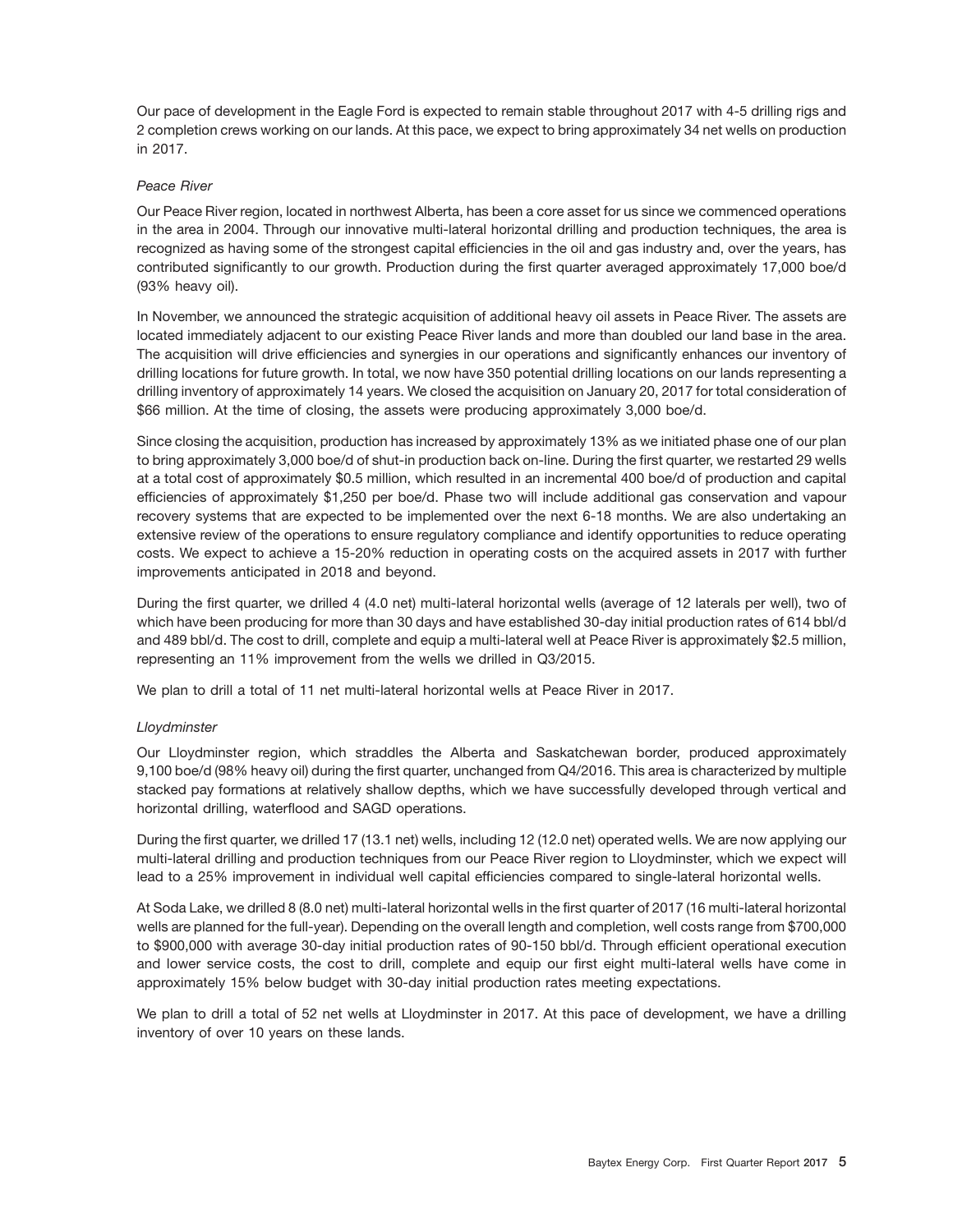Our pace of development in the Eagle Ford is expected to remain stable throughout 2017 with 4-5 drilling rigs and 2 completion crews working on our lands. At this pace, we expect to bring approximately 34 net wells on production in 2017.

#### *Peace River*

Our Peace River region, located in northwest Alberta, has been a core asset for us since we commenced operations in the area in 2004. Through our innovative multi-lateral horizontal drilling and production techniques, the area is recognized as having some of the strongest capital efficiencies in the oil and gas industry and, over the years, has contributed significantly to our growth. Production during the first quarter averaged approximately 17,000 boe/d (93% heavy oil).

In November, we announced the strategic acquisition of additional heavy oil assets in Peace River. The assets are located immediately adjacent to our existing Peace River lands and more than doubled our land base in the area. The acquisition will drive efficiencies and synergies in our operations and significantly enhances our inventory of drilling locations for future growth. In total, we now have 350 potential drilling locations on our lands representing a drilling inventory of approximately 14 years. We closed the acquisition on January 20, 2017 for total consideration of \$66 million. At the time of closing, the assets were producing approximately 3,000 boe/d.

Since closing the acquisition, production has increased by approximately 13% as we initiated phase one of our plan to bring approximately 3,000 boe/d of shut-in production back on-line. During the first quarter, we restarted 29 wells at a total cost of approximately \$0.5 million, which resulted in an incremental 400 boe/d of production and capital efficiencies of approximately \$1,250 per boe/d. Phase two will include additional gas conservation and vapour recovery systems that are expected to be implemented over the next 6-18 months. We are also undertaking an extensive review of the operations to ensure regulatory compliance and identify opportunities to reduce operating costs. We expect to achieve a 15-20% reduction in operating costs on the acquired assets in 2017 with further improvements anticipated in 2018 and beyond.

During the first quarter, we drilled 4 (4.0 net) multi-lateral horizontal wells (average of 12 laterals per well), two of which have been producing for more than 30 days and have established 30-day initial production rates of 614 bbl/d and 489 bbl/d. The cost to drill, complete and equip a multi-lateral well at Peace River is approximately \$2.5 million, representing an 11% improvement from the wells we drilled in Q3/2015.

We plan to drill a total of 11 net multi-lateral horizontal wells at Peace River in 2017.

### *Lloydminster*

Our Lloydminster region, which straddles the Alberta and Saskatchewan border, produced approximately 9,100 boe/d (98% heavy oil) during the first quarter, unchanged from Q4/2016. This area is characterized by multiple stacked pay formations at relatively shallow depths, which we have successfully developed through vertical and horizontal drilling, waterflood and SAGD operations.

During the first quarter, we drilled 17 (13.1 net) wells, including 12 (12.0 net) operated wells. We are now applying our multi-lateral drilling and production techniques from our Peace River region to Lloydminster, which we expect will lead to a 25% improvement in individual well capital efficiencies compared to single-lateral horizontal wells.

At Soda Lake, we drilled 8 (8.0 net) multi-lateral horizontal wells in the first quarter of 2017 (16 multi-lateral horizontal wells are planned for the full-year). Depending on the overall length and completion, well costs range from \$700,000 to \$900,000 with average 30-day initial production rates of 90-150 bbl/d. Through efficient operational execution and lower service costs, the cost to drill, complete and equip our first eight multi-lateral wells have come in approximately 15% below budget with 30-day initial production rates meeting expectations.

We plan to drill a total of 52 net wells at Lloydminster in 2017. At this pace of development, we have a drilling inventory of over 10 years on these lands.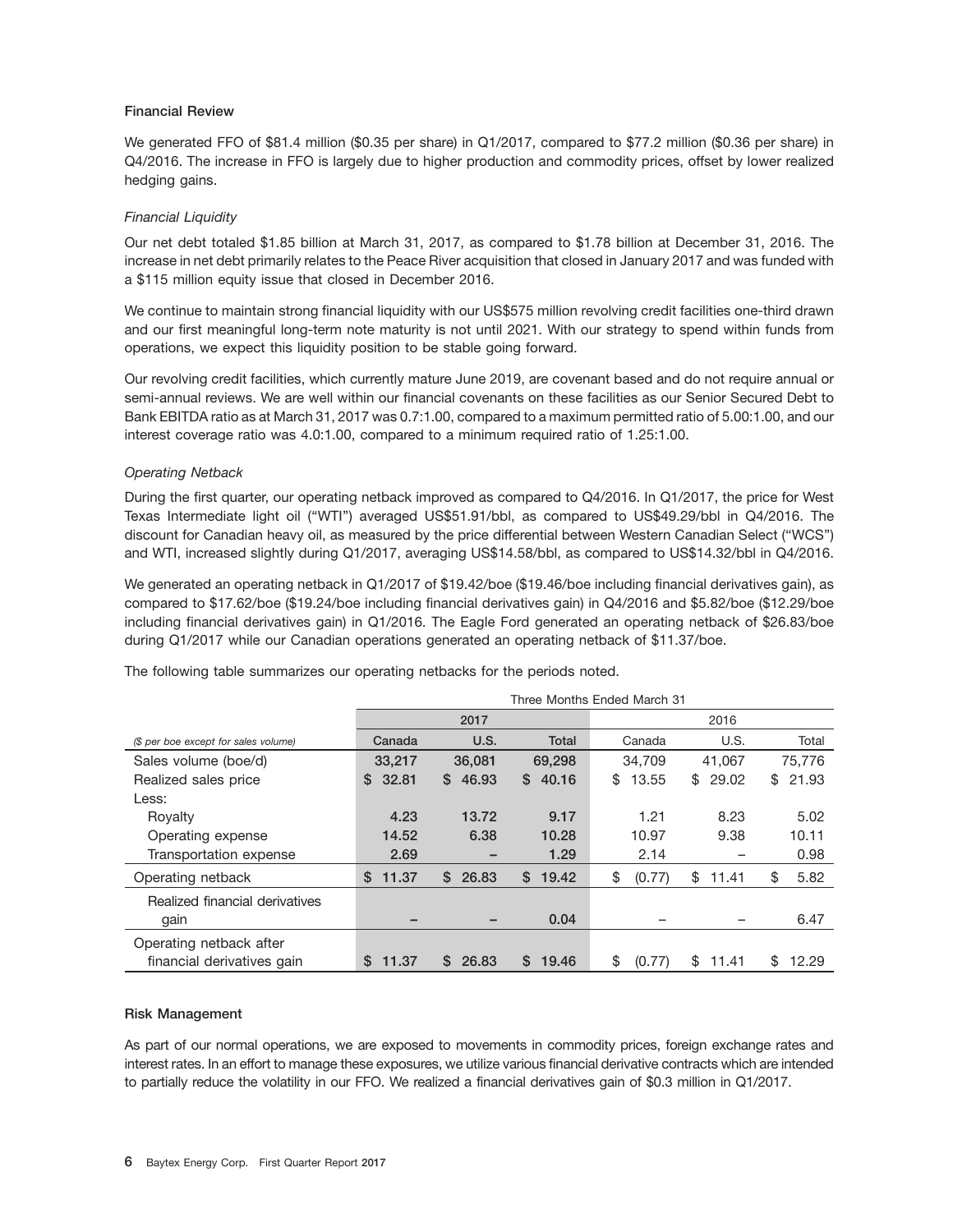#### **Financial Review**

We generated FFO of \$81.4 million (\$0.35 per share) in Q1/2017, compared to \$77.2 million (\$0.36 per share) in Q4/2016. The increase in FFO is largely due to higher production and commodity prices, offset by lower realized hedging gains.

#### *Financial Liquidity*

Our net debt totaled \$1.85 billion at March 31, 2017, as compared to \$1.78 billion at December 31, 2016. The increase in net debt primarily relates to the Peace River acquisition that closed in January 2017 and was funded with a \$115 million equity issue that closed in December 2016.

We continue to maintain strong financial liquidity with our US\$575 million revolving credit facilities one-third drawn and our first meaningful long-term note maturity is not until 2021. With our strategy to spend within funds from operations, we expect this liquidity position to be stable going forward.

Our revolving credit facilities, which currently mature June 2019, are covenant based and do not require annual or semi-annual reviews. We are well within our financial covenants on these facilities as our Senior Secured Debt to Bank EBITDA ratio as at March 31, 2017 was 0.7:1.00, compared to a maximum permitted ratio of 5.00:1.00, and our interest coverage ratio was 4.0:1.00, compared to a minimum required ratio of 1.25:1.00.

#### *Operating Netback*

During the first quarter, our operating netback improved as compared to Q4/2016. In Q1/2017, the price for West Texas Intermediate light oil (''WTI'') averaged US\$51.91/bbl, as compared to US\$49.29/bbl in Q4/2016. The discount for Canadian heavy oil, as measured by the price differential between Western Canadian Select (''WCS'') and WTI, increased slightly during Q1/2017, averaging US\$14.58/bbl, as compared to US\$14.32/bbl in Q4/2016.

We generated an operating netback in Q1/2017 of \$19.42/boe (\$19.46/boe including financial derivatives gain), as compared to \$17.62/boe (\$19.24/boe including financial derivatives gain) in Q4/2016 and \$5.82/boe (\$12.29/boe including financial derivatives gain) in Q1/2016. The Eagle Ford generated an operating netback of \$26.83/boe during Q1/2017 while our Canadian operations generated an operating netback of \$11.37/boe.

|                                      | Three Months Ended March 31 |             |             |              |             |             |  |  |  |
|--------------------------------------|-----------------------------|-------------|-------------|--------------|-------------|-------------|--|--|--|
|                                      |                             | 2017        |             | 2016         |             |             |  |  |  |
| (\$ per boe except for sales volume) | Canada                      | U.S.        | Total       | Canada       | U.S.        | Total       |  |  |  |
| Sales volume (boe/d)                 | 33,217                      | 36,081      | 69,298      | 34.709       | 41.067      | 75.776      |  |  |  |
| Realized sales price                 | 32.81<br>S.                 | \$46.93     | 40.16<br>S. | \$<br>13.55  | \$29.02     | 21.93<br>\$ |  |  |  |
| Less:                                |                             |             |             |              |             |             |  |  |  |
| Royalty                              | 4.23                        | 13.72       | 9.17        | 1.21         | 8.23        | 5.02        |  |  |  |
| Operating expense                    | 14.52                       | 6.38        | 10.28       | 10.97        | 9.38        | 10.11       |  |  |  |
| Transportation expense               | 2.69                        |             | 1.29        | 2.14         |             | 0.98        |  |  |  |
| Operating netback                    | \$<br>11.37                 | S.<br>26.83 | S.<br>19.42 | \$<br>(0.77) | \$<br>11.41 | \$<br>5.82  |  |  |  |
| Realized financial derivatives       |                             |             |             |              |             |             |  |  |  |
| gain                                 |                             |             | 0.04        |              |             | 6.47        |  |  |  |
| Operating netback after              |                             |             |             |              |             |             |  |  |  |
| financial derivatives gain           | \$<br>11.37                 | 26.83<br>S. | 19.46<br>S. | \$<br>(0.77) | \$<br>11.41 | \$<br>12.29 |  |  |  |

The following table summarizes our operating netbacks for the periods noted.

#### **Risk Management**

As part of our normal operations, we are exposed to movements in commodity prices, foreign exchange rates and interest rates. In an effort to manage these exposures, we utilize various financial derivative contracts which are intended to partially reduce the volatility in our FFO. We realized a financial derivatives gain of \$0.3 million in Q1/2017.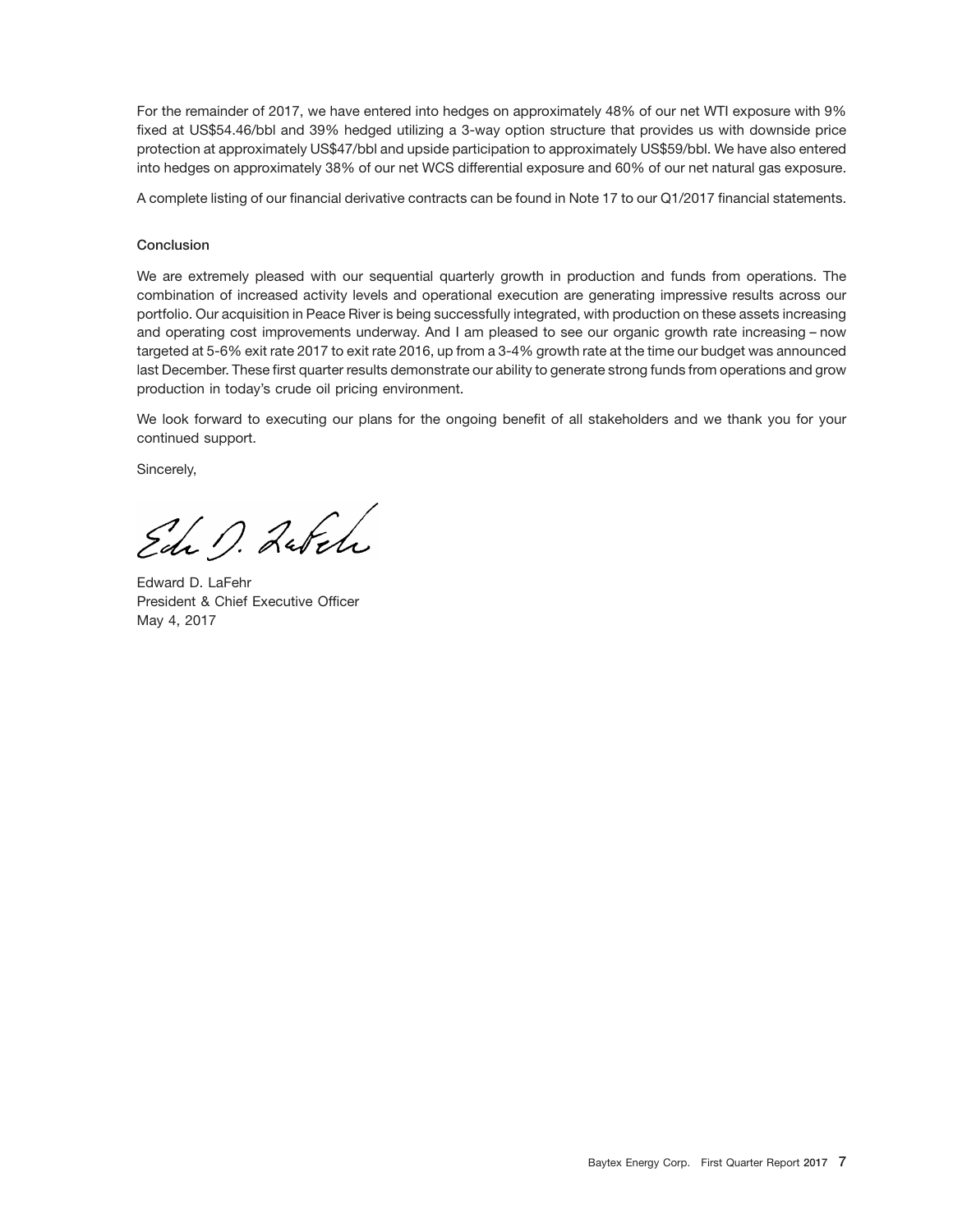For the remainder of 2017, we have entered into hedges on approximately 48% of our net WTI exposure with 9% fixed at US\$54.46/bbl and 39% hedged utilizing a 3-way option structure that provides us with downside price protection at approximately US\$47/bbl and upside participation to approximately US\$59/bbl. We have also entered into hedges on approximately 38% of our net WCS differential exposure and 60% of our net natural gas exposure.

A complete listing of our financial derivative contracts can be found in Note 17 to our Q1/2017 financial statements.

#### **Conclusion**

We are extremely pleased with our sequential quarterly growth in production and funds from operations. The combination of increased activity levels and operational execution are generating impressive results across our portfolio. Our acquisition in Peace River is being successfully integrated, with production on these assets increasing and operating cost improvements underway. And I am pleased to see our organic growth rate increasing – now targeted at 5-6% exit rate 2017 to exit rate 2016, up from a 3-4% growth rate at the time our budget was announced last December. These first quarter results demonstrate our ability to generate strong funds from operations and grow production in today's crude oil pricing environment.

We look forward to executing our plans for the ongoing benefit of all stakeholders and we thank you for your continued support.

Sincerely,

Edi D. Labela

Edward D. LaFehr President & Chief Executive Officer May 4, 2017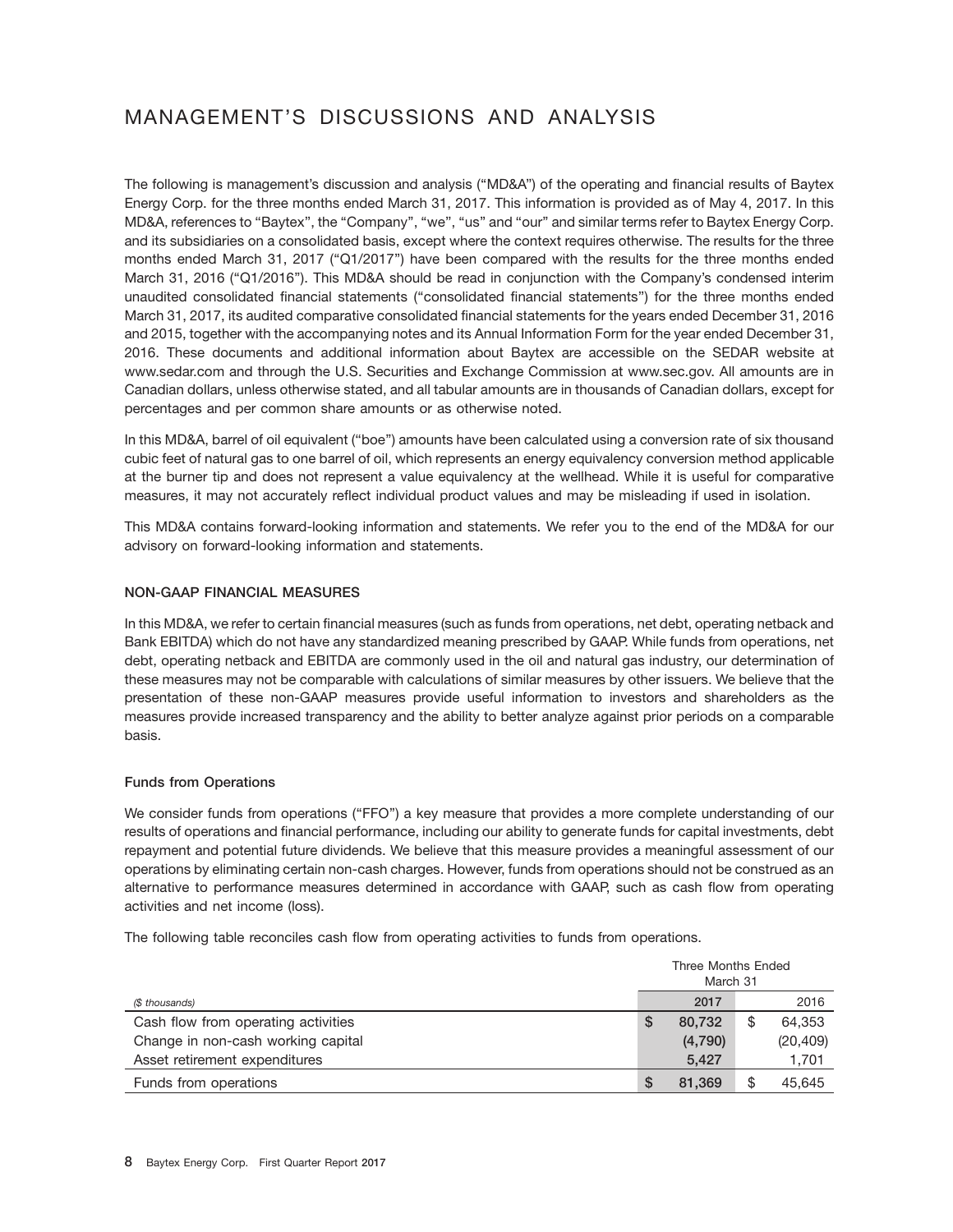# MANAGEMENT'S DISCUSSIONS AND ANALYSIS

The following is management's discussion and analysis (''MD&A'') of the operating and financial results of Baytex Energy Corp. for the three months ended March 31, 2017. This information is provided as of May 4, 2017. In this MD&A, references to ''Baytex'', the ''Company'', ''we'', ''us'' and ''our'' and similar terms refer to Baytex Energy Corp. and its subsidiaries on a consolidated basis, except where the context requires otherwise. The results for the three months ended March 31, 2017 ("Q1/2017") have been compared with the results for the three months ended March 31, 2016 ("Q1/2016"). This MD&A should be read in conjunction with the Company's condensed interim unaudited consolidated financial statements (''consolidated financial statements'') for the three months ended March 31, 2017, its audited comparative consolidated financial statements for the years ended December 31, 2016 and 2015, together with the accompanying notes and its Annual Information Form for the year ended December 31, 2016. These documents and additional information about Baytex are accessible on the SEDAR website at www.sedar.com and through the U.S. Securities and Exchange Commission at www.sec.gov. All amounts are in Canadian dollars, unless otherwise stated, and all tabular amounts are in thousands of Canadian dollars, except for percentages and per common share amounts or as otherwise noted.

In this MD&A, barrel of oil equivalent (''boe'') amounts have been calculated using a conversion rate of six thousand cubic feet of natural gas to one barrel of oil, which represents an energy equivalency conversion method applicable at the burner tip and does not represent a value equivalency at the wellhead. While it is useful for comparative measures, it may not accurately reflect individual product values and may be misleading if used in isolation.

This MD&A contains forward-looking information and statements. We refer you to the end of the MD&A for our advisory on forward-looking information and statements.

#### **NON-GAAP FINANCIAL MEASURES**

In this MD&A, we refer to certain financial measures (such as funds from operations, net debt, operating netback and Bank EBITDA) which do not have any standardized meaning prescribed by GAAP. While funds from operations, net debt, operating netback and EBITDA are commonly used in the oil and natural gas industry, our determination of these measures may not be comparable with calculations of similar measures by other issuers. We believe that the presentation of these non-GAAP measures provide useful information to investors and shareholders as the measures provide increased transparency and the ability to better analyze against prior periods on a comparable basis.

#### **Funds from Operations**

We consider funds from operations ("FFO") a key measure that provides a more complete understanding of our results of operations and financial performance, including our ability to generate funds for capital investments, debt repayment and potential future dividends. We believe that this measure provides a meaningful assessment of our operations by eliminating certain non-cash charges. However, funds from operations should not be construed as an alternative to performance measures determined in accordance with GAAP, such as cash flow from operating activities and net income (loss).

The following table reconciles cash flow from operating activities to funds from operations.

|                                     | Three Months Ended |         |    |           |  |
|-------------------------------------|--------------------|---------|----|-----------|--|
|                                     | March 31           |         |    |           |  |
| (\$ thousands)                      |                    | 2017    |    | 2016      |  |
| Cash flow from operating activities | S                  | 80.732  | \$ | 64.353    |  |
| Change in non-cash working capital  |                    | (4,790) |    | (20, 409) |  |
| Asset retirement expenditures       |                    | 5.427   |    | 1,701     |  |
| Funds from operations               |                    | 81.369  | \$ | 45,645    |  |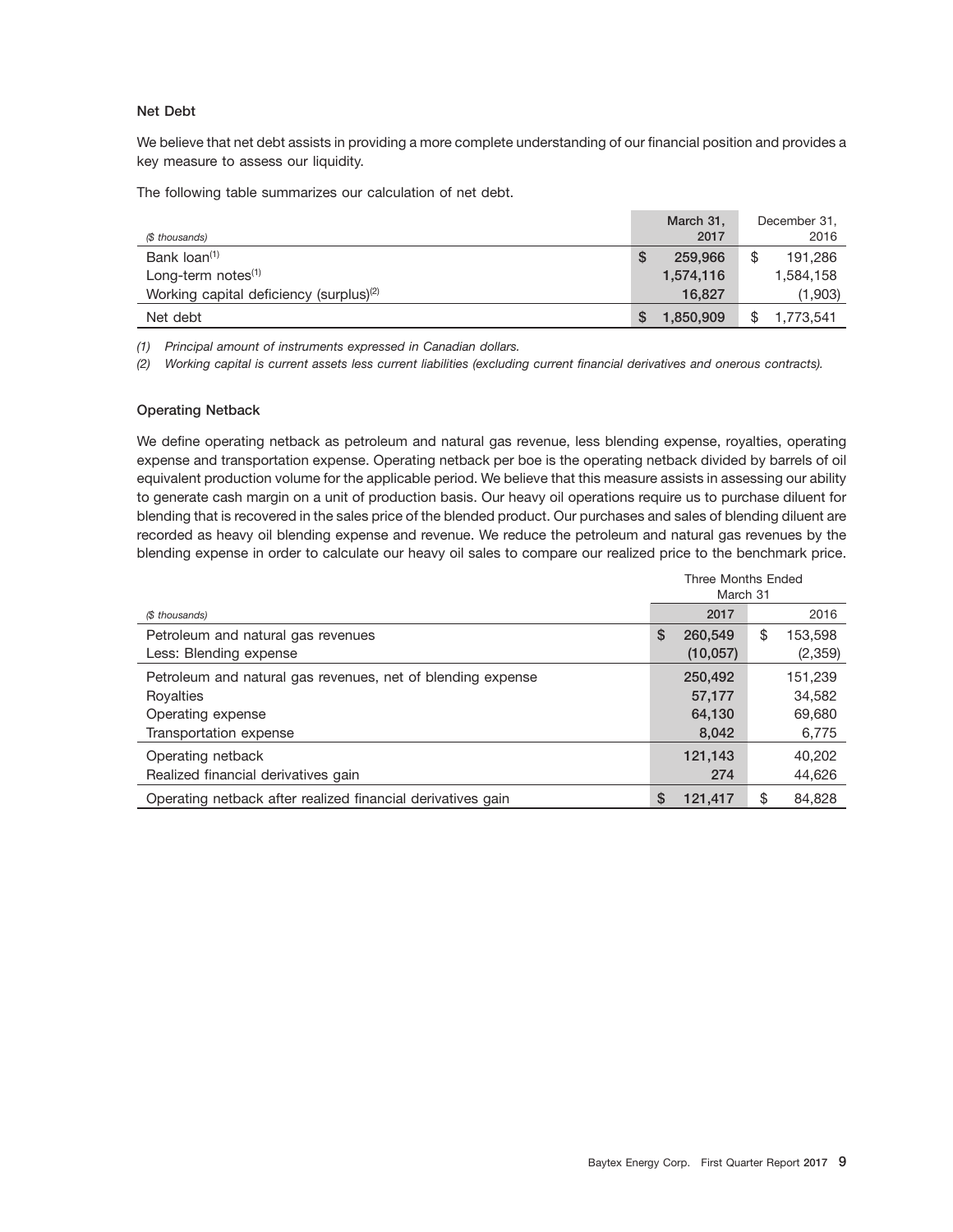#### **Net Debt**

We believe that net debt assists in providing a more complete understanding of our financial position and provides a key measure to assess our liquidity.

The following table summarizes our calculation of net debt.

| (\$ thousands)                                      | March 31,<br>2017 | December 31,<br>2016 |
|-----------------------------------------------------|-------------------|----------------------|
| Bank loan <sup>(1)</sup>                            | 259,966           | 191,286              |
| Long-term notes $(1)$                               | 1,574,116         | 1,584,158            |
| Working capital deficiency (surplus) <sup>(2)</sup> | 16,827            | (1,903)              |
| Net debt                                            | 1,850,909         | 1,773,541            |

*(1) Principal amount of instruments expressed in Canadian dollars.*

*(2) Working capital is current assets less current liabilities (excluding current financial derivatives and onerous contracts).*

#### **Operating Netback**

We define operating netback as petroleum and natural gas revenue, less blending expense, royalties, operating expense and transportation expense. Operating netback per boe is the operating netback divided by barrels of oil equivalent production volume for the applicable period. We believe that this measure assists in assessing our ability to generate cash margin on a unit of production basis. Our heavy oil operations require us to purchase diluent for blending that is recovered in the sales price of the blended product. Our purchases and sales of blending diluent are recorded as heavy oil blending expense and revenue. We reduce the petroleum and natural gas revenues by the blending expense in order to calculate our heavy oil sales to compare our realized price to the benchmark price.

|                                                             | Three Months Ended<br>March 31 |           |    |         |  |  |
|-------------------------------------------------------------|--------------------------------|-----------|----|---------|--|--|
| (\$ thousands)                                              |                                | 2017      |    | 2016    |  |  |
| Petroleum and natural gas revenues                          | S                              | 260,549   | \$ | 153,598 |  |  |
| Less: Blending expense                                      |                                | (10, 057) |    | (2,359) |  |  |
| Petroleum and natural gas revenues, net of blending expense |                                | 250,492   |    | 151.239 |  |  |
| Royalties                                                   |                                | 57,177    |    | 34.582  |  |  |
| Operating expense                                           |                                | 64,130    |    | 69,680  |  |  |
| Transportation expense                                      |                                | 8.042     |    | 6,775   |  |  |
| Operating netback                                           |                                | 121,143   |    | 40.202  |  |  |
| Realized financial derivatives gain                         |                                | 274       |    | 44,626  |  |  |
| Operating netback after realized financial derivatives gain | S                              | 121,417   | \$ | 84.828  |  |  |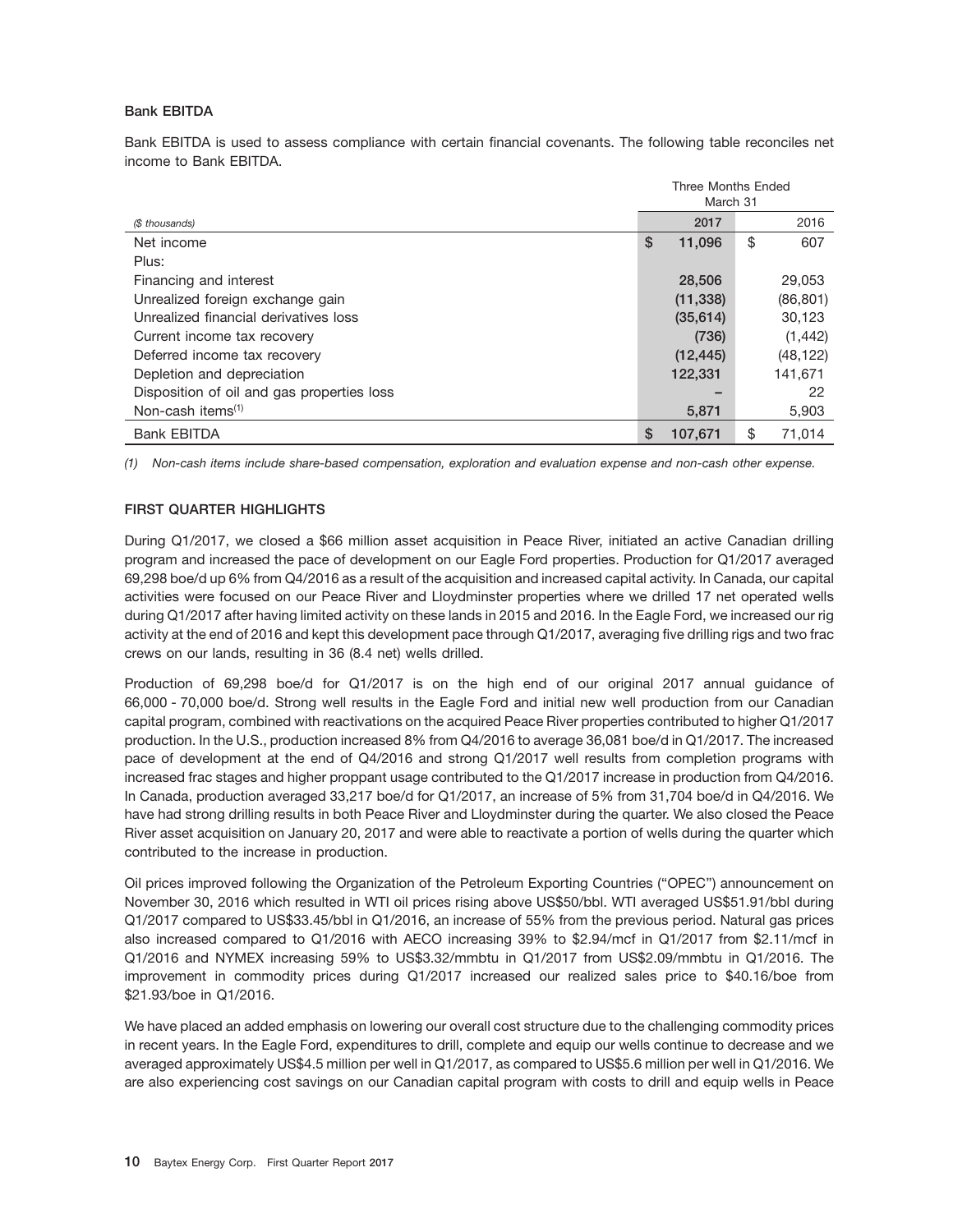#### **Bank EBITDA**

Bank EBITDA is used to assess compliance with certain financial covenants. The following table reconciles net income to Bank EBITDA.

|                                            | <b>Three Months Ended</b> |           |    |           |  |
|--------------------------------------------|---------------------------|-----------|----|-----------|--|
|                                            |                           | March 31  |    |           |  |
| (\$ thousands)                             |                           | 2017      |    | 2016      |  |
| Net income                                 | \$                        | 11,096    | \$ | 607       |  |
| Plus:                                      |                           |           |    |           |  |
| Financing and interest                     |                           | 28,506    |    | 29,053    |  |
| Unrealized foreign exchange gain           |                           | (11, 338) |    | (86, 801) |  |
| Unrealized financial derivatives loss      |                           | (35, 614) |    | 30,123    |  |
| Current income tax recovery                |                           | (736)     |    | (1, 442)  |  |
| Deferred income tax recovery               |                           | (12, 445) |    | (48, 122) |  |
| Depletion and depreciation                 |                           | 122,331   |    | 141,671   |  |
| Disposition of oil and gas properties loss |                           | -         |    | 22        |  |
| Non-cash items $(1)$                       |                           | 5,871     |    | 5,903     |  |
| <b>Bank EBITDA</b>                         | \$                        | 107,671   | \$ | 71,014    |  |

*(1) Non-cash items include share-based compensation, exploration and evaluation expense and non-cash other expense.*

### **FIRST QUARTER HIGHLIGHTS**

During Q1/2017, we closed a \$66 million asset acquisition in Peace River, initiated an active Canadian drilling program and increased the pace of development on our Eagle Ford properties. Production for Q1/2017 averaged 69,298 boe/d up 6% from Q4/2016 as a result of the acquisition and increased capital activity. In Canada, our capital activities were focused on our Peace River and Lloydminster properties where we drilled 17 net operated wells during Q1/2017 after having limited activity on these lands in 2015 and 2016. In the Eagle Ford, we increased our rig activity at the end of 2016 and kept this development pace through Q1/2017, averaging five drilling rigs and two frac crews on our lands, resulting in 36 (8.4 net) wells drilled.

Production of 69,298 boe/d for Q1/2017 is on the high end of our original 2017 annual guidance of 66,000 - 70,000 boe/d. Strong well results in the Eagle Ford and initial new well production from our Canadian capital program, combined with reactivations on the acquired Peace River properties contributed to higher Q1/2017 production. In the U.S., production increased 8% from Q4/2016 to average 36,081 boe/d in Q1/2017. The increased pace of development at the end of Q4/2016 and strong Q1/2017 well results from completion programs with increased frac stages and higher proppant usage contributed to the Q1/2017 increase in production from Q4/2016. In Canada, production averaged 33,217 boe/d for Q1/2017, an increase of 5% from 31,704 boe/d in Q4/2016. We have had strong drilling results in both Peace River and Lloydminster during the quarter. We also closed the Peace River asset acquisition on January 20, 2017 and were able to reactivate a portion of wells during the quarter which contributed to the increase in production.

Oil prices improved following the Organization of the Petroleum Exporting Countries (''OPEC'') announcement on November 30, 2016 which resulted in WTI oil prices rising above US\$50/bbl. WTI averaged US\$51.91/bbl during Q1/2017 compared to US\$33.45/bbl in Q1/2016, an increase of 55% from the previous period. Natural gas prices also increased compared to Q1/2016 with AECO increasing 39% to \$2.94/mcf in Q1/2017 from \$2.11/mcf in Q1/2016 and NYMEX increasing 59% to US\$3.32/mmbtu in Q1/2017 from US\$2.09/mmbtu in Q1/2016. The improvement in commodity prices during Q1/2017 increased our realized sales price to \$40.16/boe from \$21.93/boe in Q1/2016.

We have placed an added emphasis on lowering our overall cost structure due to the challenging commodity prices in recent years. In the Eagle Ford, expenditures to drill, complete and equip our wells continue to decrease and we averaged approximately US\$4.5 million per well in Q1/2017, as compared to US\$5.6 million per well in Q1/2016. We are also experiencing cost savings on our Canadian capital program with costs to drill and equip wells in Peace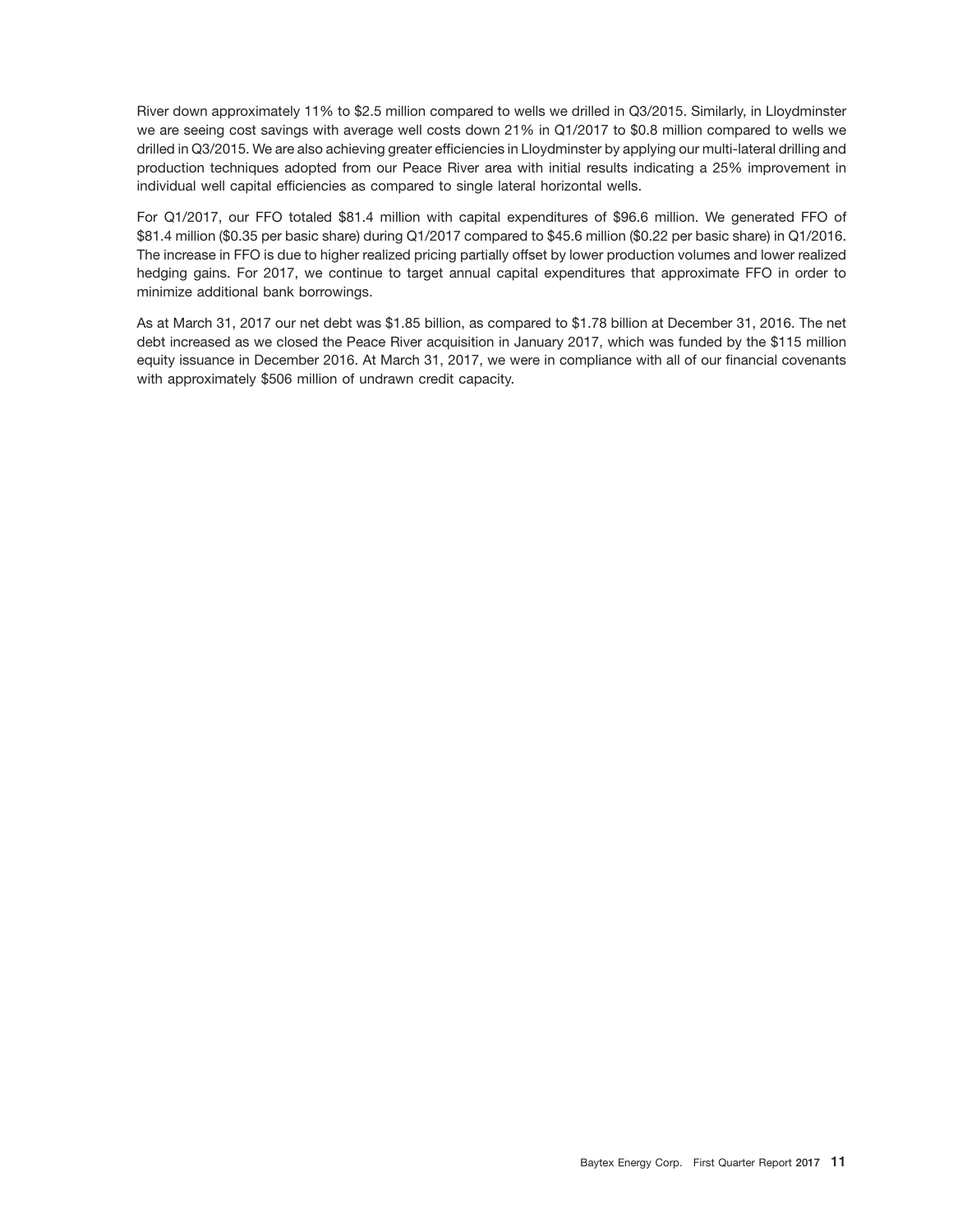River down approximately 11% to \$2.5 million compared to wells we drilled in Q3/2015. Similarly, in Lloydminster we are seeing cost savings with average well costs down 21% in Q1/2017 to \$0.8 million compared to wells we drilled in Q3/2015. We are also achieving greater efficiencies in Lloydminster by applying our multi-lateral drilling and production techniques adopted from our Peace River area with initial results indicating a 25% improvement in individual well capital efficiencies as compared to single lateral horizontal wells.

For Q1/2017, our FFO totaled \$81.4 million with capital expenditures of \$96.6 million. We generated FFO of \$81.4 million (\$0.35 per basic share) during Q1/2017 compared to \$45.6 million (\$0.22 per basic share) in Q1/2016. The increase in FFO is due to higher realized pricing partially offset by lower production volumes and lower realized hedging gains. For 2017, we continue to target annual capital expenditures that approximate FFO in order to minimize additional bank borrowings.

As at March 31, 2017 our net debt was \$1.85 billion, as compared to \$1.78 billion at December 31, 2016. The net debt increased as we closed the Peace River acquisition in January 2017, which was funded by the \$115 million equity issuance in December 2016. At March 31, 2017, we were in compliance with all of our financial covenants with approximately \$506 million of undrawn credit capacity.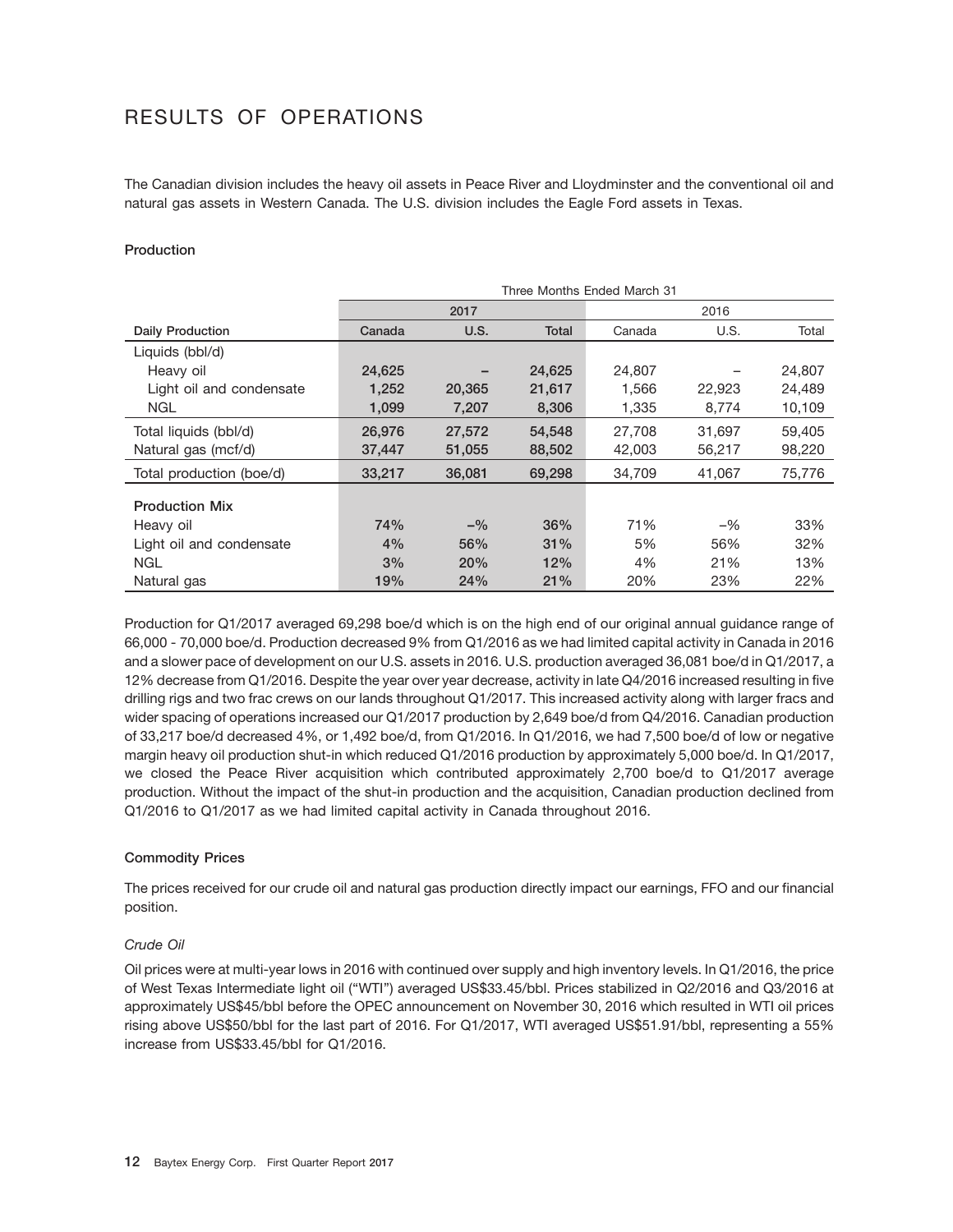# RESULTS OF OPERATIONS

The Canadian division includes the heavy oil assets in Peace River and Lloydminster and the conventional oil and natural gas assets in Western Canada. The U.S. division includes the Eagle Ford assets in Texas.

#### **Production**

|                          | Three Months Ended March 31 |        |        |        |        |        |  |  |  |  |
|--------------------------|-----------------------------|--------|--------|--------|--------|--------|--|--|--|--|
|                          |                             | 2017   |        | 2016   |        |        |  |  |  |  |
| <b>Daily Production</b>  | Canada                      | U.S.   | Total  | Canada | U.S.   | Total  |  |  |  |  |
| Liquids (bbl/d)          |                             |        |        |        |        |        |  |  |  |  |
| Heavy oil                | 24,625                      |        | 24,625 | 24,807 |        | 24,807 |  |  |  |  |
| Light oil and condensate | 1,252                       | 20,365 | 21,617 | 1,566  | 22,923 | 24,489 |  |  |  |  |
| <b>NGL</b>               | 1,099                       | 7,207  | 8,306  | 1,335  | 8,774  | 10,109 |  |  |  |  |
| Total liquids (bbl/d)    | 26,976                      | 27,572 | 54,548 | 27.708 | 31,697 | 59.405 |  |  |  |  |
| Natural gas (mcf/d)      | 37,447                      | 51,055 | 88,502 | 42,003 | 56,217 | 98,220 |  |  |  |  |
| Total production (boe/d) | 33,217                      | 36,081 | 69,298 | 34.709 | 41,067 | 75,776 |  |  |  |  |
| <b>Production Mix</b>    |                             |        |        |        |        |        |  |  |  |  |
| Heavy oil                | 74%                         | $-$ %  | 36%    | 71%    | $-$ %  | 33%    |  |  |  |  |
|                          |                             |        |        |        |        |        |  |  |  |  |
| Light oil and condensate | 4%                          | 56%    | 31%    | 5%     | 56%    | 32%    |  |  |  |  |
| <b>NGL</b>               | 3%                          | 20%    | 12%    | 4%     | 21%    | 13%    |  |  |  |  |
| Natural gas              | 19%                         | 24%    | 21%    | 20%    | 23%    | 22%    |  |  |  |  |

Production for Q1/2017 averaged 69,298 boe/d which is on the high end of our original annual guidance range of 66,000 - 70,000 boe/d. Production decreased 9% from Q1/2016 as we had limited capital activity in Canada in 2016 and a slower pace of development on our U.S. assets in 2016. U.S. production averaged 36,081 boe/d in Q1/2017, a 12% decrease from Q1/2016. Despite the year over year decrease, activity in late Q4/2016 increased resulting in five drilling rigs and two frac crews on our lands throughout Q1/2017. This increased activity along with larger fracs and wider spacing of operations increased our Q1/2017 production by 2,649 boe/d from Q4/2016. Canadian production of 33,217 boe/d decreased 4%, or 1,492 boe/d, from Q1/2016. In Q1/2016, we had 7,500 boe/d of low or negative margin heavy oil production shut-in which reduced Q1/2016 production by approximately 5,000 boe/d. In Q1/2017, we closed the Peace River acquisition which contributed approximately 2,700 boe/d to Q1/2017 average production. Without the impact of the shut-in production and the acquisition, Canadian production declined from Q1/2016 to Q1/2017 as we had limited capital activity in Canada throughout 2016.

#### **Commodity Prices**

The prices received for our crude oil and natural gas production directly impact our earnings, FFO and our financial position.

#### *Crude Oil*

Oil prices were at multi-year lows in 2016 with continued over supply and high inventory levels. In Q1/2016, the price of West Texas Intermediate light oil (''WTI'') averaged US\$33.45/bbl. Prices stabilized in Q2/2016 and Q3/2016 at approximately US\$45/bbl before the OPEC announcement on November 30, 2016 which resulted in WTI oil prices rising above US\$50/bbl for the last part of 2016. For Q1/2017, WTI averaged US\$51.91/bbl, representing a 55% increase from US\$33.45/bbl for Q1/2016.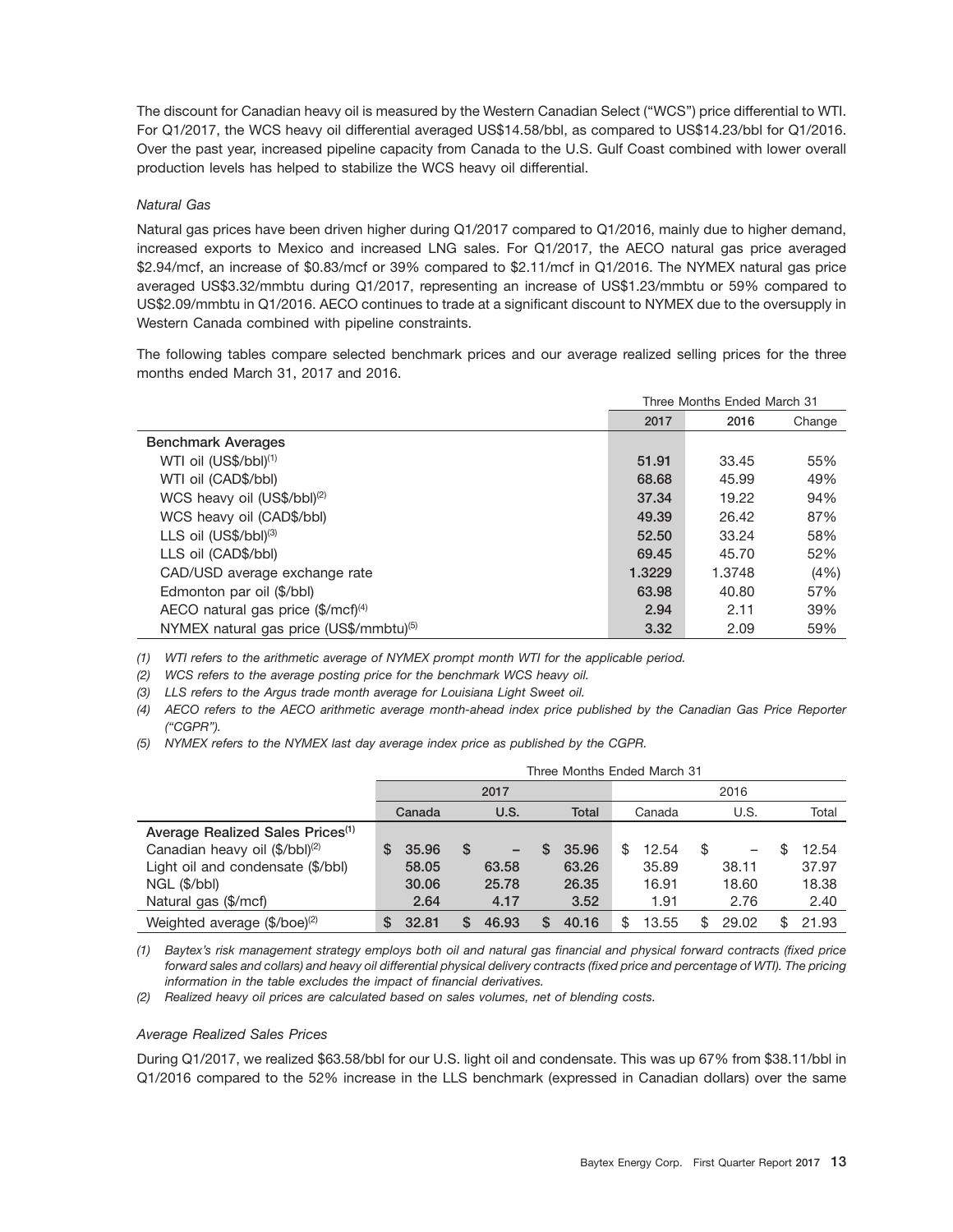The discount for Canadian heavy oil is measured by the Western Canadian Select (''WCS'') price differential to WTI. For Q1/2017, the WCS heavy oil differential averaged US\$14.58/bbl, as compared to US\$14.23/bbl for Q1/2016. Over the past year, increased pipeline capacity from Canada to the U.S. Gulf Coast combined with lower overall production levels has helped to stabilize the WCS heavy oil differential.

#### *Natural Gas*

Natural gas prices have been driven higher during Q1/2017 compared to Q1/2016, mainly due to higher demand, increased exports to Mexico and increased LNG sales. For Q1/2017, the AECO natural gas price averaged \$2.94/mcf, an increase of \$0.83/mcf or 39% compared to \$2.11/mcf in Q1/2016. The NYMEX natural gas price averaged US\$3.32/mmbtu during Q1/2017, representing an increase of US\$1.23/mmbtu or 59% compared to US\$2.09/mmbtu in Q1/2016. AECO continues to trade at a significant discount to NYMEX due to the oversupply in Western Canada combined with pipeline constraints.

The following tables compare selected benchmark prices and our average realized selling prices for the three months ended March 31, 2017 and 2016.

|                                                      | Three Months Ended March 31 |        |        |  |  |
|------------------------------------------------------|-----------------------------|--------|--------|--|--|
|                                                      | 2017                        | 2016   | Change |  |  |
| <b>Benchmark Averages</b>                            |                             |        |        |  |  |
| WTI oil (US\$/bbl) <sup>(1)</sup>                    | 51.91                       | 33.45  | 55%    |  |  |
| WTI oil (CAD\$/bbl)                                  | 68.68                       | 45.99  | 49%    |  |  |
| WCS heavy oil (US\$/bbl) <sup>(2)</sup>              | 37.34                       | 19.22  | 94%    |  |  |
| WCS heavy oil (CAD\$/bbl)                            | 49.39                       | 26.42  | 87%    |  |  |
| LLS oil $(US$/bbI)^{(3)}$                            | 52.50                       | 33.24  | 58%    |  |  |
| LLS oil (CAD\$/bbl)                                  | 69.45                       | 45.70  | 52%    |  |  |
| CAD/USD average exchange rate                        | 1.3229                      | 1.3748 | (4% )  |  |  |
| Edmonton par oil (\$/bbl)                            | 63.98                       | 40.80  | 57%    |  |  |
| AECO natural gas price $(\frac{4}{2})$ mcf $)^{(4)}$ | 2.94                        | 2.11   | 39%    |  |  |
| NYMEX natural gas price (US\$/mmbtu)(5)              | 3.32                        | 2.09   | 59%    |  |  |

*(1) WTI refers to the arithmetic average of NYMEX prompt month WTI for the applicable period.*

*(2) WCS refers to the average posting price for the benchmark WCS heavy oil.*

*(3) LLS refers to the Argus trade month average for Louisiana Light Sweet oil.*

*(4) AECO refers to the AECO arithmetic average month-ahead index price published by the Canadian Gas Price Reporter (''CGPR'').*

*(5) NYMEX refers to the NYMEX last day average index price as published by the CGPR.*

|                                              | Three Months Ended March 31 |             |       |             |              |             |  |  |  |  |  |  |
|----------------------------------------------|-----------------------------|-------------|-------|-------------|--------------|-------------|--|--|--|--|--|--|
|                                              |                             | 2017        |       |             | 2016         |             |  |  |  |  |  |  |
|                                              | Canada                      | U.S.        | Total | Canada      | U.S.         | Total       |  |  |  |  |  |  |
| Average Realized Sales Prices <sup>(1)</sup> |                             |             |       |             |              |             |  |  |  |  |  |  |
| Canadian heavy oil (\$/bbl) <sup>(2)</sup>   | S<br>35.96                  | S           | 35.96 | \$<br>12.54 | \$           | 12.54       |  |  |  |  |  |  |
| Light oil and condensate (\$/bbl)            | 58.05                       | 63.58       | 63.26 | 35.89       | 38.11        | 37.97       |  |  |  |  |  |  |
| NGL (\$/bbl)                                 | 30.06                       | 25.78       | 26.35 | 16.91       | 18.60        | 18.38       |  |  |  |  |  |  |
| Natural gas (\$/mcf)                         | 2.64                        | 4.17        | 3.52  | 1.91        | 2.76         | 2.40        |  |  |  |  |  |  |
| Weighted average $(\frac{6}{\log^2})$        | 32.81<br>S                  | S.<br>46.93 | 40.16 | \$<br>13.55 | \$.<br>29.02 | 21.93<br>\$ |  |  |  |  |  |  |

*(1) Baytex's risk management strategy employs both oil and natural gas financial and physical forward contracts (fixed price forward sales and collars) and heavy oil differential physical delivery contracts (fixed price and percentage of WTI). The pricing information in the table excludes the impact of financial derivatives.*

*(2) Realized heavy oil prices are calculated based on sales volumes, net of blending costs.*

#### *Average Realized Sales Prices*

During Q1/2017, we realized \$63.58/bbl for our U.S. light oil and condensate. This was up 67% from \$38.11/bbl in Q1/2016 compared to the 52% increase in the LLS benchmark (expressed in Canadian dollars) over the same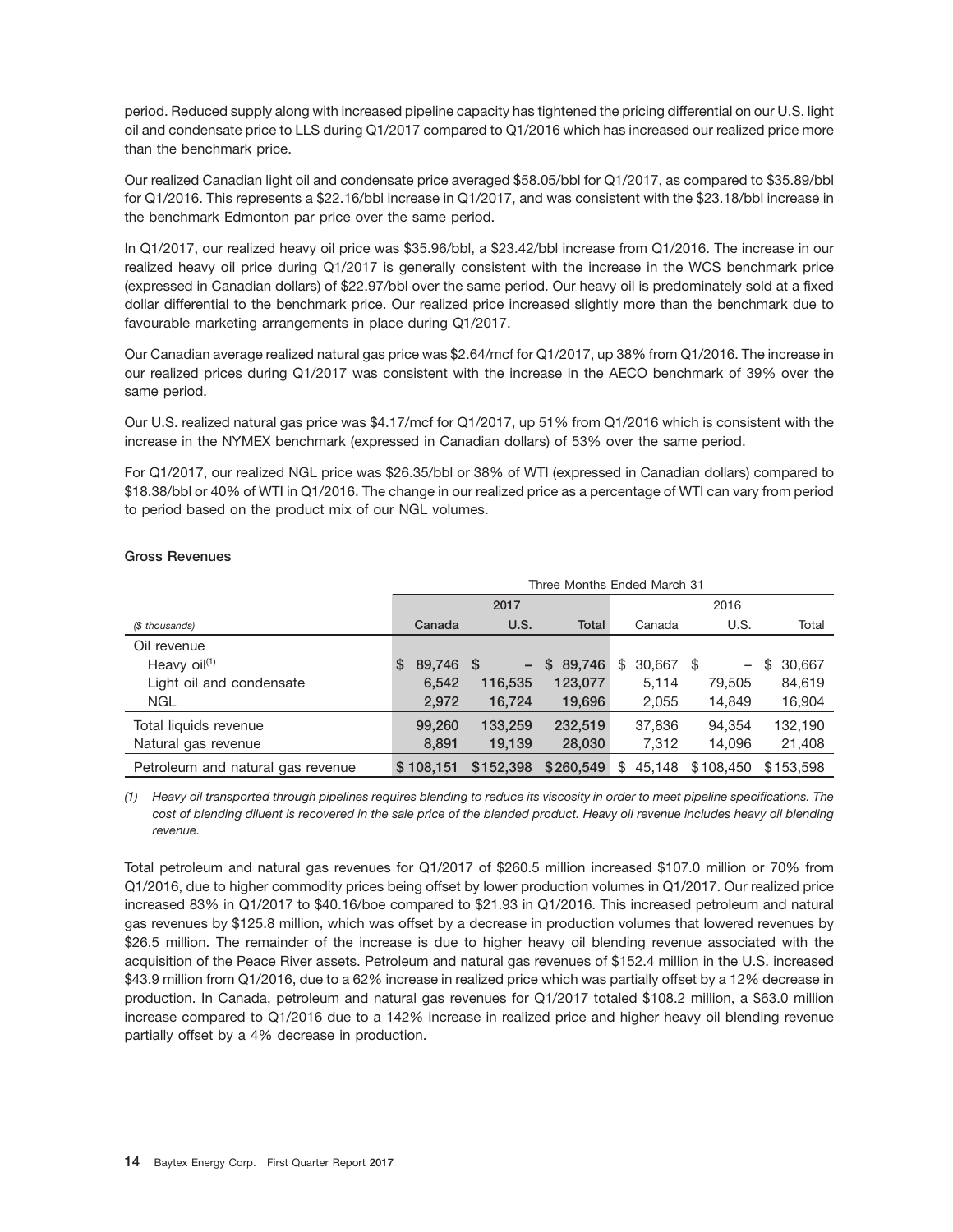period. Reduced supply along with increased pipeline capacity has tightened the pricing differential on our U.S. light oil and condensate price to LLS during Q1/2017 compared to Q1/2016 which has increased our realized price more than the benchmark price.

Our realized Canadian light oil and condensate price averaged \$58.05/bbl for Q1/2017, as compared to \$35.89/bbl for Q1/2016. This represents a \$22.16/bbl increase in Q1/2017, and was consistent with the \$23.18/bbl increase in the benchmark Edmonton par price over the same period.

In Q1/2017, our realized heavy oil price was \$35.96/bbl, a \$23.42/bbl increase from Q1/2016. The increase in our realized heavy oil price during Q1/2017 is generally consistent with the increase in the WCS benchmark price (expressed in Canadian dollars) of \$22.97/bbl over the same period. Our heavy oil is predominately sold at a fixed dollar differential to the benchmark price. Our realized price increased slightly more than the benchmark due to favourable marketing arrangements in place during Q1/2017.

Our Canadian average realized natural gas price was \$2.64/mcf for Q1/2017, up 38% from Q1/2016. The increase in our realized prices during Q1/2017 was consistent with the increase in the AECO benchmark of 39% over the same period.

Our U.S. realized natural gas price was \$4.17/mcf for Q1/2017, up 51% from Q1/2016 which is consistent with the increase in the NYMEX benchmark (expressed in Canadian dollars) of 53% over the same period.

For Q1/2017, our realized NGL price was \$26.35/bbl or 38% of WTI (expressed in Canadian dollars) compared to \$18.38/bbl or 40% of WTI in Q1/2016. The change in our realized price as a percentage of WTI can vary from period to period based on the product mix of our NGL volumes.

|                                   | Three Months Ended March 31 |                          |           |                 |                          |              |  |  |  |  |  |
|-----------------------------------|-----------------------------|--------------------------|-----------|-----------------|--------------------------|--------------|--|--|--|--|--|
|                                   |                             | 2017                     |           |                 |                          |              |  |  |  |  |  |
| (\$ thousands)                    | Canada                      | U.S.                     | Total     | Canada          | U.S.                     | Total        |  |  |  |  |  |
| Oil revenue                       |                             |                          |           |                 |                          |              |  |  |  |  |  |
| Heavy $\text{oil}^{(1)}$          | 89,746 \$<br>S.             | $\overline{\phantom{a}}$ | \$89,746  | \$<br>30.667 \$ | $\overline{\phantom{0}}$ | \$<br>30,667 |  |  |  |  |  |
| Light oil and condensate          | 6,542                       | 116,535                  | 123,077   | 5.114           | 79,505                   | 84,619       |  |  |  |  |  |
| NGL.                              | 2,972                       | 16,724                   | 19,696    | 2,055           | 14,849                   | 16,904       |  |  |  |  |  |
| Total liquids revenue             | 99,260                      | 133,259                  | 232,519   | 37,836          | 94.354                   | 132,190      |  |  |  |  |  |
| Natural gas revenue               | 8,891                       | 19,139                   | 28,030    | 7.312           | 14,096                   | 21,408       |  |  |  |  |  |
| Petroleum and natural gas revenue | \$108.151                   | \$152,398                | \$260,549 | 45.148<br>\$    | \$108,450                | \$153,598    |  |  |  |  |  |

#### **Gross Revenues**

*(1) Heavy oil transported through pipelines requires blending to reduce its viscosity in order to meet pipeline specifications. The cost of blending diluent is recovered in the sale price of the blended product. Heavy oil revenue includes heavy oil blending revenue.*

Total petroleum and natural gas revenues for Q1/2017 of \$260.5 million increased \$107.0 million or 70% from Q1/2016, due to higher commodity prices being offset by lower production volumes in Q1/2017. Our realized price increased 83% in Q1/2017 to \$40.16/boe compared to \$21.93 in Q1/2016. This increased petroleum and natural gas revenues by \$125.8 million, which was offset by a decrease in production volumes that lowered revenues by \$26.5 million. The remainder of the increase is due to higher heavy oil blending revenue associated with the acquisition of the Peace River assets. Petroleum and natural gas revenues of \$152.4 million in the U.S. increased \$43.9 million from Q1/2016, due to a 62% increase in realized price which was partially offset by a 12% decrease in production. In Canada, petroleum and natural gas revenues for Q1/2017 totaled \$108.2 million, a \$63.0 million increase compared to Q1/2016 due to a 142% increase in realized price and higher heavy oil blending revenue partially offset by a 4% decrease in production.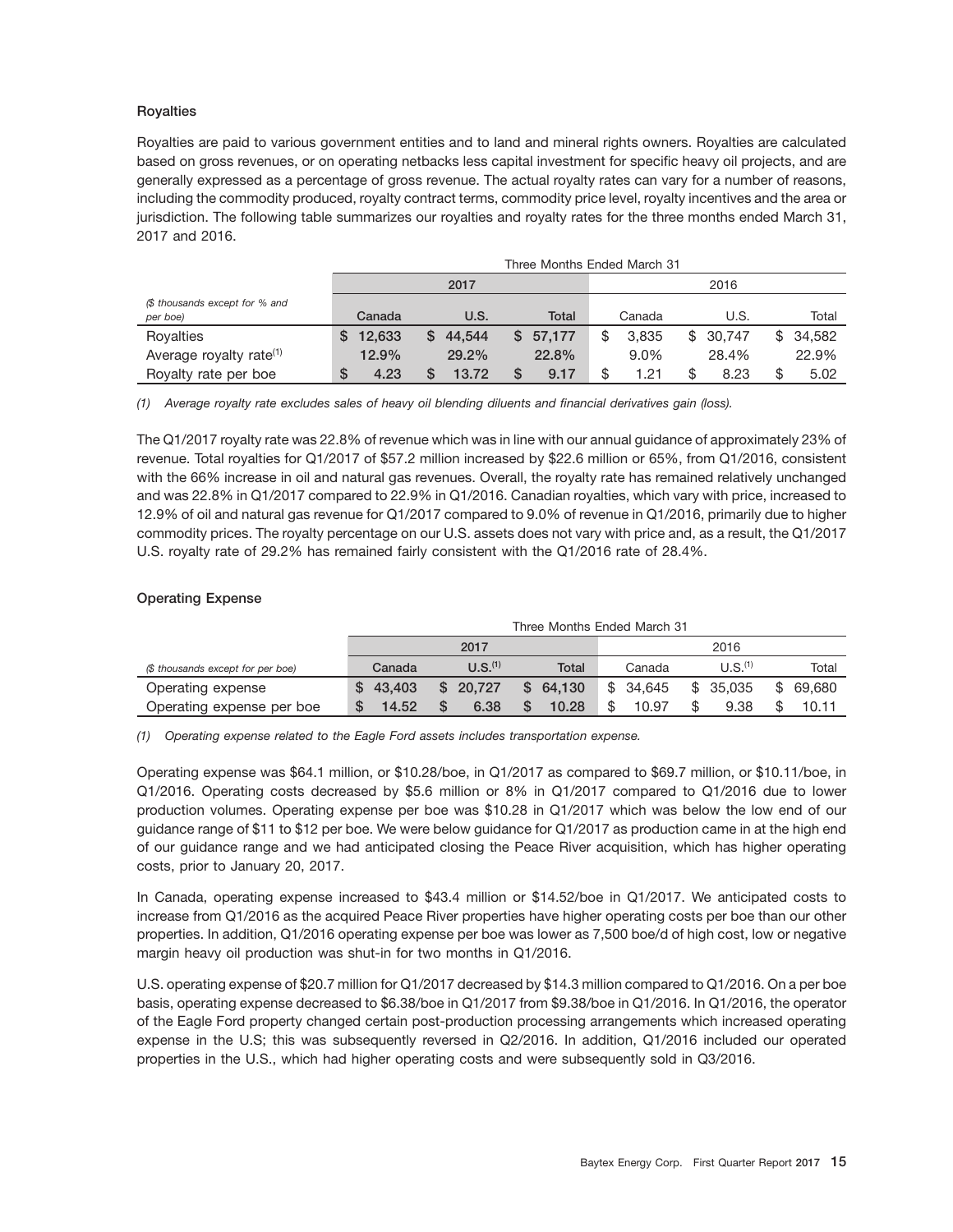#### **Royalties**

Royalties are paid to various government entities and to land and mineral rights owners. Royalties are calculated based on gross revenues, or on operating netbacks less capital investment for specific heavy oil projects, and are generally expressed as a percentage of gross revenue. The actual royalty rates can vary for a number of reasons, including the commodity produced, royalty contract terms, commodity price level, royalty incentives and the area or jurisdiction. The following table summarizes our royalties and royalty rates for the three months ended March 31, 2017 and 2016.

|                                            |   | Three Months Ended March 31 |    |        |  |          |  |         |    |          |    |        |
|--------------------------------------------|---|-----------------------------|----|--------|--|----------|--|---------|----|----------|----|--------|
|                                            |   | 2017                        |    |        |  |          |  |         |    | 2016     |    |        |
| (\$ thousands except for % and<br>per boe) |   | Canada                      |    | U.S.   |  | Total    |  | Canada  |    | U.S.     |    | Total  |
| Royalties                                  |   | 12.633                      | S. | 44.544 |  | \$57.177 |  | 3.835   |    | \$30.747 | \$ | 34.582 |
| Average royalty rate <sup>(1)</sup>        |   | 12.9%                       |    | 29.2%  |  | 22.8%    |  | $9.0\%$ |    | 28.4%    |    | 22.9%  |
| Royalty rate per boe                       | S | 4.23                        |    | 13.72  |  | 9.17     |  | 1.21    | \$ | 8.23     |    | 5.02   |

*(1) Average royalty rate excludes sales of heavy oil blending diluents and financial derivatives gain (loss).*

The Q1/2017 royalty rate was 22.8% of revenue which was in line with our annual guidance of approximately 23% of revenue. Total royalties for Q1/2017 of \$57.2 million increased by \$22.6 million or 65%, from Q1/2016, consistent with the 66% increase in oil and natural gas revenues. Overall, the royalty rate has remained relatively unchanged and was 22.8% in Q1/2017 compared to 22.9% in Q1/2016. Canadian royalties, which vary with price, increased to 12.9% of oil and natural gas revenue for Q1/2017 compared to 9.0% of revenue in Q1/2016, primarily due to higher commodity prices. The royalty percentage on our U.S. assets does not vary with price and, as a result, the Q1/2017 U.S. royalty rate of 29.2% has remained fairly consistent with the Q1/2016 rate of 28.4%.

#### **Operating Expense**

|                                   | Three Months Ended March 31 |                     |              |          |                     |             |  |  |  |  |  |  |
|-----------------------------------|-----------------------------|---------------------|--------------|----------|---------------------|-------------|--|--|--|--|--|--|
|                                   |                             | 2017                |              | 2016     |                     |             |  |  |  |  |  |  |
| (\$ thousands except for per boe) | Canada                      | U.S. <sup>(1)</sup> | Total        | Canada   | U.S. <sup>(1)</sup> | Total       |  |  |  |  |  |  |
| Operating expense                 | \$43.403                    | \$20.727            | 64.130<br>S. | \$34.645 | \$35.035            | S<br>69.680 |  |  |  |  |  |  |
| Operating expense per boe         | 14.52                       | 6.38                | 10.28        | 10.97    | 9.38                | 10.11       |  |  |  |  |  |  |

*(1) Operating expense related to the Eagle Ford assets includes transportation expense.*

Operating expense was \$64.1 million, or \$10.28/boe, in Q1/2017 as compared to \$69.7 million, or \$10.11/boe, in Q1/2016. Operating costs decreased by \$5.6 million or 8% in Q1/2017 compared to Q1/2016 due to lower production volumes. Operating expense per boe was \$10.28 in Q1/2017 which was below the low end of our guidance range of \$11 to \$12 per boe. We were below guidance for Q1/2017 as production came in at the high end of our guidance range and we had anticipated closing the Peace River acquisition, which has higher operating costs, prior to January 20, 2017.

In Canada, operating expense increased to \$43.4 million or \$14.52/boe in Q1/2017. We anticipated costs to increase from Q1/2016 as the acquired Peace River properties have higher operating costs per boe than our other properties. In addition, Q1/2016 operating expense per boe was lower as 7,500 boe/d of high cost, low or negative margin heavy oil production was shut-in for two months in Q1/2016.

U.S. operating expense of \$20.7 million for Q1/2017 decreased by \$14.3 million compared to Q1/2016. On a per boe basis, operating expense decreased to \$6.38/boe in Q1/2017 from \$9.38/boe in Q1/2016. In Q1/2016, the operator of the Eagle Ford property changed certain post-production processing arrangements which increased operating expense in the U.S; this was subsequently reversed in Q2/2016. In addition, Q1/2016 included our operated properties in the U.S., which had higher operating costs and were subsequently sold in Q3/2016.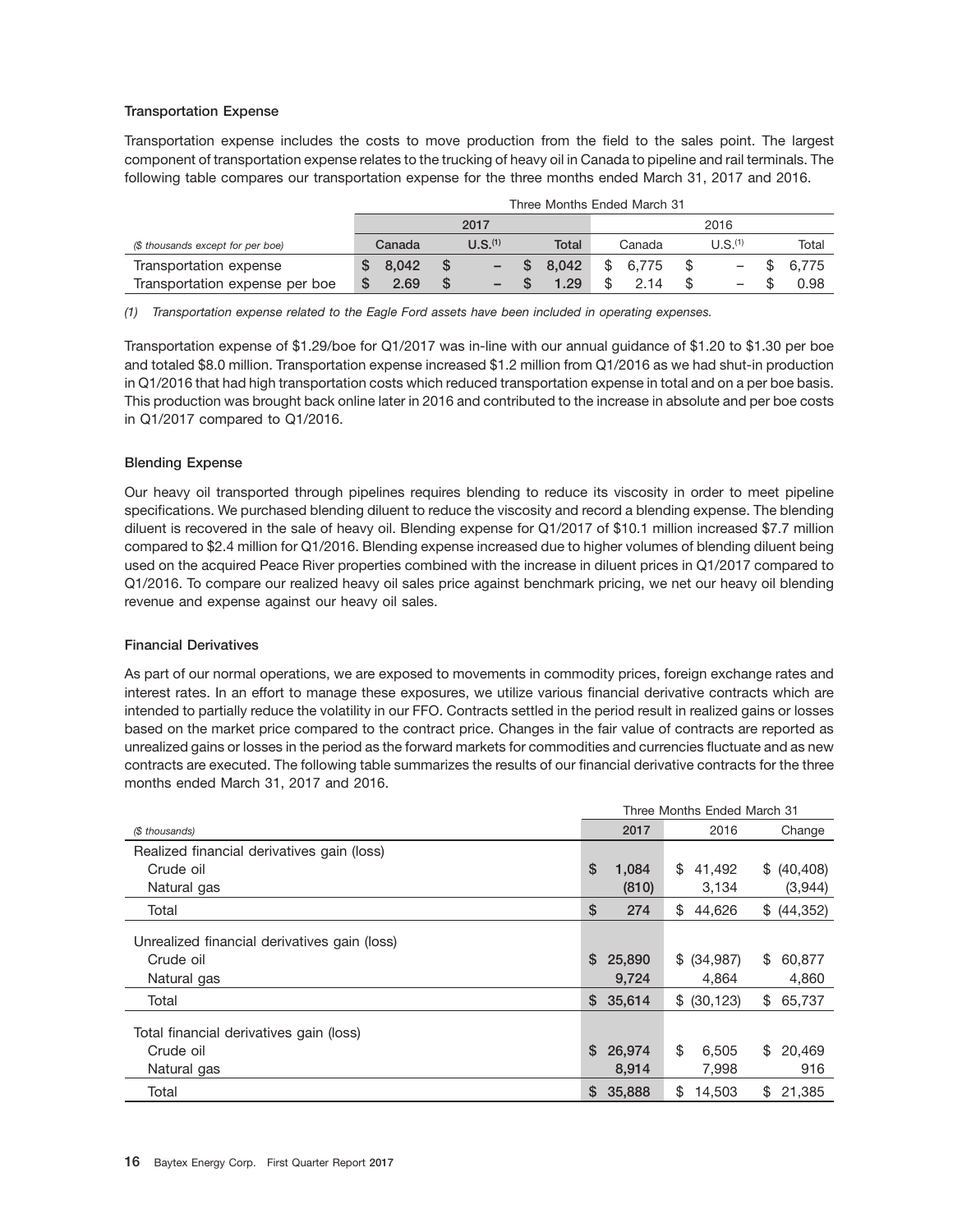#### **Transportation Expense**

Transportation expense includes the costs to move production from the field to the sales point. The largest component of transportation expense relates to the trucking of heavy oil in Canada to pipeline and rail terminals. The following table compares our transportation expense for the three months ended March 31, 2017 and 2016.

|                                   | Three Months Ended March 31 |  |                          |  |       |  |        |  |                          |  |       |
|-----------------------------------|-----------------------------|--|--------------------------|--|-------|--|--------|--|--------------------------|--|-------|
|                                   | 2017<br>2016                |  |                          |  |       |  |        |  |                          |  |       |
| (\$ thousands except for per boe) | Canada                      |  | U.S. <sup>(1)</sup>      |  | Total |  | Canada |  | U.S. <sup>(1)</sup>      |  | Total |
| Transportation expense            | 8.042                       |  | $\overline{\phantom{m}}$ |  | 8.042 |  | 6.775  |  |                          |  | 6.775 |
| Transportation expense per boe    | 2.69                        |  | -                        |  | 1.29  |  | 2.14   |  | $\overline{\phantom{0}}$ |  | 0.98  |

*(1) Transportation expense related to the Eagle Ford assets have been included in operating expenses.*

Transportation expense of \$1.29/boe for Q1/2017 was in-line with our annual guidance of \$1.20 to \$1.30 per boe and totaled \$8.0 million. Transportation expense increased \$1.2 million from Q1/2016 as we had shut-in production in Q1/2016 that had high transportation costs which reduced transportation expense in total and on a per boe basis. This production was brought back online later in 2016 and contributed to the increase in absolute and per boe costs in Q1/2017 compared to Q1/2016.

#### **Blending Expense**

Our heavy oil transported through pipelines requires blending to reduce its viscosity in order to meet pipeline specifications. We purchased blending diluent to reduce the viscosity and record a blending expense. The blending diluent is recovered in the sale of heavy oil. Blending expense for Q1/2017 of \$10.1 million increased \$7.7 million compared to \$2.4 million for Q1/2016. Blending expense increased due to higher volumes of blending diluent being used on the acquired Peace River properties combined with the increase in diluent prices in Q1/2017 compared to Q1/2016. To compare our realized heavy oil sales price against benchmark pricing, we net our heavy oil blending revenue and expense against our heavy oil sales.

#### **Financial Derivatives**

As part of our normal operations, we are exposed to movements in commodity prices, foreign exchange rates and interest rates. In an effort to manage these exposures, we utilize various financial derivative contracts which are intended to partially reduce the volatility in our FFO. Contracts settled in the period result in realized gains or losses based on the market price compared to the contract price. Changes in the fair value of contracts are reported as unrealized gains or losses in the period as the forward markets for commodities and currencies fluctuate and as new contracts are executed. The following table summarizes the results of our financial derivative contracts for the three months ended March 31, 2017 and 2016.

|                                              |    |          | Three Months Ended March 31 |              |
|----------------------------------------------|----|----------|-----------------------------|--------------|
| (\$ thousands)                               |    | 2017     | 2016                        | Change       |
| Realized financial derivatives gain (loss)   |    |          |                             |              |
| Crude oil                                    | \$ | 1,084    | \$<br>41,492                | \$ (40, 408) |
| Natural gas                                  |    | (810)    | 3,134                       | (3,944)      |
| Total                                        | \$ | 274      | \$<br>44,626                | \$ (44,352)  |
| Unrealized financial derivatives gain (loss) |    |          |                             |              |
| Crude oil                                    | S. | 25,890   | \$ (34.987)                 | \$<br>60,877 |
| Natural gas                                  |    | 9,724    | 4,864                       | 4,860        |
| Total                                        |    | \$35,614 | \$ (30, 123)                | \$<br>65,737 |
| Total financial derivatives gain (loss)      |    |          |                             |              |
| Crude oil                                    | \$ | 26,974   | \$<br>6.505                 | \$<br>20,469 |
| Natural gas                                  |    | 8,914    | 7,998                       | 916          |
| Total                                        | \$ | 35,888   | \$<br>14,503                | \$<br>21,385 |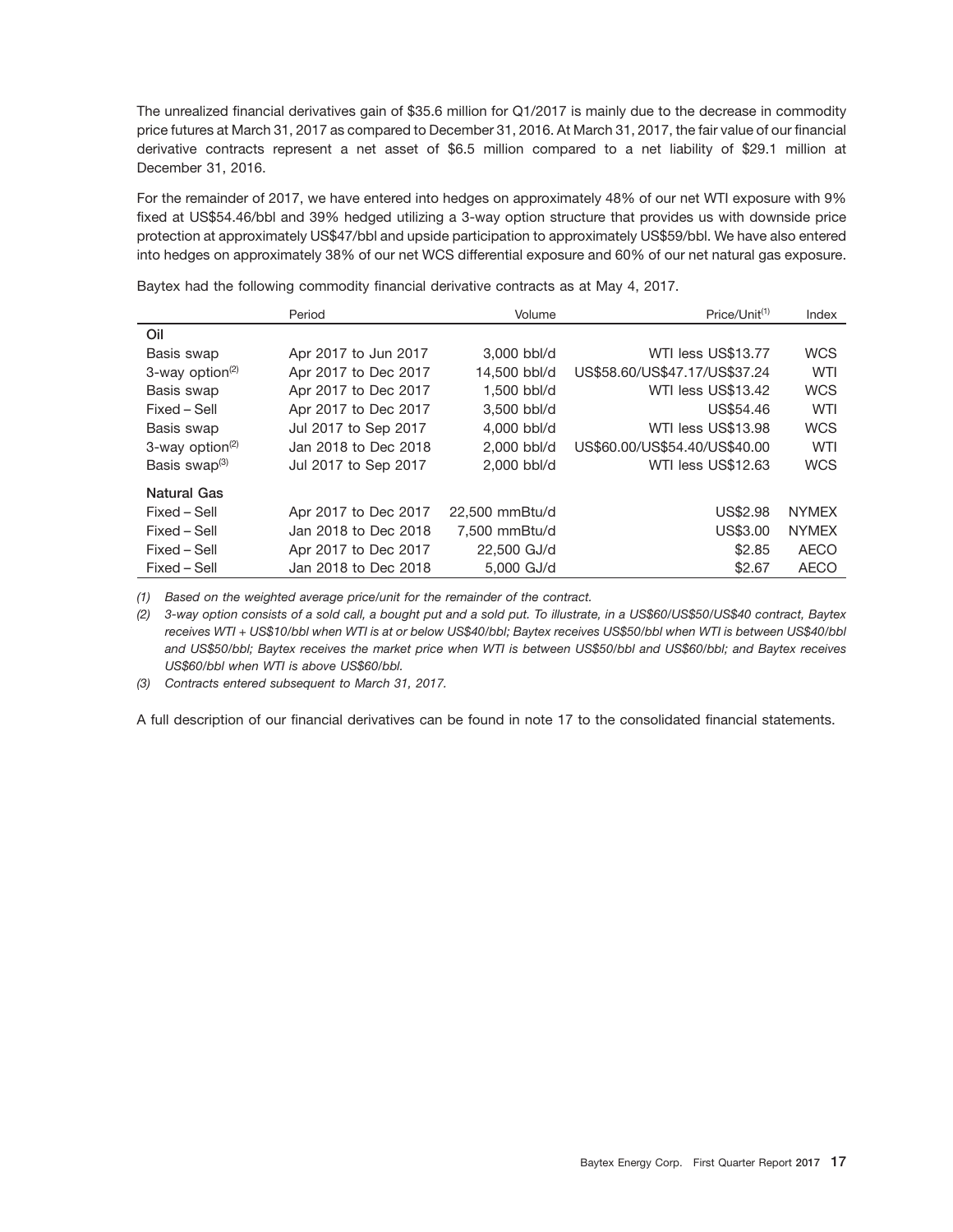The unrealized financial derivatives gain of \$35.6 million for Q1/2017 is mainly due to the decrease in commodity price futures at March 31, 2017 as compared to December 31, 2016. At March 31, 2017, the fair value of our financial derivative contracts represent a net asset of \$6.5 million compared to a net liability of \$29.1 million at December 31, 2016.

For the remainder of 2017, we have entered into hedges on approximately 48% of our net WTI exposure with 9% fixed at US\$54.46/bbl and 39% hedged utilizing a 3-way option structure that provides us with downside price protection at approximately US\$47/bbl and upside participation to approximately US\$59/bbl. We have also entered into hedges on approximately 38% of our net WCS differential exposure and 60% of our net natural gas exposure.

Baytex had the following commodity financial derivative contracts as at May 4, 2017.

|                             | Period               | Volume         | Price/Unit <sup>(1)</sup>     | Index        |
|-----------------------------|----------------------|----------------|-------------------------------|--------------|
| Oil                         |                      |                |                               |              |
| Basis swap                  | Apr 2017 to Jun 2017 | 3,000 bbl/d    | WTI less US\$13.77            | <b>WCS</b>   |
| 3-way option <sup>(2)</sup> | Apr 2017 to Dec 2017 | 14.500 bbl/d   | US\$58.60/US\$47.17/US\$37.24 | <b>WTI</b>   |
| Basis swap                  | Apr 2017 to Dec 2017 | 1.500 bbl/d    | WTI less US\$13.42            | <b>WCS</b>   |
| Fixed - Sell                | Apr 2017 to Dec 2017 | 3.500 bbl/d    | US\$54.46                     | WTI          |
| Basis swap                  | Jul 2017 to Sep 2017 | 4.000 bbl/d    | WTI less US\$13.98            | <b>WCS</b>   |
| 3-way option $(2)$          | Jan 2018 to Dec 2018 | 2.000 bbl/d    | US\$60.00/US\$54.40/US\$40.00 | WTI          |
| Basis swap $(3)$            | Jul 2017 to Sep 2017 | 2,000 bbl/d    | WTI less US\$12.63            | <b>WCS</b>   |
| <b>Natural Gas</b>          |                      |                |                               |              |
| Fixed - Sell                | Apr 2017 to Dec 2017 | 22.500 mmBtu/d | <b>US\$2.98</b>               | <b>NYMEX</b> |
| Fixed – Sell                | Jan 2018 to Dec 2018 | 7.500 mmBtu/d  | US\$3.00                      | <b>NYMEX</b> |
| Fixed - Sell                | Apr 2017 to Dec 2017 | 22,500 GJ/d    | \$2.85                        | <b>AECO</b>  |
| Fixed – Sell                | Jan 2018 to Dec 2018 | 5,000 GJ/d     | \$2.67                        | <b>AECO</b>  |

*(1) Based on the weighted average price/unit for the remainder of the contract.*

*(2) 3-way option consists of a sold call, a bought put and a sold put. To illustrate, in a US\$60/US\$50/US\$40 contract, Baytex receives WTI + US\$10/bbl when WTI is at or below US\$40/bbl; Baytex receives US\$50/bbl when WTI is between US\$40/bbl and US\$50/bbl; Baytex receives the market price when WTI is between US\$50/bbl and US\$60/bbl; and Baytex receives US\$60/bbl when WTI is above US\$60/bbl.*

*(3) Contracts entered subsequent to March 31, 2017.*

A full description of our financial derivatives can be found in note 17 to the consolidated financial statements.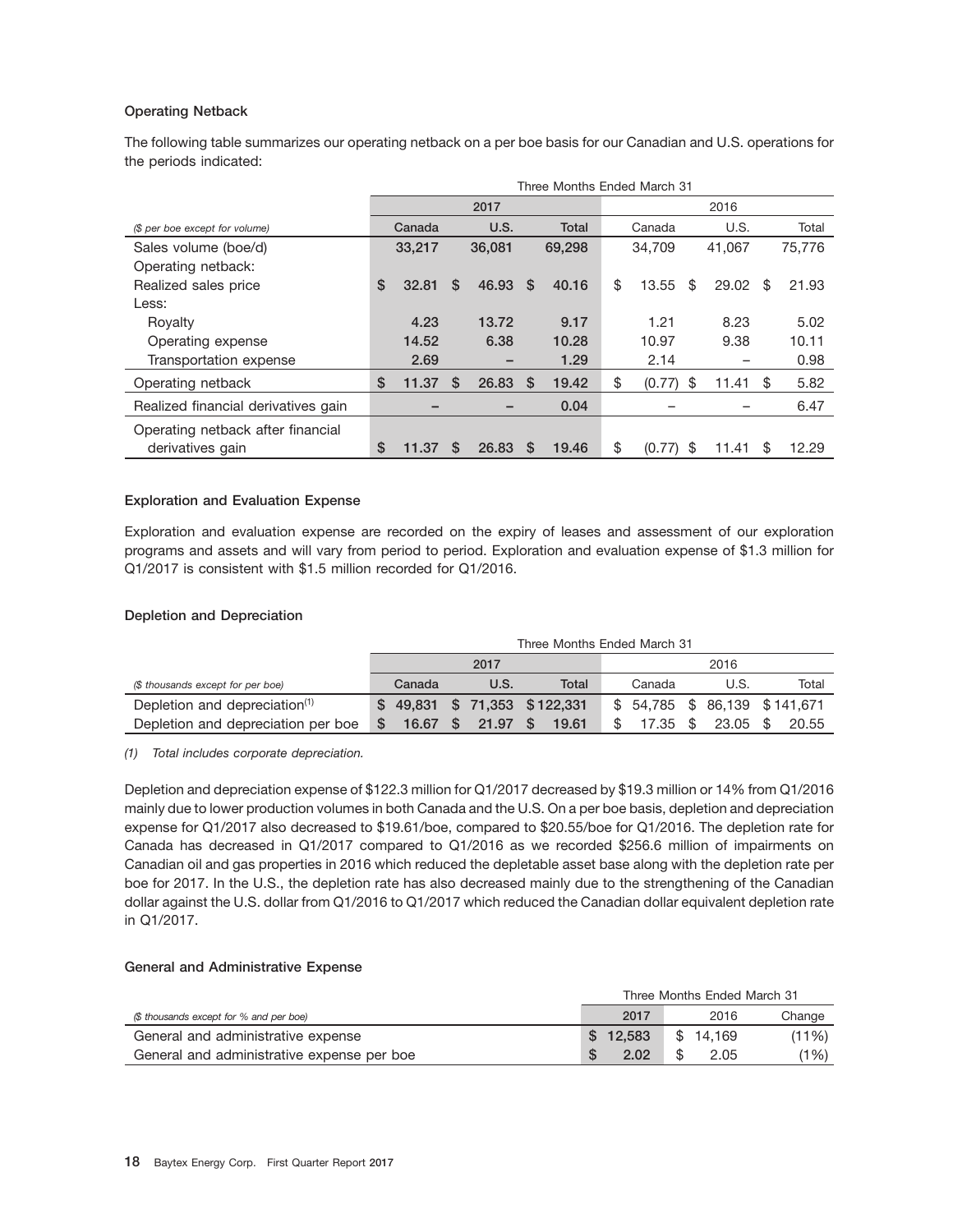#### **Operating Netback**

The following table summarizes our operating netback on a per boe basis for our Canadian and U.S. operations for the periods indicated:

|                                     |             |          |                          |     | Three Months Ended March 31 |              |    |        |    |        |
|-------------------------------------|-------------|----------|--------------------------|-----|-----------------------------|--------------|----|--------|----|--------|
|                                     |             |          | 2017                     |     |                             |              |    | 2016   |    |        |
| (\$ per boe except for volume)      | Canada      |          | U.S.                     |     | <b>Total</b>                | Canada       |    | U.S.   |    | Total  |
| Sales volume (boe/d)                | 33,217      |          | 36,081                   |     | 69,298                      | 34.709       |    | 41.067 |    | 75,776 |
| Operating netback:                  |             |          |                          |     |                             |              |    |        |    |        |
| Realized sales price                | \$<br>32.81 | \$.      | 46.93                    | -S  | 40.16                       | \$<br>13.55  | S  | 29.02  | S  | 21.93  |
| Less:                               |             |          |                          |     |                             |              |    |        |    |        |
| Royalty                             | 4.23        |          | 13.72                    |     | 9.17                        | 1.21         |    | 8.23   |    | 5.02   |
| Operating expense                   | 14.52       |          | 6.38                     |     | 10.28                       | 10.97        |    | 9.38   |    | 10.11  |
| Transportation expense              | 2.69        |          | $\overline{\phantom{0}}$ |     | 1.29                        | 2.14         |    |        |    | 0.98   |
| Operating netback                   | \$<br>11.37 | S        | 26.83                    | -S  | 19.42                       | \$<br>(0.77) | \$ | 11.41  | \$ | 5.82   |
| Realized financial derivatives gain |             |          |                          |     | 0.04                        |              |    |        |    | 6.47   |
| Operating netback after financial   |             |          |                          |     |                             |              |    |        |    |        |
| derivatives gain                    | \$<br>11.37 | <b>S</b> | 26.83                    | - S | 19.46                       | \$<br>(0.77) | \$ | 11.41  | \$ | 12.29  |

#### **Exploration and Evaluation Expense**

Exploration and evaluation expense are recorded on the expiry of leases and assessment of our exploration programs and assets and will vary from period to period. Exploration and evaluation expense of \$1.3 million for Q1/2017 is consistent with \$1.5 million recorded for Q1/2016.

#### **Depletion and Depreciation**

|                                           | Three Months Ended March 31    |  |       |     |       |  |          |  |                               |  |       |  |
|-------------------------------------------|--------------------------------|--|-------|-----|-------|--|----------|--|-------------------------------|--|-------|--|
|                                           | 2017                           |  |       |     |       |  | 2016     |  |                               |  |       |  |
| (\$ thousands except for per boe)         | Canada                         |  | U.S.  |     | Total |  | Canada   |  | U.S.                          |  | Total |  |
| Depletion and depreciation <sup>(1)</sup> | $$49,831$ $$71,353$ $$122,331$ |  |       |     |       |  |          |  | \$ 54,785 \$ 86,139 \$141,671 |  |       |  |
| Depletion and depreciation per boe        | 16.67 S                        |  | 21.97 | 8 S | 19.61 |  | 17.35 \$ |  | 23.05 \$                      |  | 20.55 |  |

*(1) Total includes corporate depreciation.*

Depletion and depreciation expense of \$122.3 million for Q1/2017 decreased by \$19.3 million or 14% from Q1/2016 mainly due to lower production volumes in both Canada and the U.S. On a per boe basis, depletion and depreciation expense for Q1/2017 also decreased to \$19.61/boe, compared to \$20.55/boe for Q1/2016. The depletion rate for Canada has decreased in Q1/2017 compared to Q1/2016 as we recorded \$256.6 million of impairments on Canadian oil and gas properties in 2016 which reduced the depletable asset base along with the depletion rate per boe for 2017. In the U.S., the depletion rate has also decreased mainly due to the strengthening of the Canadian dollar against the U.S. dollar from Q1/2016 to Q1/2017 which reduced the Canadian dollar equivalent depletion rate in Q1/2017.

#### **General and Administrative Expense**

|                                            | Three Months Ended March 31 |           |        |  |  |  |  |  |  |
|--------------------------------------------|-----------------------------|-----------|--------|--|--|--|--|--|--|
| (\$ thousands except for % and per boe)    | 2017                        | 2016      | Change |  |  |  |  |  |  |
| General and administrative expense         | \$12.583                    | \$14.169  | (11%)  |  |  |  |  |  |  |
| General and administrative expense per boe | 2.02                        | S<br>2.05 | (1%)   |  |  |  |  |  |  |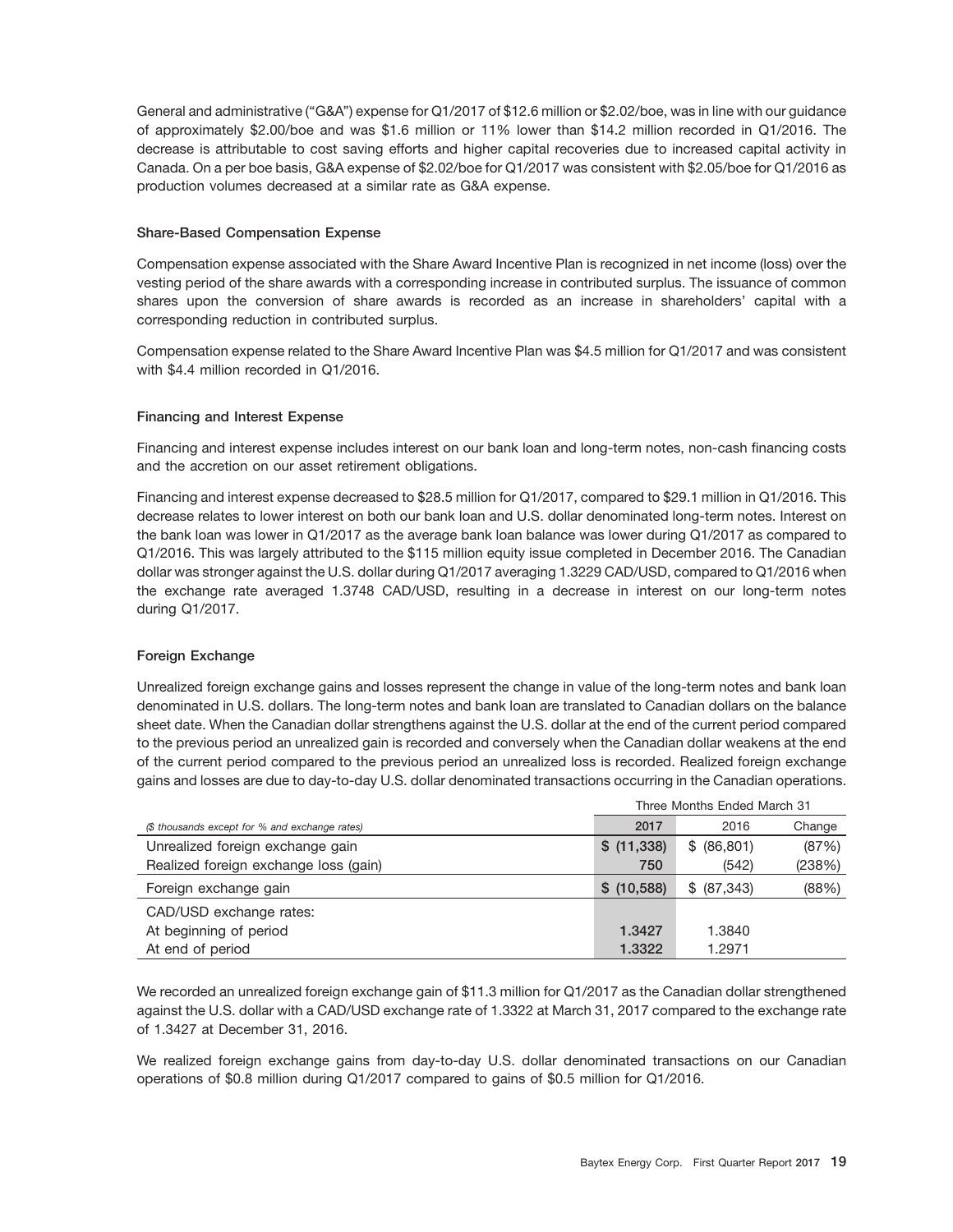General and administrative (''G&A'') expense for Q1/2017 of \$12.6 million or \$2.02/boe, was in line with our guidance of approximately \$2.00/boe and was \$1.6 million or 11% lower than \$14.2 million recorded in Q1/2016. The decrease is attributable to cost saving efforts and higher capital recoveries due to increased capital activity in Canada. On a per boe basis, G&A expense of \$2.02/boe for Q1/2017 was consistent with \$2.05/boe for Q1/2016 as production volumes decreased at a similar rate as G&A expense.

#### **Share-Based Compensation Expense**

Compensation expense associated with the Share Award Incentive Plan is recognized in net income (loss) over the vesting period of the share awards with a corresponding increase in contributed surplus. The issuance of common shares upon the conversion of share awards is recorded as an increase in shareholders' capital with a corresponding reduction in contributed surplus.

Compensation expense related to the Share Award Incentive Plan was \$4.5 million for Q1/2017 and was consistent with \$4.4 million recorded in Q1/2016.

#### **Financing and Interest Expense**

Financing and interest expense includes interest on our bank loan and long-term notes, non-cash financing costs and the accretion on our asset retirement obligations.

Financing and interest expense decreased to \$28.5 million for Q1/2017, compared to \$29.1 million in Q1/2016. This decrease relates to lower interest on both our bank loan and U.S. dollar denominated long-term notes. Interest on the bank loan was lower in Q1/2017 as the average bank loan balance was lower during Q1/2017 as compared to Q1/2016. This was largely attributed to the \$115 million equity issue completed in December 2016. The Canadian dollar was stronger against the U.S. dollar during Q1/2017 averaging 1.3229 CAD/USD, compared to Q1/2016 when the exchange rate averaged 1.3748 CAD/USD, resulting in a decrease in interest on our long-term notes during Q1/2017.

### **Foreign Exchange**

Unrealized foreign exchange gains and losses represent the change in value of the long-term notes and bank loan denominated in U.S. dollars. The long-term notes and bank loan are translated to Canadian dollars on the balance sheet date. When the Canadian dollar strengthens against the U.S. dollar at the end of the current period compared to the previous period an unrealized gain is recorded and conversely when the Canadian dollar weakens at the end of the current period compared to the previous period an unrealized loss is recorded. Realized foreign exchange gains and losses are due to day-to-day U.S. dollar denominated transactions occurring in the Canadian operations.

|                                                | Three Months Ended March 31 |             |        |  |  |  |  |
|------------------------------------------------|-----------------------------|-------------|--------|--|--|--|--|
| (\$ thousands except for % and exchange rates) | 2017                        | 2016        | Change |  |  |  |  |
| Unrealized foreign exchange gain               | \$ (11,338)                 | \$ (86,801) | (87%)  |  |  |  |  |
| Realized foreign exchange loss (gain)          | 750                         | (542)       | (238%) |  |  |  |  |
| Foreign exchange gain                          | \$ (10,588)                 | \$ (87,343) | (88%)  |  |  |  |  |
| CAD/USD exchange rates:                        |                             |             |        |  |  |  |  |
| At beginning of period                         | 1.3427                      | 1.3840      |        |  |  |  |  |
| At end of period                               | 1.3322                      | 1.2971      |        |  |  |  |  |

We recorded an unrealized foreign exchange gain of \$11.3 million for Q1/2017 as the Canadian dollar strengthened against the U.S. dollar with a CAD/USD exchange rate of 1.3322 at March 31, 2017 compared to the exchange rate of 1.3427 at December 31, 2016.

We realized foreign exchange gains from day-to-day U.S. dollar denominated transactions on our Canadian operations of \$0.8 million during Q1/2017 compared to gains of \$0.5 million for Q1/2016.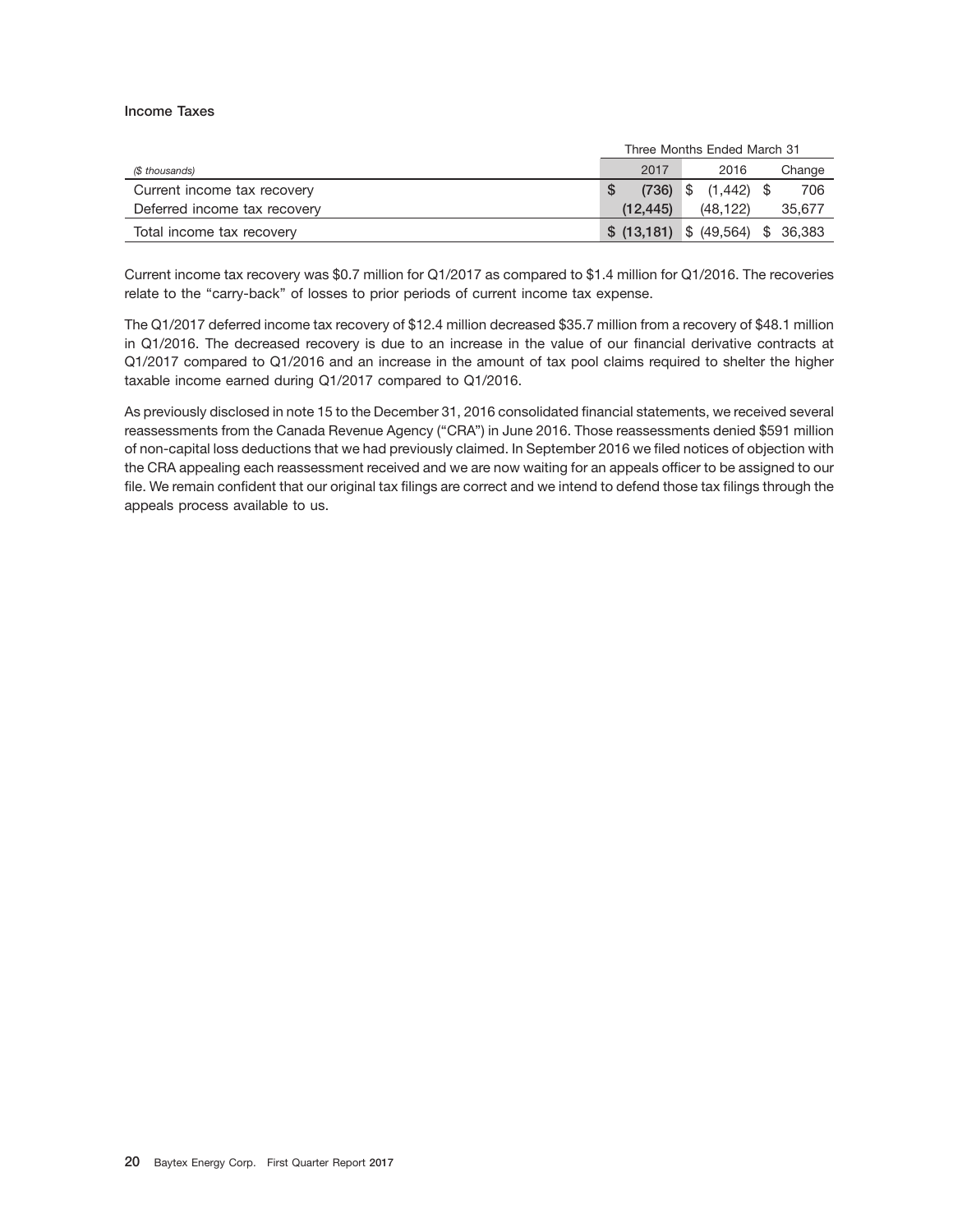#### **Income Taxes**

|                              |                                      | Three Months Ended March 31 |        |  |  |  |  |
|------------------------------|--------------------------------------|-----------------------------|--------|--|--|--|--|
| (\$ thousands)               | 2017                                 | 2016                        | Change |  |  |  |  |
| Current income tax recovery  |                                      | $(736)$ \$ $(1,442)$ \$     | 706    |  |  |  |  |
| Deferred income tax recovery | (12.445)                             | (48.122)                    | 35,677 |  |  |  |  |
| Total income tax recovery    | $$$ (13,181) $$$ (49,564) $$$ 36,383 |                             |        |  |  |  |  |

Current income tax recovery was \$0.7 million for Q1/2017 as compared to \$1.4 million for Q1/2016. The recoveries relate to the "carry-back" of losses to prior periods of current income tax expense.

The Q1/2017 deferred income tax recovery of \$12.4 million decreased \$35.7 million from a recovery of \$48.1 million in Q1/2016. The decreased recovery is due to an increase in the value of our financial derivative contracts at Q1/2017 compared to Q1/2016 and an increase in the amount of tax pool claims required to shelter the higher taxable income earned during Q1/2017 compared to Q1/2016.

As previously disclosed in note 15 to the December 31, 2016 consolidated financial statements, we received several reassessments from the Canada Revenue Agency (''CRA'') in June 2016. Those reassessments denied \$591 million of non-capital loss deductions that we had previously claimed. In September 2016 we filed notices of objection with the CRA appealing each reassessment received and we are now waiting for an appeals officer to be assigned to our file. We remain confident that our original tax filings are correct and we intend to defend those tax filings through the appeals process available to us.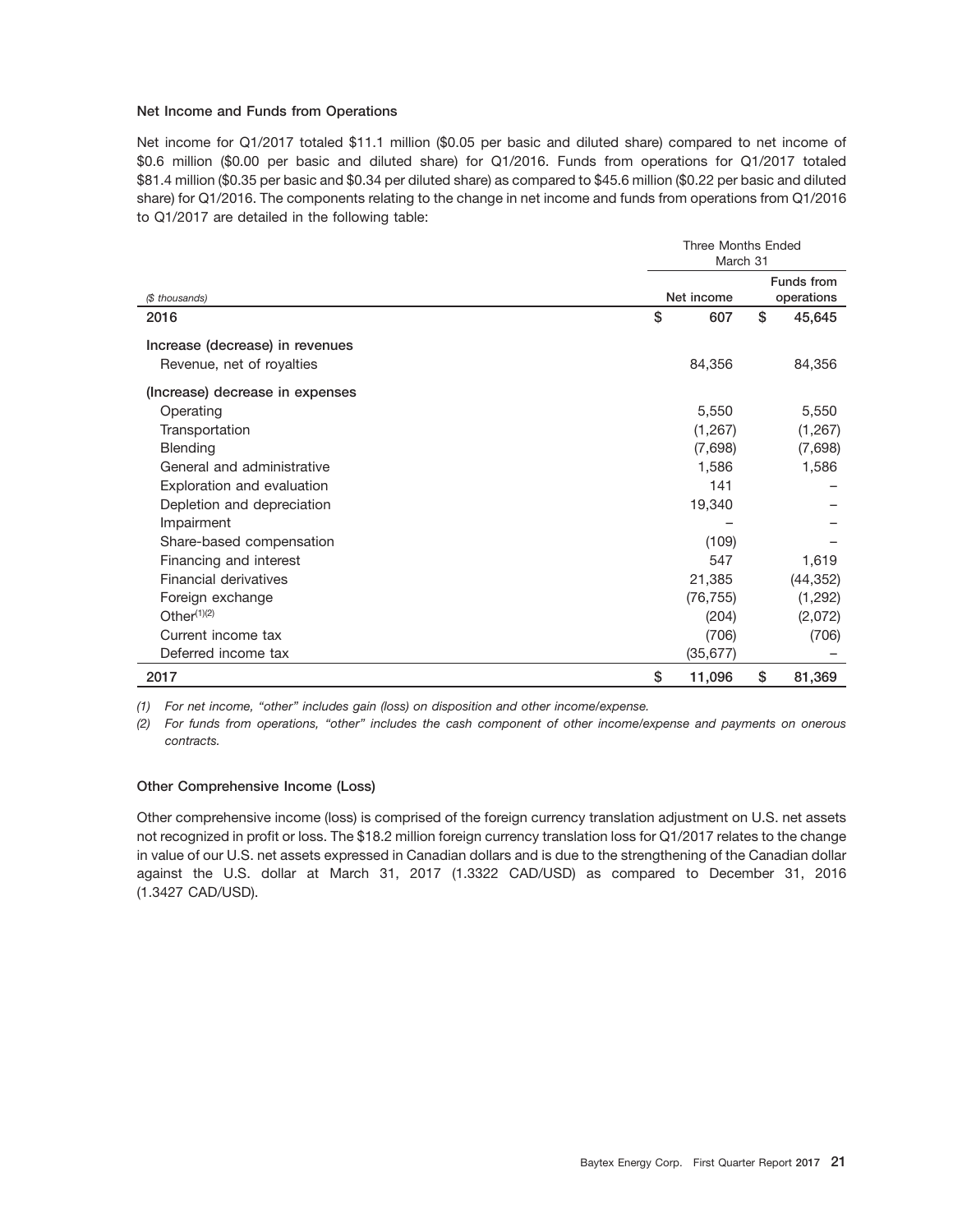#### **Net Income and Funds from Operations**

Net income for Q1/2017 totaled \$11.1 million (\$0.05 per basic and diluted share) compared to net income of \$0.6 million (\$0.00 per basic and diluted share) for Q1/2016. Funds from operations for Q1/2017 totaled \$81.4 million (\$0.35 per basic and \$0.34 per diluted share) as compared to \$45.6 million (\$0.22 per basic and diluted share) for Q1/2016. The components relating to the change in net income and funds from operations from Q1/2016 to Q1/2017 are detailed in the following table:

|                                 | <b>Three Months Ended</b><br>March 31 |    |                          |  |  |  |  |
|---------------------------------|---------------------------------------|----|--------------------------|--|--|--|--|
| (\$ thousands)                  | Net income                            |    | Funds from<br>operations |  |  |  |  |
| 2016                            | \$<br>607                             | \$ | 45,645                   |  |  |  |  |
| Increase (decrease) in revenues |                                       |    |                          |  |  |  |  |
| Revenue, net of royalties       | 84,356                                |    | 84,356                   |  |  |  |  |
| (Increase) decrease in expenses |                                       |    |                          |  |  |  |  |
| Operating                       | 5,550                                 |    | 5,550                    |  |  |  |  |
| Transportation                  | (1, 267)                              |    | (1,267)                  |  |  |  |  |
| <b>Blending</b>                 | (7,698)                               |    | (7,698)                  |  |  |  |  |
| General and administrative      | 1,586                                 |    | 1,586                    |  |  |  |  |
| Exploration and evaluation      | 141                                   |    |                          |  |  |  |  |
| Depletion and depreciation      | 19,340                                |    |                          |  |  |  |  |
| Impairment                      |                                       |    |                          |  |  |  |  |
| Share-based compensation        | (109)                                 |    |                          |  |  |  |  |
| Financing and interest          | 547                                   |    | 1,619                    |  |  |  |  |
| Financial derivatives           | 21,385                                |    | (44, 352)                |  |  |  |  |
| Foreign exchange                | (76, 755)                             |    | (1, 292)                 |  |  |  |  |
| Other $(1)(2)$                  | (204)                                 |    | (2,072)                  |  |  |  |  |
| Current income tax              | (706)                                 |    | (706)                    |  |  |  |  |
| Deferred income tax             | (35, 677)                             |    |                          |  |  |  |  |
| 2017                            | \$<br>11,096                          | \$ | 81,369                   |  |  |  |  |

*(1) For net income, ''other'' includes gain (loss) on disposition and other income/expense.*

*(2) For funds from operations, ''other'' includes the cash component of other income/expense and payments on onerous contracts.*

#### **Other Comprehensive Income (Loss)**

Other comprehensive income (loss) is comprised of the foreign currency translation adjustment on U.S. net assets not recognized in profit or loss. The \$18.2 million foreign currency translation loss for Q1/2017 relates to the change in value of our U.S. net assets expressed in Canadian dollars and is due to the strengthening of the Canadian dollar against the U.S. dollar at March 31, 2017 (1.3322 CAD/USD) as compared to December 31, 2016 (1.3427 CAD/USD).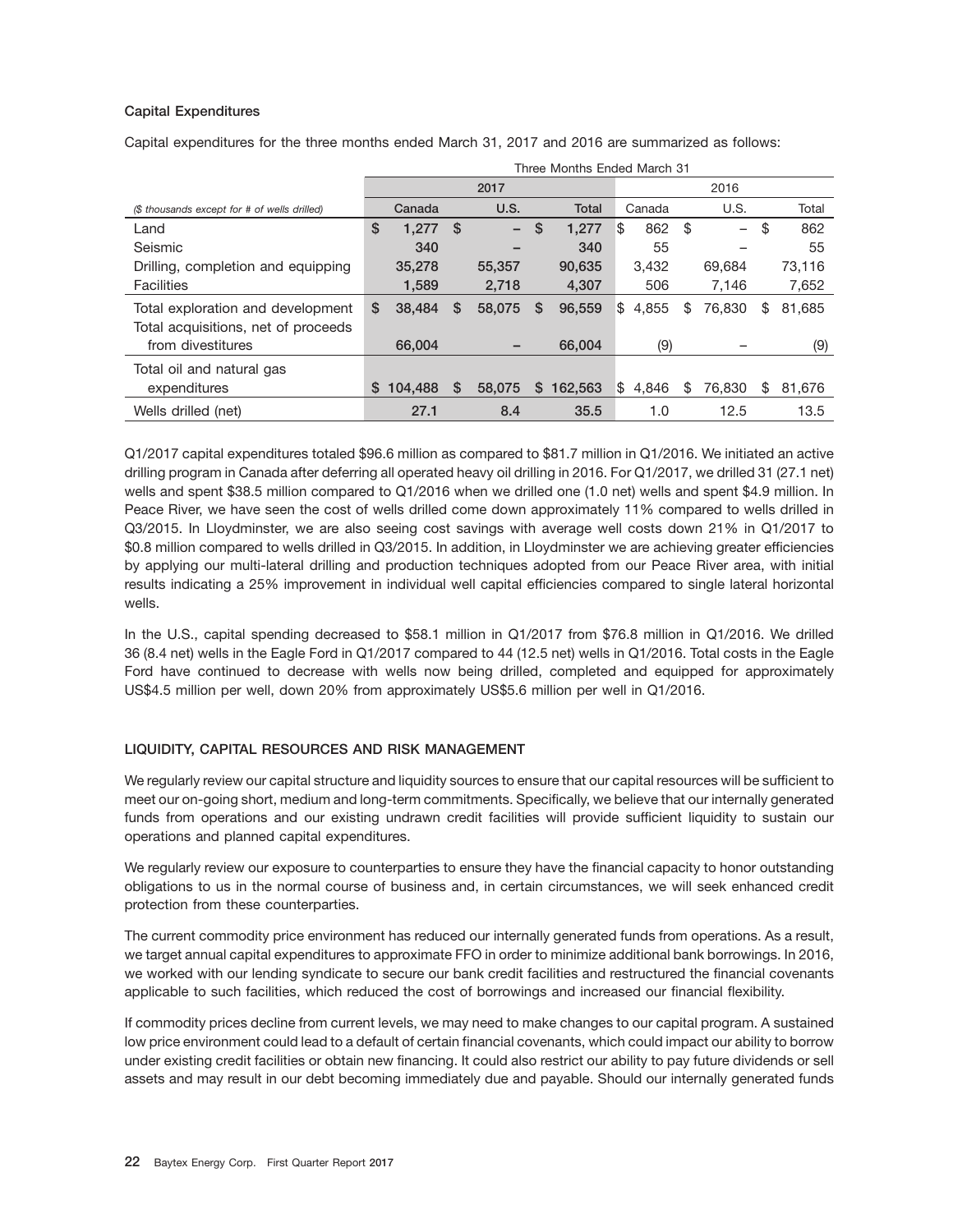#### **Capital Expenditures**

Capital expenditures for the three months ended March 31, 2017 and 2016 are summarized as follows:

|                                              |    | Three Months Ended March 31 |               |        |   |              |      |        |    |                          |    |        |
|----------------------------------------------|----|-----------------------------|---------------|--------|---|--------------|------|--------|----|--------------------------|----|--------|
|                                              |    |                             |               | 2017   |   |              | 2016 |        |    |                          |    |        |
| (\$ thousands except for # of wells drilled) |    | Canada                      |               | U.S.   |   | <b>Total</b> |      | Canada |    | U.S.                     |    | Total  |
| Land                                         | \$ | 1.277                       | <sup>\$</sup> | -      | S | 1.277        | \$   | 862    | \$ | $\overline{\phantom{0}}$ | \$ | 862    |
| Seismic                                      |    | 340                         |               | -      |   | 340          |      | 55     |    |                          |    | 55     |
| Drilling, completion and equipping           |    | 35,278                      |               | 55,357 |   | 90,635       |      | 3,432  |    | 69.684                   |    | 73,116 |
| <b>Facilities</b>                            |    | 1,589                       |               | 2,718  |   | 4,307        |      | 506    |    | 7,146                    |    | 7,652  |
| Total exploration and development            | \$ | 38,484                      | \$            | 58,075 | S | 96,559       | ß.   | 4,855  | \$ | 76.830                   | \$ | 81,685 |
| Total acquisitions, net of proceeds          |    |                             |               |        |   |              |      |        |    |                          |    |        |
| from divestitures                            |    | 66,004                      |               |        |   | 66,004       |      | (9)    |    |                          |    | (9)    |
| Total oil and natural gas                    |    |                             |               |        |   |              |      |        |    |                          |    |        |
| expenditures                                 | S. | 104.488                     | S             | 58,075 | S | 162.563      | ß.   | 4,846  | S  | 76.830                   | S  | 81,676 |
| Wells drilled (net)                          |    | 27.1                        |               | 8.4    |   | 35.5         |      | 1.0    |    | 12.5                     |    | 13.5   |

Q1/2017 capital expenditures totaled \$96.6 million as compared to \$81.7 million in Q1/2016. We initiated an active drilling program in Canada after deferring all operated heavy oil drilling in 2016. For Q1/2017, we drilled 31 (27.1 net) wells and spent \$38.5 million compared to Q1/2016 when we drilled one (1.0 net) wells and spent \$4.9 million. In Peace River, we have seen the cost of wells drilled come down approximately 11% compared to wells drilled in Q3/2015. In Lloydminster, we are also seeing cost savings with average well costs down 21% in Q1/2017 to \$0.8 million compared to wells drilled in Q3/2015. In addition, in Lloydminster we are achieving greater efficiencies by applying our multi-lateral drilling and production techniques adopted from our Peace River area, with initial results indicating a 25% improvement in individual well capital efficiencies compared to single lateral horizontal wells.

In the U.S., capital spending decreased to \$58.1 million in Q1/2017 from \$76.8 million in Q1/2016. We drilled 36 (8.4 net) wells in the Eagle Ford in Q1/2017 compared to 44 (12.5 net) wells in Q1/2016. Total costs in the Eagle Ford have continued to decrease with wells now being drilled, completed and equipped for approximately US\$4.5 million per well, down 20% from approximately US\$5.6 million per well in Q1/2016.

#### **LIQUIDITY, CAPITAL RESOURCES AND RISK MANAGEMENT**

We regularly review our capital structure and liquidity sources to ensure that our capital resources will be sufficient to meet our on-going short, medium and long-term commitments. Specifically, we believe that our internally generated funds from operations and our existing undrawn credit facilities will provide sufficient liquidity to sustain our operations and planned capital expenditures.

We regularly review our exposure to counterparties to ensure they have the financial capacity to honor outstanding obligations to us in the normal course of business and, in certain circumstances, we will seek enhanced credit protection from these counterparties.

The current commodity price environment has reduced our internally generated funds from operations. As a result, we target annual capital expenditures to approximate FFO in order to minimize additional bank borrowings. In 2016, we worked with our lending syndicate to secure our bank credit facilities and restructured the financial covenants applicable to such facilities, which reduced the cost of borrowings and increased our financial flexibility.

If commodity prices decline from current levels, we may need to make changes to our capital program. A sustained low price environment could lead to a default of certain financial covenants, which could impact our ability to borrow under existing credit facilities or obtain new financing. It could also restrict our ability to pay future dividends or sell assets and may result in our debt becoming immediately due and payable. Should our internally generated funds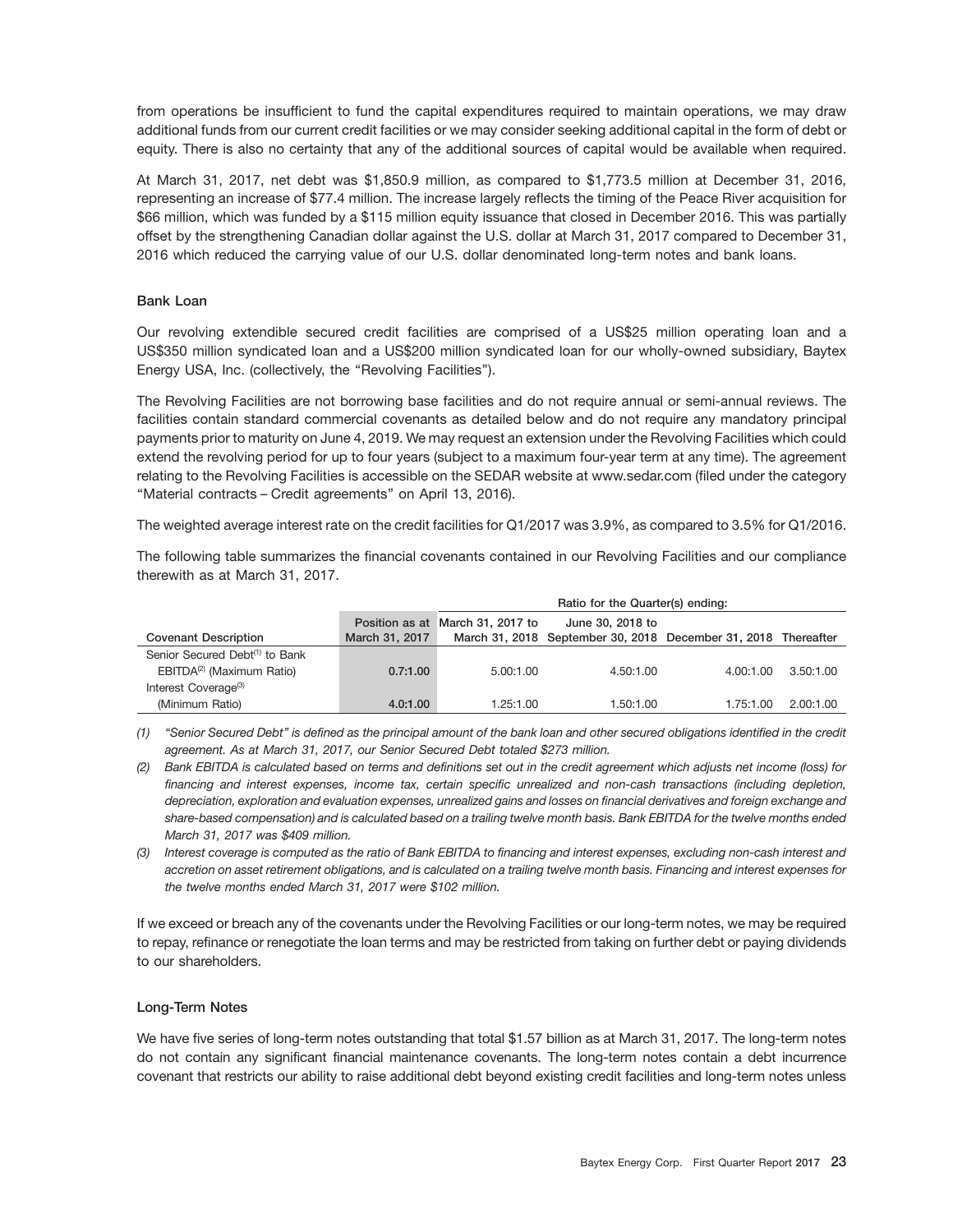from operations be insufficient to fund the capital expenditures required to maintain operations, we may draw additional funds from our current credit facilities or we may consider seeking additional capital in the form of debt or equity. There is also no certainty that any of the additional sources of capital would be available when required.

At March 31, 2017, net debt was \$1,850.9 million, as compared to \$1,773.5 million at December 31, 2016, representing an increase of \$77.4 million. The increase largely reflects the timing of the Peace River acquisition for \$66 million, which was funded by a \$115 million equity issuance that closed in December 2016. This was partially offset by the strengthening Canadian dollar against the U.S. dollar at March 31, 2017 compared to December 31, 2016 which reduced the carrying value of our U.S. dollar denominated long-term notes and bank loans.

#### **Bank Loan**

Our revolving extendible secured credit facilities are comprised of a US\$25 million operating loan and a US\$350 million syndicated loan and a US\$200 million syndicated loan for our wholly-owned subsidiary, Baytex Energy USA, Inc. (collectively, the "Revolving Facilities").

The Revolving Facilities are not borrowing base facilities and do not require annual or semi-annual reviews. The facilities contain standard commercial covenants as detailed below and do not require any mandatory principal payments prior to maturity on June 4, 2019. We may request an extension under the Revolving Facilities which could extend the revolving period for up to four years (subject to a maximum four-year term at any time). The agreement relating to the Revolving Facilities is accessible on the SEDAR website at www.sedar.com (filed under the category "Material contracts - Credit agreements" on April 13, 2016).

The weighted average interest rate on the credit facilities for Q1/2017 was 3.9%, as compared to 3.5% for Q1/2016.

The following table summarizes the financial covenants contained in our Revolving Facilities and our compliance therewith as at March 31, 2017.

|                                            |                | Ratio for the Quarter(s) ending: |                                                                                    |           |           |  |  |  |  |  |  |
|--------------------------------------------|----------------|----------------------------------|------------------------------------------------------------------------------------|-----------|-----------|--|--|--|--|--|--|
| <b>Covenant Description</b>                | March 31, 2017 | Position as at March 31, 2017 to | June 30, 2018 to<br>March 31, 2018 September 30, 2018 December 31, 2018 Thereafter |           |           |  |  |  |  |  |  |
|                                            |                |                                  |                                                                                    |           |           |  |  |  |  |  |  |
| Senior Secured Debt <sup>(1)</sup> to Bank |                |                                  |                                                                                    |           |           |  |  |  |  |  |  |
| EBITDA <sup>(2)</sup> (Maximum Ratio)      | 0.7:1.00       | 5.00:1.00                        | 4.50:1.00                                                                          | 4.00:1.00 | 3.50:1.00 |  |  |  |  |  |  |
| Interest Coverage <sup>(3)</sup>           |                |                                  |                                                                                    |           |           |  |  |  |  |  |  |
| (Minimum Ratio)                            | 4.0:1.00       | 1.25:1.00                        | 1.50:1.00                                                                          | 1.75:1.00 | 2.00:1.00 |  |  |  |  |  |  |

*(1) ''Senior Secured Debt'' is defined as the principal amount of the bank loan and other secured obligations identified in the credit agreement. As at March 31, 2017, our Senior Secured Debt totaled \$273 million.*

If we exceed or breach any of the covenants under the Revolving Facilities or our long-term notes, we may be required to repay, refinance or renegotiate the loan terms and may be restricted from taking on further debt or paying dividends to our shareholders.

#### **Long-Term Notes**

We have five series of long-term notes outstanding that total \$1.57 billion as at March 31, 2017. The long-term notes do not contain any significant financial maintenance covenants. The long-term notes contain a debt incurrence covenant that restricts our ability to raise additional debt beyond existing credit facilities and long-term notes unless

*<sup>(2)</sup> Bank EBITDA is calculated based on terms and definitions set out in the credit agreement which adjusts net income (loss) for financing and interest expenses, income tax, certain specific unrealized and non-cash transactions (including depletion, depreciation, exploration and evaluation expenses, unrealized gains and losses on financial derivatives and foreign exchange and share-based compensation) and is calculated based on a trailing twelve month basis. Bank EBITDA for the twelve months ended March 31, 2017 was \$409 million.*

*<sup>(3)</sup> Interest coverage is computed as the ratio of Bank EBITDA to financing and interest expenses, excluding non-cash interest and accretion on asset retirement obligations, and is calculated on a trailing twelve month basis. Financing and interest expenses for the twelve months ended March 31, 2017 were \$102 million.*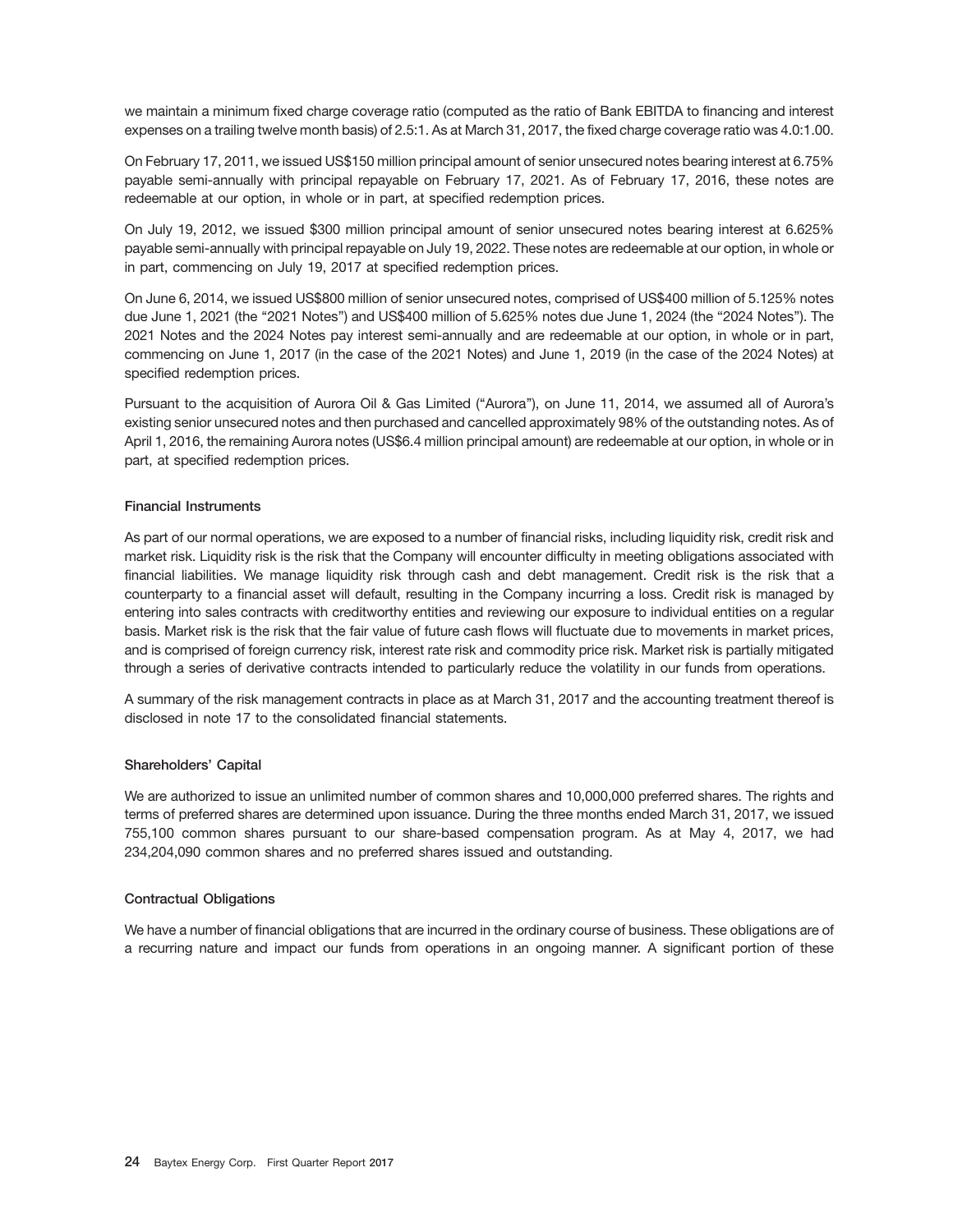we maintain a minimum fixed charge coverage ratio (computed as the ratio of Bank EBITDA to financing and interest expenses on a trailing twelve month basis) of 2.5:1. As at March 31, 2017, the fixed charge coverage ratio was 4.0:1.00.

On February 17, 2011, we issued US\$150 million principal amount of senior unsecured notes bearing interest at 6.75% payable semi-annually with principal repayable on February 17, 2021. As of February 17, 2016, these notes are redeemable at our option, in whole or in part, at specified redemption prices.

On July 19, 2012, we issued \$300 million principal amount of senior unsecured notes bearing interest at 6.625% payable semi-annually with principal repayable on July 19, 2022. These notes are redeemable at our option, in whole or in part, commencing on July 19, 2017 at specified redemption prices.

On June 6, 2014, we issued US\$800 million of senior unsecured notes, comprised of US\$400 million of 5.125% notes due June 1, 2021 (the "2021 Notes") and US\$400 million of 5.625% notes due June 1, 2024 (the "2024 Notes"). The 2021 Notes and the 2024 Notes pay interest semi-annually and are redeemable at our option, in whole or in part, commencing on June 1, 2017 (in the case of the 2021 Notes) and June 1, 2019 (in the case of the 2024 Notes) at specified redemption prices.

Pursuant to the acquisition of Aurora Oil & Gas Limited (''Aurora''), on June 11, 2014, we assumed all of Aurora's existing senior unsecured notes and then purchased and cancelled approximately 98% of the outstanding notes. As of April 1, 2016, the remaining Aurora notes (US\$6.4 million principal amount) are redeemable at our option, in whole or in part, at specified redemption prices.

#### **Financial Instruments**

As part of our normal operations, we are exposed to a number of financial risks, including liquidity risk, credit risk and market risk. Liquidity risk is the risk that the Company will encounter difficulty in meeting obligations associated with financial liabilities. We manage liquidity risk through cash and debt management. Credit risk is the risk that a counterparty to a financial asset will default, resulting in the Company incurring a loss. Credit risk is managed by entering into sales contracts with creditworthy entities and reviewing our exposure to individual entities on a regular basis. Market risk is the risk that the fair value of future cash flows will fluctuate due to movements in market prices, and is comprised of foreign currency risk, interest rate risk and commodity price risk. Market risk is partially mitigated through a series of derivative contracts intended to particularly reduce the volatility in our funds from operations.

A summary of the risk management contracts in place as at March 31, 2017 and the accounting treatment thereof is disclosed in note 17 to the consolidated financial statements.

#### **Shareholders' Capital**

We are authorized to issue an unlimited number of common shares and 10,000,000 preferred shares. The rights and terms of preferred shares are determined upon issuance. During the three months ended March 31, 2017, we issued 755,100 common shares pursuant to our share-based compensation program. As at May 4, 2017, we had 234,204,090 common shares and no preferred shares issued and outstanding.

#### **Contractual Obligations**

We have a number of financial obligations that are incurred in the ordinary course of business. These obligations are of a recurring nature and impact our funds from operations in an ongoing manner. A significant portion of these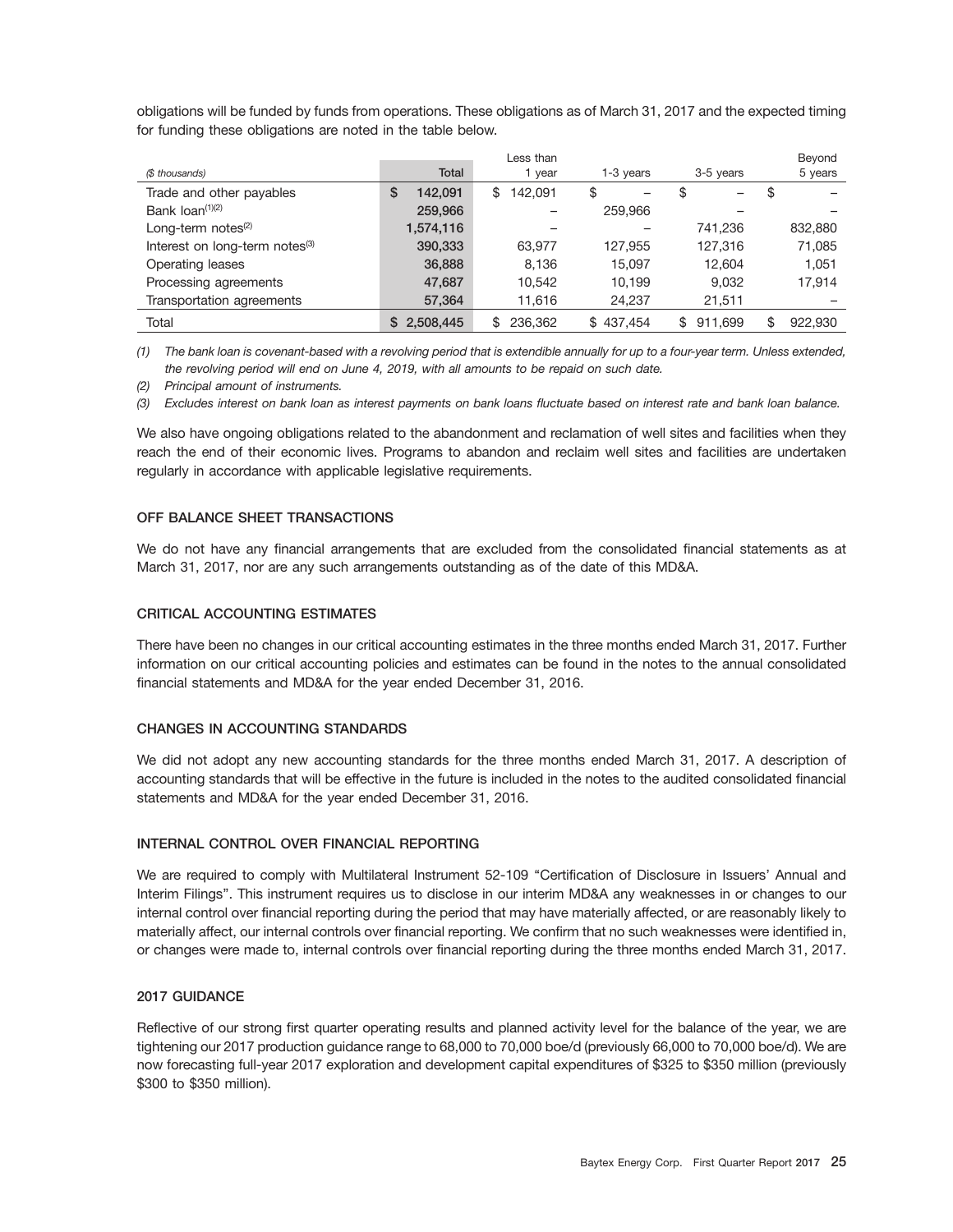obligations will be funded by funds from operations. These obligations as of March 31, 2017 and the expected timing for funding these obligations are noted in the table below.

|                                            |              | Less than     |           |               | Beyond        |
|--------------------------------------------|--------------|---------------|-----------|---------------|---------------|
| (\$ thousands)                             | <b>Total</b> | 1 year        | 1-3 years | 3-5 years     | 5 years       |
| Trade and other payables                   | S<br>142.091 | 142.091<br>\$ | \$        | \$            | \$            |
| Bank $\text{Ioan}^{(1)(2)}$                | 259,966      |               | 259,966   |               |               |
| Long-term notes $(2)$                      | 1,574,116    |               |           | 741.236       | 832,880       |
| Interest on long-term notes <sup>(3)</sup> | 390,333      | 63.977        | 127,955   | 127,316       | 71,085        |
| Operating leases                           | 36,888       | 8.136         | 15.097    | 12.604        | 1.051         |
| Processing agreements                      | 47,687       | 10.542        | 10.199    | 9.032         | 17,914        |
| Transportation agreements                  | 57,364       | 11,616        | 24,237    | 21,511        |               |
| Total                                      | 2,508,445    | 236.362<br>\$ | \$437.454 | 911.699<br>\$ | \$<br>922.930 |

*(1) The bank loan is covenant-based with a revolving period that is extendible annually for up to a four-year term. Unless extended, the revolving period will end on June 4, 2019, with all amounts to be repaid on such date.*

*(2) Principal amount of instruments.*

*(3) Excludes interest on bank loan as interest payments on bank loans fluctuate based on interest rate and bank loan balance.*

We also have ongoing obligations related to the abandonment and reclamation of well sites and facilities when they reach the end of their economic lives. Programs to abandon and reclaim well sites and facilities are undertaken regularly in accordance with applicable legislative requirements.

#### **OFF BALANCE SHEET TRANSACTIONS**

We do not have any financial arrangements that are excluded from the consolidated financial statements as at March 31, 2017, nor are any such arrangements outstanding as of the date of this MD&A.

#### **CRITICAL ACCOUNTING ESTIMATES**

There have been no changes in our critical accounting estimates in the three months ended March 31, 2017. Further information on our critical accounting policies and estimates can be found in the notes to the annual consolidated financial statements and MD&A for the year ended December 31, 2016.

#### **CHANGES IN ACCOUNTING STANDARDS**

We did not adopt any new accounting standards for the three months ended March 31, 2017. A description of accounting standards that will be effective in the future is included in the notes to the audited consolidated financial statements and MD&A for the year ended December 31, 2016.

#### **INTERNAL CONTROL OVER FINANCIAL REPORTING**

We are required to comply with Multilateral Instrument 52-109 "Certification of Disclosure in Issuers' Annual and Interim Filings''. This instrument requires us to disclose in our interim MD&A any weaknesses in or changes to our internal control over financial reporting during the period that may have materially affected, or are reasonably likely to materially affect, our internal controls over financial reporting. We confirm that no such weaknesses were identified in, or changes were made to, internal controls over financial reporting during the three months ended March 31, 2017.

#### **2017 GUIDANCE**

Reflective of our strong first quarter operating results and planned activity level for the balance of the year, we are tightening our 2017 production guidance range to 68,000 to 70,000 boe/d (previously 66,000 to 70,000 boe/d). We are now forecasting full-year 2017 exploration and development capital expenditures of \$325 to \$350 million (previously \$300 to \$350 million).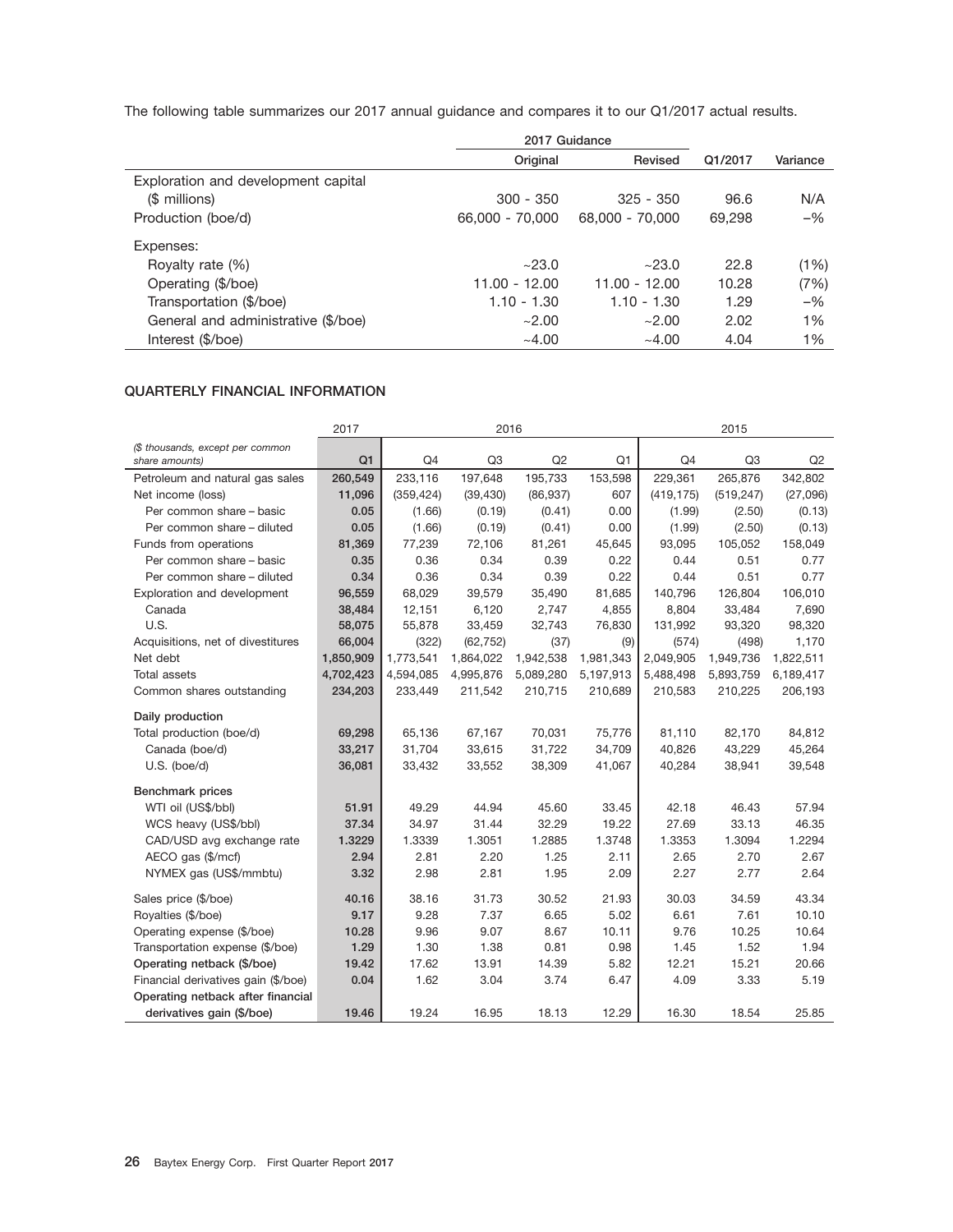The following table summarizes our 2017 annual guidance and compares it to our Q1/2017 actual results.

|                                     | 2017 Guidance   |                 |         |          |
|-------------------------------------|-----------------|-----------------|---------|----------|
|                                     | Original        | Revised         | Q1/2017 | Variance |
| Exploration and development capital |                 |                 |         |          |
| (\$ millions)                       | $300 - 350$     | $325 - 350$     | 96.6    | N/A      |
| Production (boe/d)                  | 66,000 - 70,000 | 68,000 - 70,000 | 69,298  | $-$ %    |
| Expenses:                           |                 |                 |         |          |
| Royalty rate (%)                    | ~23.0           | ~23.0           | 22.8    | (1%)     |
| Operating (\$/boe)                  | 11.00 - 12.00   | $11.00 - 12.00$ | 10.28   | (7%)     |
| Transportation (\$/boe)             | $1.10 - 1.30$   | $1.10 - 1.30$   | 1.29    | $-$ %    |
| General and administrative (\$/boe) | ~2.00           | ~2.00           | 2.02    | 1%       |
| Interest (\$/boe)                   | ~14.00          | ~1.00           | 4.04    | 1%       |

### **QUARTERLY FINANCIAL INFORMATION**

|                                                    | 2017      |                | 2016      |           |           |                | 2015           |           |
|----------------------------------------------------|-----------|----------------|-----------|-----------|-----------|----------------|----------------|-----------|
| (\$ thousands, except per common<br>share amounts) | Q1        | Q <sub>4</sub> | Q3        | Q2        | Q1        | Q <sub>4</sub> | Q <sub>3</sub> | Q2        |
| Petroleum and natural gas sales                    | 260,549   | 233,116        | 197,648   | 195,733   | 153,598   | 229,361        | 265,876        | 342,802   |
| Net income (loss)                                  | 11,096    | (359, 424)     | (39, 430) | (86, 937) | 607       | (419, 175)     | (519, 247)     | (27,096)  |
| Per common share - basic                           | 0.05      | (1.66)         | (0.19)    | (0.41)    | 0.00      | (1.99)         | (2.50)         | (0.13)    |
| Per common share - diluted                         | 0.05      | (1.66)         | (0.19)    | (0.41)    | 0.00      | (1.99)         | (2.50)         | (0.13)    |
| Funds from operations                              | 81,369    | 77,239         | 72,106    | 81,261    | 45,645    | 93,095         | 105,052        | 158,049   |
| Per common share - basic                           | 0.35      | 0.36           | 0.34      | 0.39      | 0.22      | 0.44           | 0.51           | 0.77      |
| Per common share - diluted                         | 0.34      | 0.36           | 0.34      | 0.39      | 0.22      | 0.44           | 0.51           | 0.77      |
| Exploration and development                        | 96,559    | 68,029         | 39,579    | 35,490    | 81,685    | 140,796        | 126,804        | 106,010   |
| Canada                                             | 38,484    | 12,151         | 6,120     | 2,747     | 4,855     | 8,804          | 33,484         | 7,690     |
| U.S.                                               | 58,075    | 55,878         | 33,459    | 32,743    | 76,830    | 131,992        | 93,320         | 98,320    |
| Acquisitions, net of divestitures                  | 66,004    | (322)          | (62, 752) | (37)      | (9)       | (574)          | (498)          | 1,170     |
| Net debt                                           | 1,850,909 | 1,773,541      | 1,864,022 | 1,942,538 | 1,981,343 | 2,049,905      | 1,949,736      | 1,822,511 |
| <b>Total assets</b>                                | 4,702,423 | 4,594,085      | 4,995,876 | 5,089,280 | 5,197,913 | 5,488,498      | 5,893,759      | 6,189,417 |
| Common shares outstanding                          | 234,203   | 233,449        | 211,542   | 210,715   | 210,689   | 210,583        | 210,225        | 206,193   |
| Daily production                                   |           |                |           |           |           |                |                |           |
| Total production (boe/d)                           | 69,298    | 65,136         | 67,167    | 70,031    | 75,776    | 81,110         | 82,170         | 84,812    |
| Canada (boe/d)                                     | 33,217    | 31,704         | 33,615    | 31,722    | 34,709    | 40,826         | 43,229         | 45,264    |
| U.S. (boe/d)                                       | 36,081    | 33,432         | 33,552    | 38,309    | 41,067    | 40.284         | 38,941         | 39,548    |
| <b>Benchmark</b> prices                            |           |                |           |           |           |                |                |           |
| WTI oil (US\$/bbl)                                 | 51.91     | 49.29          | 44.94     | 45.60     | 33.45     | 42.18          | 46.43          | 57.94     |
| WCS heavy (US\$/bbl)                               | 37.34     | 34.97          | 31.44     | 32.29     | 19.22     | 27.69          | 33.13          | 46.35     |
| CAD/USD avg exchange rate                          | 1.3229    | 1.3339         | 1.3051    | 1.2885    | 1.3748    | 1.3353         | 1.3094         | 1.2294    |
| AECO gas (\$/mcf)                                  | 2.94      | 2.81           | 2.20      | 1.25      | 2.11      | 2.65           | 2.70           | 2.67      |
| NYMEX gas (US\$/mmbtu)                             | 3.32      | 2.98           | 2.81      | 1.95      | 2.09      | 2.27           | 2.77           | 2.64      |
| Sales price (\$/boe)                               | 40.16     | 38.16          | 31.73     | 30.52     | 21.93     | 30.03          | 34.59          | 43.34     |
| Royalties (\$/boe)                                 | 9.17      | 9.28           | 7.37      | 6.65      | 5.02      | 6.61           | 7.61           | 10.10     |
| Operating expense (\$/boe)                         | 10.28     | 9.96           | 9.07      | 8.67      | 10.11     | 9.76           | 10.25          | 10.64     |
| Transportation expense (\$/boe)                    | 1.29      | 1.30           | 1.38      | 0.81      | 0.98      | 1.45           | 1.52           | 1.94      |
| Operating netback (\$/boe)                         | 19.42     | 17.62          | 13.91     | 14.39     | 5.82      | 12.21          | 15.21          | 20.66     |
| Financial derivatives gain (\$/boe)                | 0.04      | 1.62           | 3.04      | 3.74      | 6.47      | 4.09           | 3.33           | 5.19      |
| Operating netback after financial                  |           |                |           |           |           |                |                |           |
| derivatives gain (\$/boe)                          | 19.46     | 19.24          | 16.95     | 18.13     | 12.29     | 16.30          | 18.54          | 25.85     |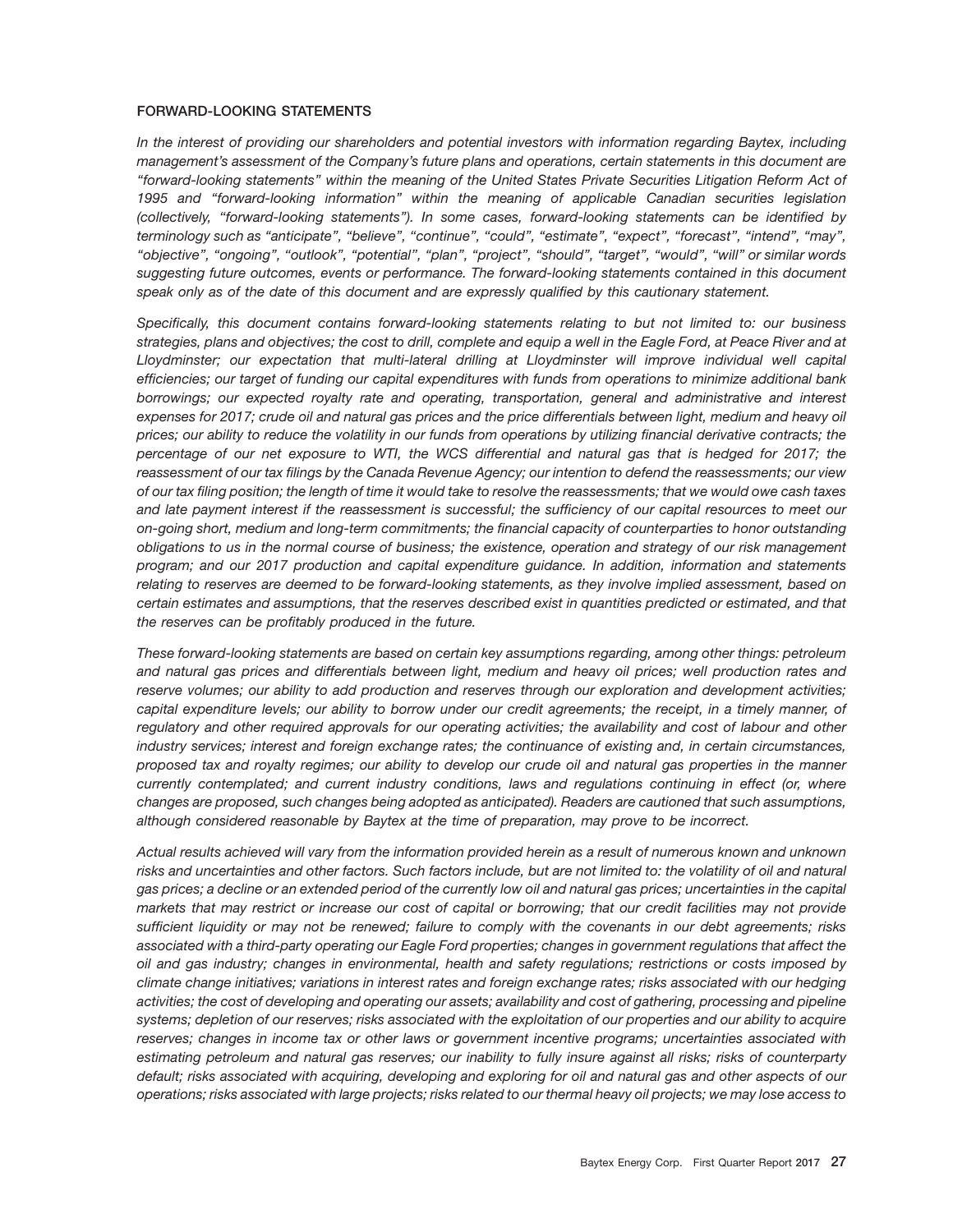#### **FORWARD-LOOKING STATEMENTS**

*In the interest of providing our shareholders and potential investors with information regarding Baytex, including management's assessment of the Company's future plans and operations, certain statements in this document are ''forward-looking statements'' within the meaning of the United States Private Securities Litigation Reform Act of 1995 and ''forward-looking information'' within the meaning of applicable Canadian securities legislation (collectively, ''forward-looking statements''). In some cases, forward-looking statements can be identified by terminology such as ''anticipate'', ''believe'', ''continue'', ''could'', ''estimate'', ''expect'', ''forecast'', ''intend'', ''may'', ''objective'', ''ongoing'', ''outlook'', ''potential'', ''plan'', ''project'', ''should'', ''target'', ''would'', ''will'' or similar words suggesting future outcomes, events or performance. The forward-looking statements contained in this document speak only as of the date of this document and are expressly qualified by this cautionary statement.*

*Specifically, this document contains forward-looking statements relating to but not limited to: our business strategies, plans and objectives; the cost to drill, complete and equip a well in the Eagle Ford, at Peace River and at Lloydminster; our expectation that multi-lateral drilling at Lloydminster will improve individual well capital efficiencies; our target of funding our capital expenditures with funds from operations to minimize additional bank borrowings; our expected royalty rate and operating, transportation, general and administrative and interest expenses for 2017; crude oil and natural gas prices and the price differentials between light, medium and heavy oil prices; our ability to reduce the volatility in our funds from operations by utilizing financial derivative contracts; the percentage of our net exposure to WTI, the WCS differential and natural gas that is hedged for 2017; the reassessment of our tax filings by the Canada Revenue Agency; our intention to defend the reassessments; our view of our tax filing position; the length of time it would take to resolve the reassessments; that we would owe cash taxes and late payment interest if the reassessment is successful; the sufficiency of our capital resources to meet our on-going short, medium and long-term commitments; the financial capacity of counterparties to honor outstanding obligations to us in the normal course of business; the existence, operation and strategy of our risk management program; and our 2017 production and capital expenditure guidance. In addition, information and statements relating to reserves are deemed to be forward-looking statements, as they involve implied assessment, based on certain estimates and assumptions, that the reserves described exist in quantities predicted or estimated, and that the reserves can be profitably produced in the future.*

*These forward-looking statements are based on certain key assumptions regarding, among other things: petroleum and natural gas prices and differentials between light, medium and heavy oil prices; well production rates and reserve volumes; our ability to add production and reserves through our exploration and development activities; capital expenditure levels; our ability to borrow under our credit agreements; the receipt, in a timely manner, of regulatory and other required approvals for our operating activities; the availability and cost of labour and other industry services; interest and foreign exchange rates; the continuance of existing and, in certain circumstances, proposed tax and royalty regimes; our ability to develop our crude oil and natural gas properties in the manner currently contemplated; and current industry conditions, laws and regulations continuing in effect (or, where changes are proposed, such changes being adopted as anticipated). Readers are cautioned that such assumptions, although considered reasonable by Baytex at the time of preparation, may prove to be incorrect.*

*Actual results achieved will vary from the information provided herein as a result of numerous known and unknown risks and uncertainties and other factors. Such factors include, but are not limited to: the volatility of oil and natural gas prices; a decline or an extended period of the currently low oil and natural gas prices; uncertainties in the capital markets that may restrict or increase our cost of capital or borrowing; that our credit facilities may not provide sufficient liquidity or may not be renewed; failure to comply with the covenants in our debt agreements; risks associated with a third-party operating our Eagle Ford properties; changes in government regulations that affect the oil and gas industry; changes in environmental, health and safety regulations; restrictions or costs imposed by climate change initiatives; variations in interest rates and foreign exchange rates; risks associated with our hedging activities; the cost of developing and operating our assets; availability and cost of gathering, processing and pipeline systems; depletion of our reserves; risks associated with the exploitation of our properties and our ability to acquire reserves; changes in income tax or other laws or government incentive programs; uncertainties associated with estimating petroleum and natural gas reserves; our inability to fully insure against all risks; risks of counterparty default; risks associated with acquiring, developing and exploring for oil and natural gas and other aspects of our operations; risks associated with large projects; risks related to our thermal heavy oil projects; we may lose access to*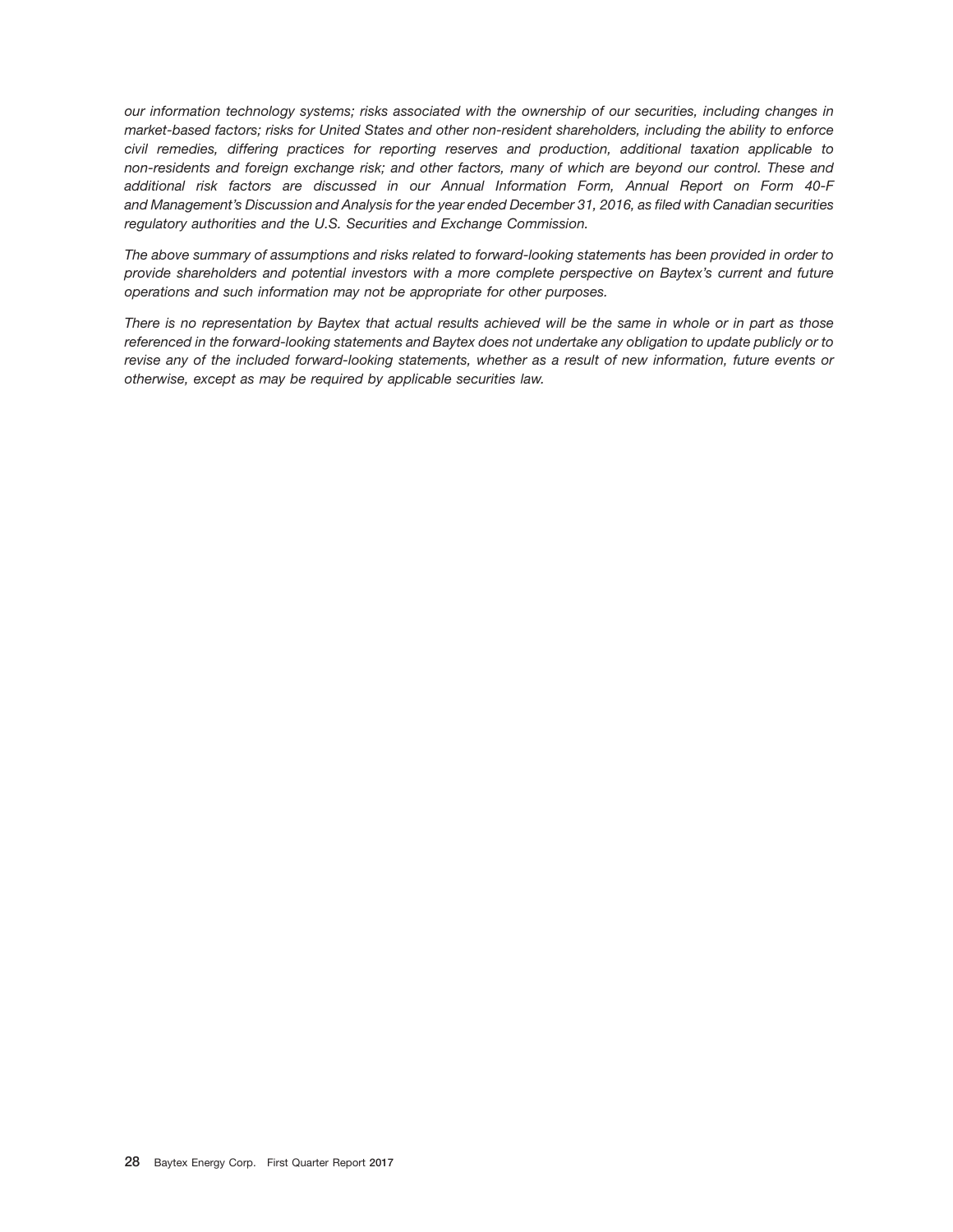*our information technology systems; risks associated with the ownership of our securities, including changes in market-based factors; risks for United States and other non-resident shareholders, including the ability to enforce civil remedies, differing practices for reporting reserves and production, additional taxation applicable to non-residents and foreign exchange risk; and other factors, many of which are beyond our control. These and additional risk factors are discussed in our Annual Information Form, Annual Report on Form 40-F and Management's Discussion and Analysis for the year ended December 31, 2016, as filed with Canadian securities regulatory authorities and the U.S. Securities and Exchange Commission.*

*The above summary of assumptions and risks related to forward-looking statements has been provided in order to provide shareholders and potential investors with a more complete perspective on Baytex's current and future operations and such information may not be appropriate for other purposes.*

*There is no representation by Baytex that actual results achieved will be the same in whole or in part as those referenced in the forward-looking statements and Baytex does not undertake any obligation to update publicly or to revise any of the included forward-looking statements, whether as a result of new information, future events or otherwise, except as may be required by applicable securities law.*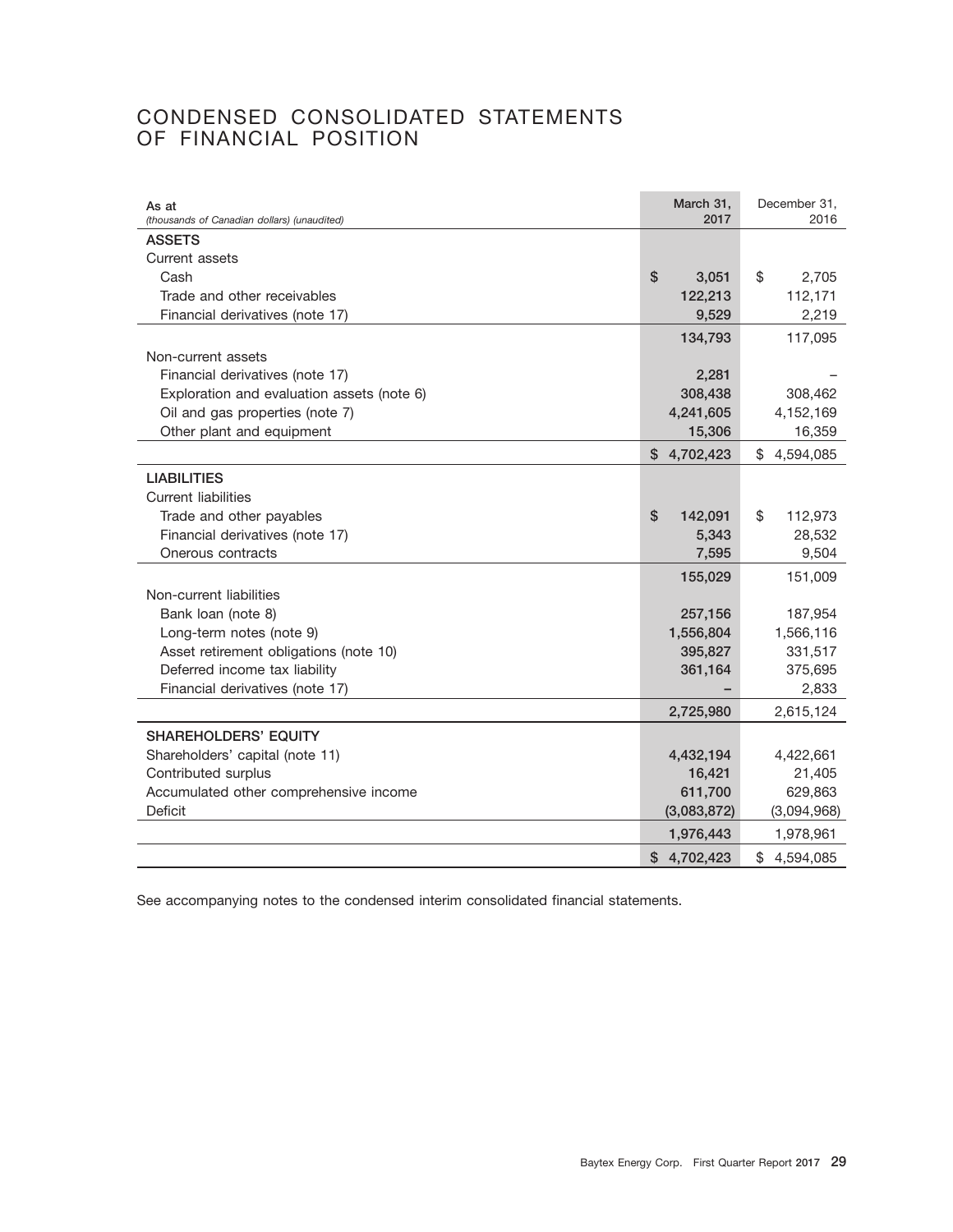## CONDENSED CONSOLIDATED STATEMENTS OF FINANCIAL POSITION

| As at<br>(thousands of Canadian dollars) (unaudited) | March 31,<br>2017 | December 31,<br>2016 |
|------------------------------------------------------|-------------------|----------------------|
| <b>ASSETS</b>                                        |                   |                      |
| Current assets                                       |                   |                      |
| Cash                                                 | \$<br>3,051       | \$<br>2,705          |
| Trade and other receivables                          | 122,213           | 112,171              |
| Financial derivatives (note 17)                      | 9,529             | 2,219                |
|                                                      | 134,793           | 117,095              |
| Non-current assets                                   |                   |                      |
| Financial derivatives (note 17)                      | 2,281             |                      |
| Exploration and evaluation assets (note 6)           | 308,438           | 308,462              |
| Oil and gas properties (note 7)                      | 4,241,605         | 4,152,169            |
| Other plant and equipment                            | 15,306            | 16,359               |
|                                                      | \$4,702,423       | \$<br>4,594,085      |
| <b>LIABILITIES</b>                                   |                   |                      |
| <b>Current liabilities</b>                           |                   |                      |
| Trade and other payables                             | \$<br>142,091     | \$<br>112,973        |
| Financial derivatives (note 17)                      | 5,343             | 28,532               |
| Onerous contracts                                    | 7,595             | 9,504                |
|                                                      | 155,029           | 151,009              |
| Non-current liabilities                              |                   |                      |
| Bank loan (note 8)                                   | 257,156           | 187,954              |
| Long-term notes (note 9)                             | 1,556,804         | 1,566,116            |
| Asset retirement obligations (note 10)               | 395,827           | 331,517              |
| Deferred income tax liability                        | 361,164           | 375,695              |
| Financial derivatives (note 17)                      |                   | 2,833                |
|                                                      | 2,725,980         | 2,615,124            |
| <b>SHAREHOLDERS' EQUITY</b>                          |                   |                      |
| Shareholders' capital (note 11)                      | 4,432,194         | 4,422,661            |
| Contributed surplus                                  | 16,421            | 21,405               |
| Accumulated other comprehensive income               | 611,700           | 629,863              |
| Deficit                                              | (3,083,872)       | (3,094,968)          |
|                                                      | 1,976,443         | 1,978,961            |
|                                                      | \$4,702,423       | \$4,594,085          |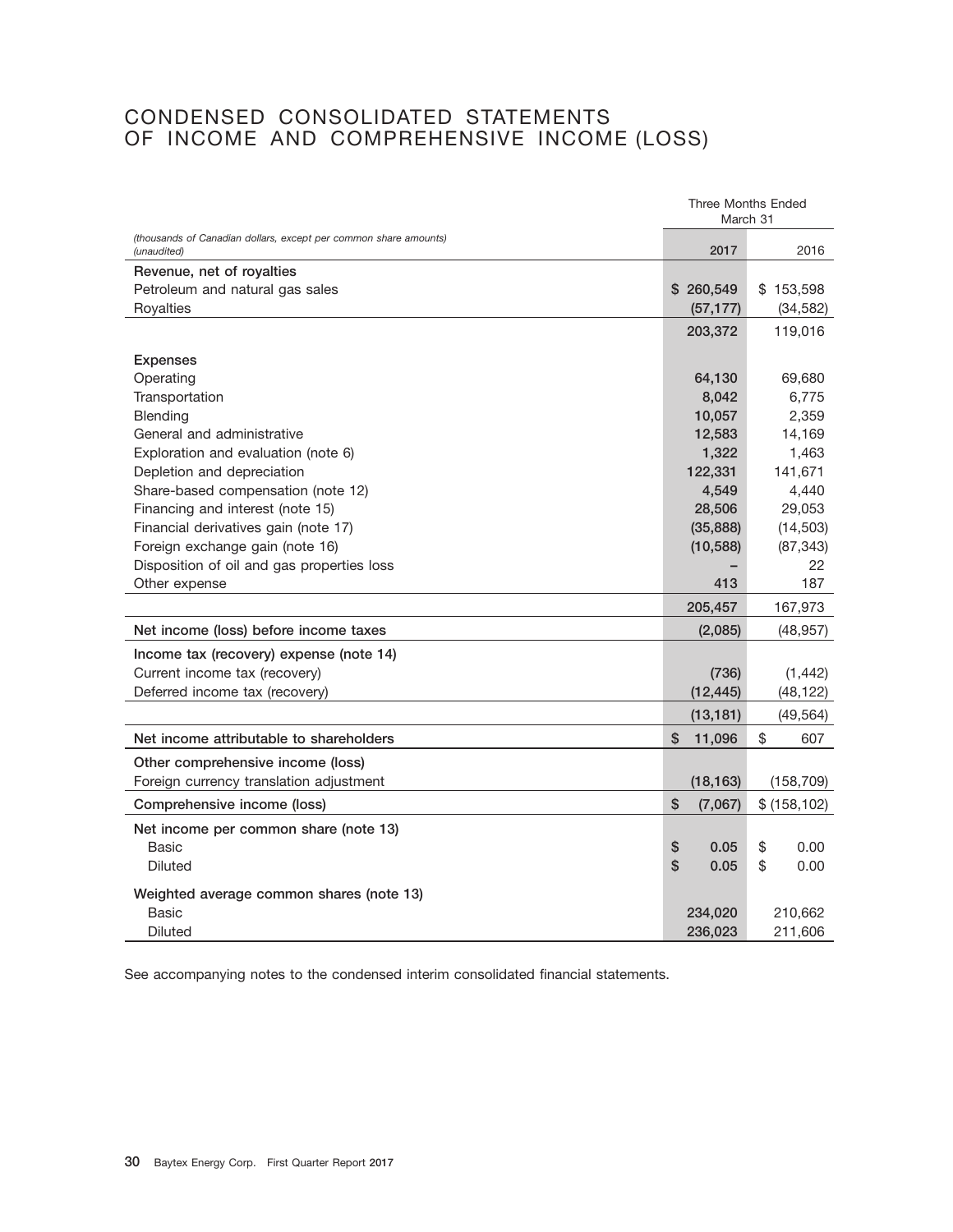## CONDENSED CONSOLIDATED STATEMENTS OF INCOME AND COMPREHENSIVE INCOME (LOSS)

|                                                                                 |               | <b>Three Months Ended</b><br>March 31 |
|---------------------------------------------------------------------------------|---------------|---------------------------------------|
| (thousands of Canadian dollars, except per common share amounts)<br>(unaudited) | 2017          | 2016                                  |
| Revenue, net of royalties                                                       |               |                                       |
| Petroleum and natural gas sales                                                 | \$260,549     | \$153,598                             |
| Royalties                                                                       | (57, 177)     | (34, 582)                             |
|                                                                                 | 203,372       | 119,016                               |
| <b>Expenses</b>                                                                 |               |                                       |
| Operating                                                                       | 64,130        | 69,680                                |
| Transportation                                                                  | 8,042         | 6,775                                 |
| Blending                                                                        | 10,057        | 2,359                                 |
| General and administrative                                                      | 12,583        | 14,169                                |
| Exploration and evaluation (note 6)                                             | 1,322         | 1,463                                 |
| Depletion and depreciation                                                      | 122,331       | 141,671                               |
| Share-based compensation (note 12)                                              | 4,549         | 4,440                                 |
| Financing and interest (note 15)                                                | 28,506        | 29,053                                |
| Financial derivatives gain (note 17)                                            | (35, 888)     | (14, 503)                             |
| Foreign exchange gain (note 16)                                                 | (10, 588)     | (87, 343)                             |
| Disposition of oil and gas properties loss                                      |               | 22                                    |
| Other expense                                                                   | 413           | 187                                   |
|                                                                                 | 205,457       | 167,973                               |
| Net income (loss) before income taxes                                           | (2,085)       | (48, 957)                             |
| Income tax (recovery) expense (note 14)                                         |               |                                       |
| Current income tax (recovery)                                                   | (736)         | (1, 442)                              |
| Deferred income tax (recovery)                                                  | (12, 445)     | (48, 122)                             |
|                                                                                 | (13, 181)     | (49,564)                              |
| Net income attributable to shareholders                                         | \$<br>11,096  | \$<br>607                             |
| Other comprehensive income (loss)                                               |               |                                       |
| Foreign currency translation adjustment                                         | (18, 163)     | (158, 709)                            |
| Comprehensive income (loss)                                                     | \$<br>(7,067) | \$ (158, 102)                         |
| Net income per common share (note 13)                                           |               |                                       |
| Basic                                                                           | \$<br>0.05    | \$<br>0.00                            |
| <b>Diluted</b>                                                                  | \$<br>0.05    | $\mathfrak{S}$<br>0.00                |
| Weighted average common shares (note 13)                                        |               |                                       |
| <b>Basic</b>                                                                    | 234,020       | 210,662                               |
| Diluted                                                                         | 236,023       | 211,606                               |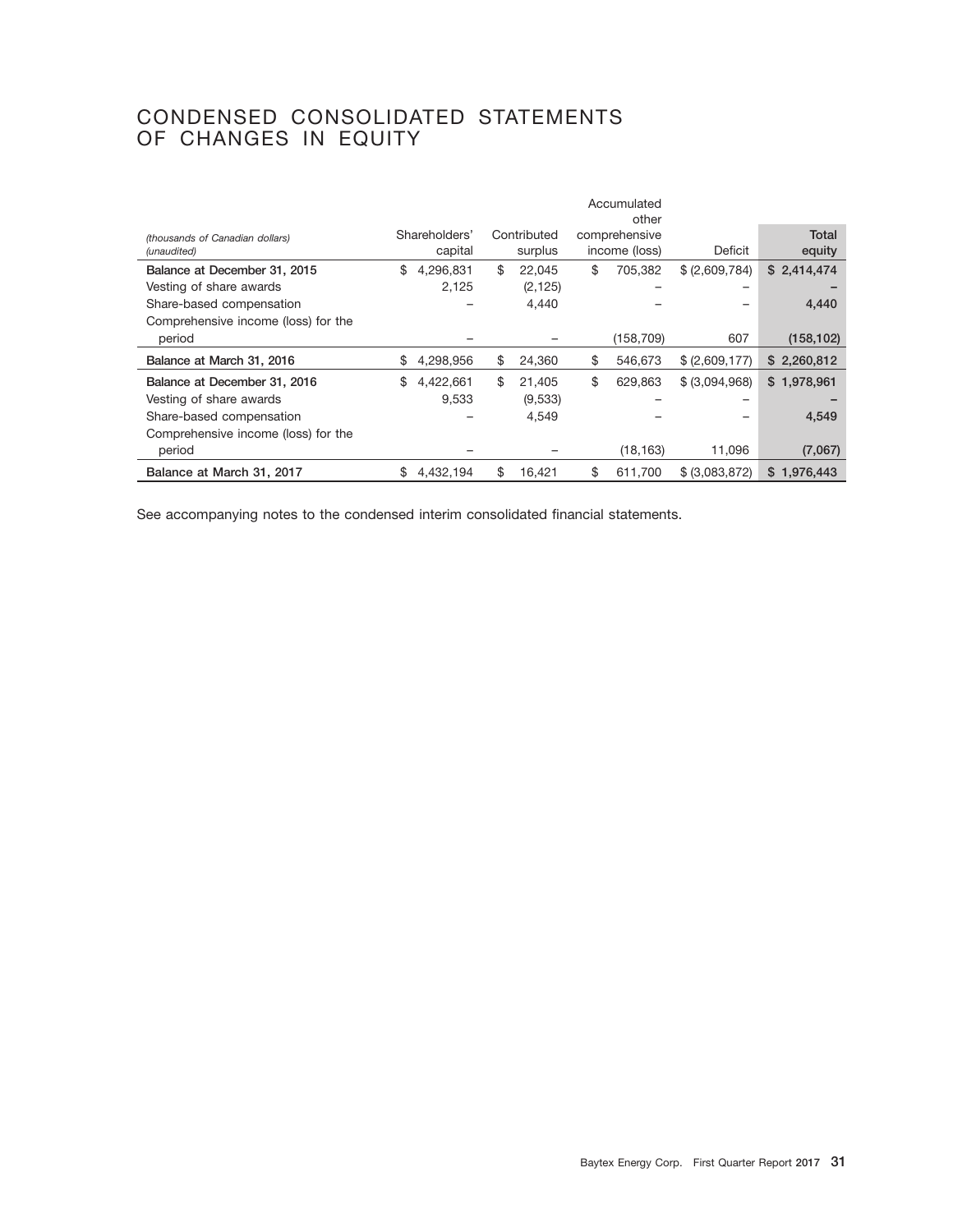## CONDENSED CONSOLIDATED STATEMENTS OF CHANGES IN EQUITY

|                                                |                          |                        | Accumulated<br>other           |                |                 |
|------------------------------------------------|--------------------------|------------------------|--------------------------------|----------------|-----------------|
| (thousands of Canadian dollars)<br>(unaudited) | Shareholders'<br>capital | Contributed<br>surplus | comprehensive<br>income (loss) | Deficit        | Total<br>equity |
| Balance at December 31, 2015                   | \$<br>4,296,831          | \$<br>22,045           | \$<br>705.382                  | \$ (2,609,784) | \$2,414,474     |
| Vesting of share awards                        | 2,125                    | (2, 125)               |                                |                |                 |
| Share-based compensation                       |                          | 4,440                  |                                |                | 4,440           |
| Comprehensive income (loss) for the            |                          |                        |                                |                |                 |
| period                                         |                          |                        | (158, 709)                     | 607            | (158, 102)      |
| Balance at March 31, 2016                      | \$<br>4,298,956          | \$<br>24,360           | \$<br>546,673                  | \$ (2,609,177) | \$2,260,812     |
| Balance at December 31, 2016                   | \$<br>4,422,661          | \$<br>21.405           | \$<br>629,863                  | \$ (3,094,968) | \$1,978,961     |
| Vesting of share awards                        | 9.533                    | (9,533)                |                                |                |                 |
| Share-based compensation                       |                          | 4,549                  |                                |                | 4,549           |
| Comprehensive income (loss) for the            |                          |                        |                                |                |                 |
| period                                         |                          |                        | (18, 163)                      | 11,096         | (7,067)         |
| Balance at March 31, 2017                      | \$<br>4,432,194          | \$<br>16,421           | \$<br>611,700                  | \$ (3,083,872) | \$1,976,443     |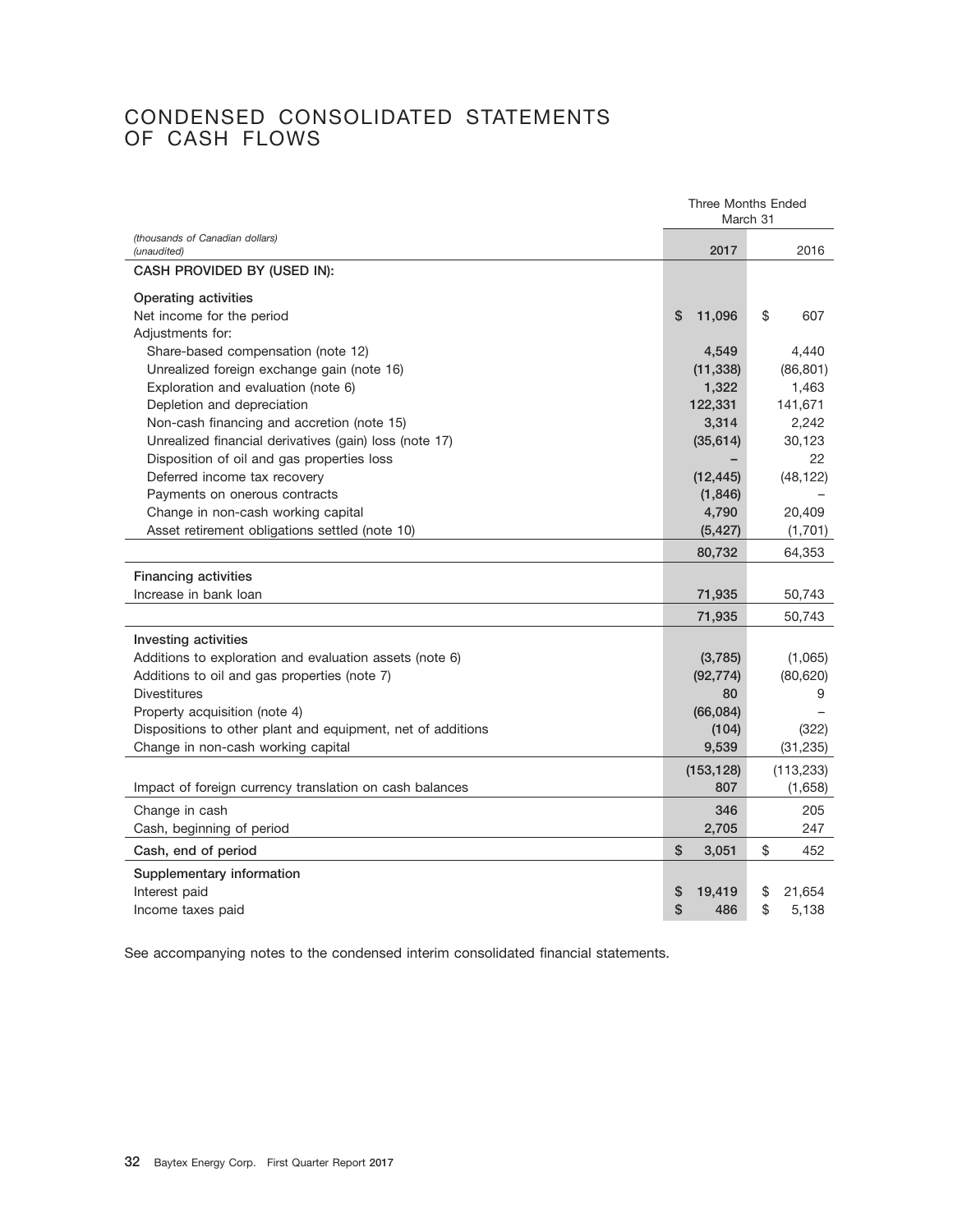## CONDENSED CONSOLIDATED STATEMENTS OF CASH FLOWS

|                                                             | <b>Three Months Ended</b><br>March 31 |              |  |
|-------------------------------------------------------------|---------------------------------------|--------------|--|
| (thousands of Canadian dollars)<br>(unaudited)              | 2017                                  | 2016         |  |
| CASH PROVIDED BY (USED IN):                                 |                                       |              |  |
| <b>Operating activities</b>                                 |                                       |              |  |
| Net income for the period                                   | \$<br>11,096                          | \$<br>607    |  |
| Adjustments for:                                            |                                       |              |  |
| Share-based compensation (note 12)                          | 4,549                                 | 4,440        |  |
| Unrealized foreign exchange gain (note 16)                  | (11, 338)                             | (86, 801)    |  |
| Exploration and evaluation (note 6)                         | 1,322                                 | 1,463        |  |
| Depletion and depreciation                                  | 122,331                               | 141,671      |  |
| Non-cash financing and accretion (note 15)                  | 3,314                                 | 2,242        |  |
| Unrealized financial derivatives (gain) loss (note 17)      | (35, 614)                             | 30,123       |  |
| Disposition of oil and gas properties loss                  |                                       | 22           |  |
| Deferred income tax recovery                                | (12, 445)                             | (48, 122)    |  |
| Payments on onerous contracts                               | (1,846)                               |              |  |
| Change in non-cash working capital                          | 4,790                                 | 20,409       |  |
| Asset retirement obligations settled (note 10)              | (5, 427)                              | (1,701)      |  |
|                                                             | 80,732                                | 64,353       |  |
| <b>Financing activities</b>                                 |                                       |              |  |
| Increase in bank loan                                       | 71,935                                | 50,743       |  |
|                                                             | 71,935                                | 50,743       |  |
| Investing activities                                        |                                       |              |  |
| Additions to exploration and evaluation assets (note 6)     | (3,785)                               | (1,065)      |  |
| Additions to oil and gas properties (note 7)                | (92, 774)                             | (80, 620)    |  |
| <b>Divestitures</b>                                         | 80                                    | 9            |  |
| Property acquisition (note 4)                               | (66, 084)                             |              |  |
| Dispositions to other plant and equipment, net of additions | (104)                                 | (322)        |  |
| Change in non-cash working capital                          | 9,539                                 | (31, 235)    |  |
|                                                             | (153, 128)                            | (113, 233)   |  |
| Impact of foreign currency translation on cash balances     | 807                                   | (1,658)      |  |
| Change in cash                                              | 346                                   | 205          |  |
| Cash, beginning of period                                   | 2,705                                 | 247          |  |
| Cash, end of period                                         | \$<br>3,051                           | \$<br>452    |  |
| Supplementary information                                   |                                       |              |  |
| Interest paid                                               | 19,419<br>\$                          | 21,654<br>\$ |  |
| Income taxes paid                                           | \$<br>486                             | \$<br>5,138  |  |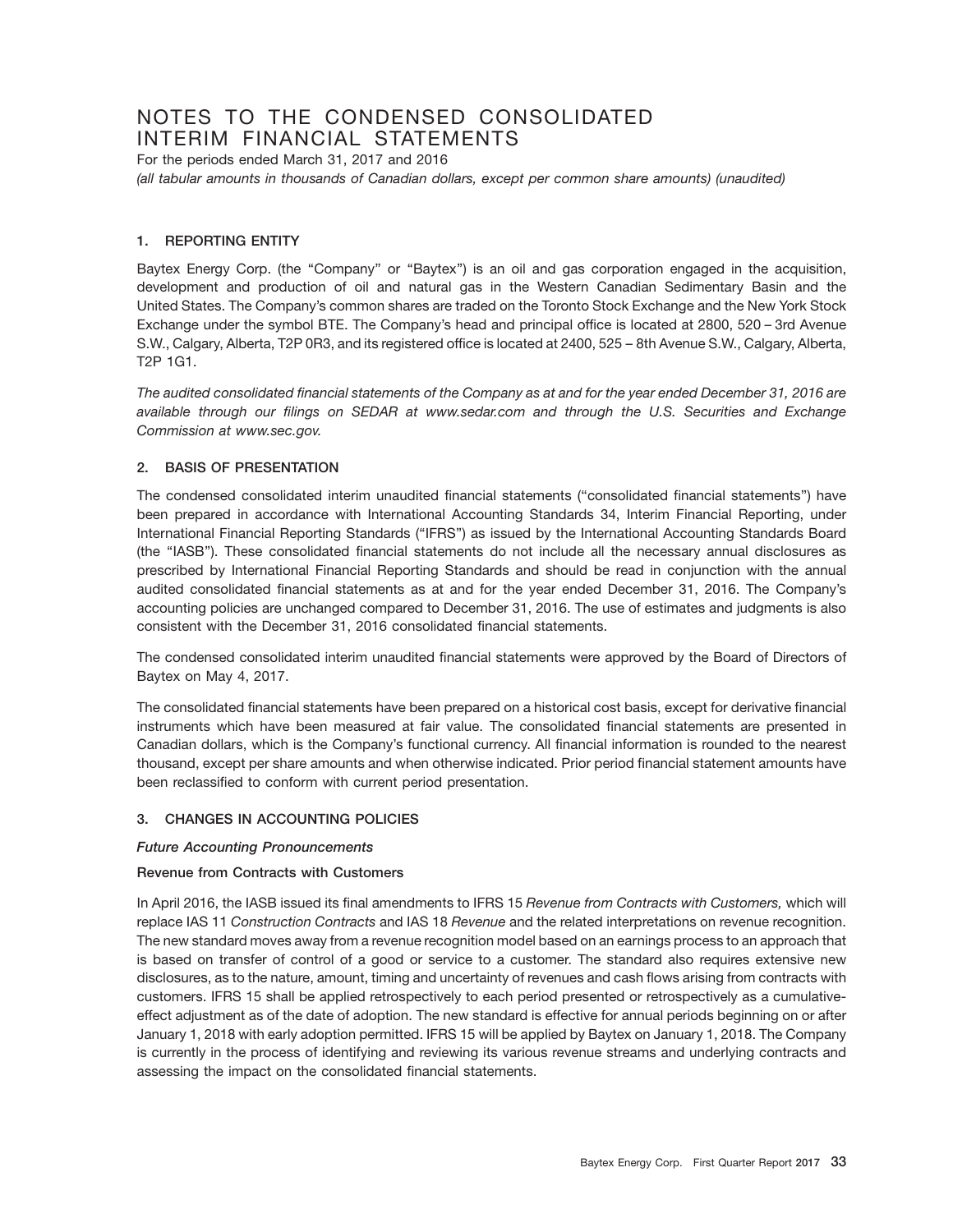## NOTES TO THE CONDENSED CONSOLIDATED INTERIM FINANCIAL STATEMENTS

For the periods ended March 31, 2017 and 2016 *(all tabular amounts in thousands of Canadian dollars, except per common share amounts) (unaudited)*

#### **1. REPORTING ENTITY**

Baytex Energy Corp. (the "Company" or "Baytex") is an oil and gas corporation engaged in the acquisition, development and production of oil and natural gas in the Western Canadian Sedimentary Basin and the United States. The Company's common shares are traded on the Toronto Stock Exchange and the New York Stock Exchange under the symbol BTE. The Company's head and principal office is located at 2800, 520 – 3rd Avenue S.W., Calgary, Alberta, T2P 0R3, and its registered office is located at 2400, 525 – 8th Avenue S.W., Calgary, Alberta, T2P 1G1.

*The audited consolidated financial statements of the Company as at and for the year ended December 31, 2016 are available through our filings on SEDAR at www.sedar.com and through the U.S. Securities and Exchange Commission at www.sec.gov.*

#### **2. BASIS OF PRESENTATION**

The condensed consolidated interim unaudited financial statements (''consolidated financial statements'') have been prepared in accordance with International Accounting Standards 34, Interim Financial Reporting, under International Financial Reporting Standards (''IFRS'') as issued by the International Accounting Standards Board (the ''IASB''). These consolidated financial statements do not include all the necessary annual disclosures as prescribed by International Financial Reporting Standards and should be read in conjunction with the annual audited consolidated financial statements as at and for the year ended December 31, 2016. The Company's accounting policies are unchanged compared to December 31, 2016. The use of estimates and judgments is also consistent with the December 31, 2016 consolidated financial statements.

The condensed consolidated interim unaudited financial statements were approved by the Board of Directors of Baytex on May 4, 2017.

The consolidated financial statements have been prepared on a historical cost basis, except for derivative financial instruments which have been measured at fair value. The consolidated financial statements are presented in Canadian dollars, which is the Company's functional currency. All financial information is rounded to the nearest thousand, except per share amounts and when otherwise indicated. Prior period financial statement amounts have been reclassified to conform with current period presentation.

### **3. CHANGES IN ACCOUNTING POLICIES**

#### *Future Accounting Pronouncements*

#### **Revenue from Contracts with Customers**

In April 2016, the IASB issued its final amendments to IFRS 15 *Revenue from Contracts with Customers,* which will replace IAS 11 *Construction Contracts* and IAS 18 *Revenue* and the related interpretations on revenue recognition. The new standard moves away from a revenue recognition model based on an earnings process to an approach that is based on transfer of control of a good or service to a customer. The standard also requires extensive new disclosures, as to the nature, amount, timing and uncertainty of revenues and cash flows arising from contracts with customers. IFRS 15 shall be applied retrospectively to each period presented or retrospectively as a cumulativeeffect adjustment as of the date of adoption. The new standard is effective for annual periods beginning on or after January 1, 2018 with early adoption permitted. IFRS 15 will be applied by Baytex on January 1, 2018. The Company is currently in the process of identifying and reviewing its various revenue streams and underlying contracts and assessing the impact on the consolidated financial statements.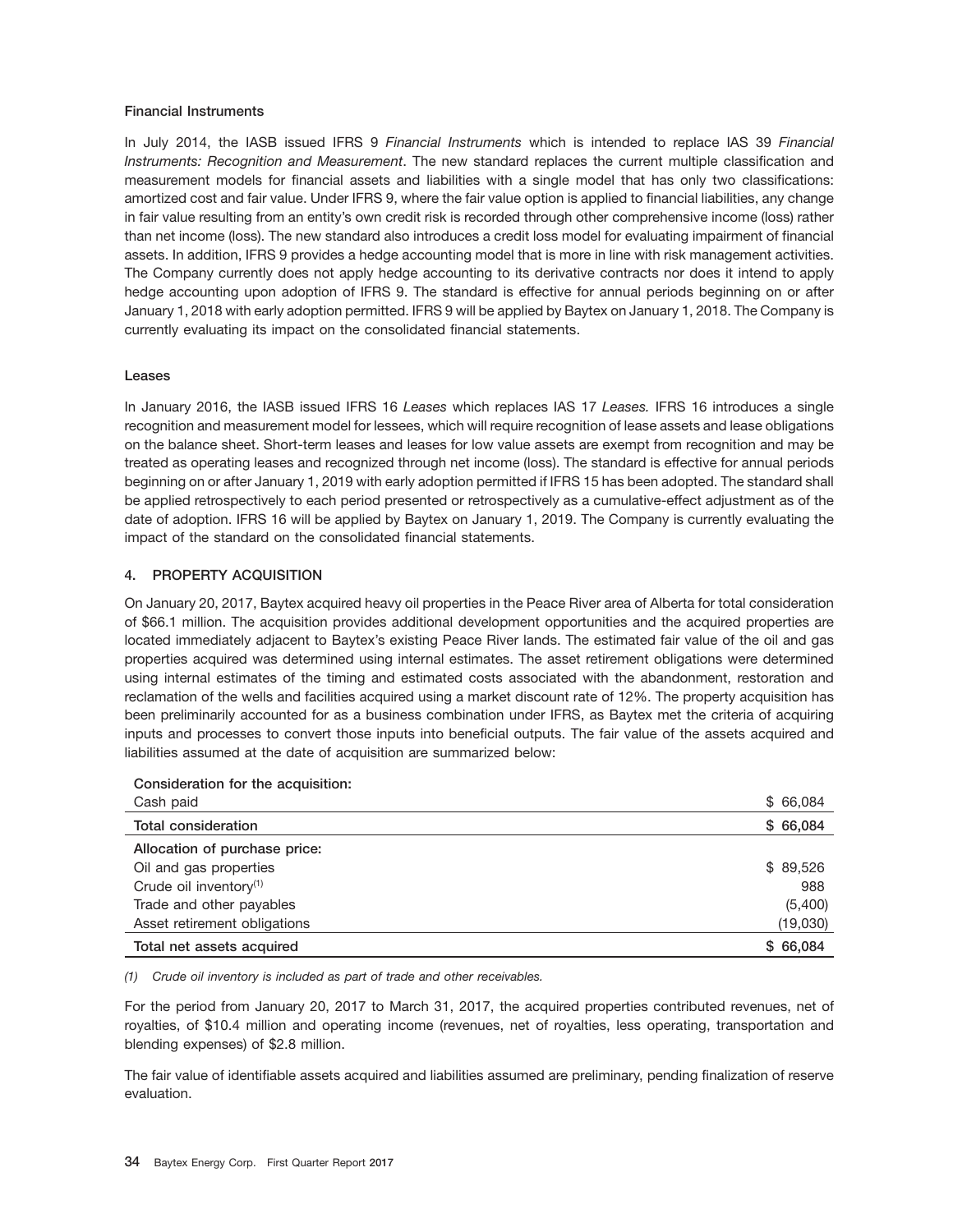#### **Financial Instruments**

In July 2014, the IASB issued IFRS 9 *Financial Instruments* which is intended to replace IAS 39 *Financial Instruments: Recognition and Measurement*. The new standard replaces the current multiple classification and measurement models for financial assets and liabilities with a single model that has only two classifications: amortized cost and fair value. Under IFRS 9, where the fair value option is applied to financial liabilities, any change in fair value resulting from an entity's own credit risk is recorded through other comprehensive income (loss) rather than net income (loss). The new standard also introduces a credit loss model for evaluating impairment of financial assets. In addition, IFRS 9 provides a hedge accounting model that is more in line with risk management activities. The Company currently does not apply hedge accounting to its derivative contracts nor does it intend to apply hedge accounting upon adoption of IFRS 9. The standard is effective for annual periods beginning on or after January 1, 2018 with early adoption permitted. IFRS 9 will be applied by Baytex on January 1, 2018. The Company is currently evaluating its impact on the consolidated financial statements.

#### **Leases**

In January 2016, the IASB issued IFRS 16 *Leases* which replaces IAS 17 *Leases.* IFRS 16 introduces a single recognition and measurement model for lessees, which will require recognition of lease assets and lease obligations on the balance sheet. Short-term leases and leases for low value assets are exempt from recognition and may be treated as operating leases and recognized through net income (loss). The standard is effective for annual periods beginning on or after January 1, 2019 with early adoption permitted if IFRS 15 has been adopted. The standard shall be applied retrospectively to each period presented or retrospectively as a cumulative-effect adjustment as of the date of adoption. IFRS 16 will be applied by Baytex on January 1, 2019. The Company is currently evaluating the impact of the standard on the consolidated financial statements.

#### **4. PROPERTY ACQUISITION**

On January 20, 2017, Baytex acquired heavy oil properties in the Peace River area of Alberta for total consideration of \$66.1 million. The acquisition provides additional development opportunities and the acquired properties are located immediately adjacent to Baytex's existing Peace River lands. The estimated fair value of the oil and gas properties acquired was determined using internal estimates. The asset retirement obligations were determined using internal estimates of the timing and estimated costs associated with the abandonment, restoration and reclamation of the wells and facilities acquired using a market discount rate of 12%. The property acquisition has been preliminarily accounted for as a business combination under IFRS, as Baytex met the criteria of acquiring inputs and processes to convert those inputs into beneficial outputs. The fair value of the assets acquired and liabilities assumed at the date of acquisition are summarized below:

| Consideration for the acquisition. |           |
|------------------------------------|-----------|
| Cash paid                          | \$66,084  |
| <b>Total consideration</b>         | \$66,084  |
| Allocation of purchase price:      |           |
| Oil and gas properties             | \$89,526  |
| Crude oil inventory $(1)$          | 988       |
| Trade and other payables           | (5,400)   |
| Asset retirement obligations       | (19,030)  |
| Total net assets acquired          | \$ 66,084 |

**Consideration for the acquisition:**

*(1) Crude oil inventory is included as part of trade and other receivables.*

For the period from January 20, 2017 to March 31, 2017, the acquired properties contributed revenues, net of royalties, of \$10.4 million and operating income (revenues, net of royalties, less operating, transportation and blending expenses) of \$2.8 million.

The fair value of identifiable assets acquired and liabilities assumed are preliminary, pending finalization of reserve evaluation.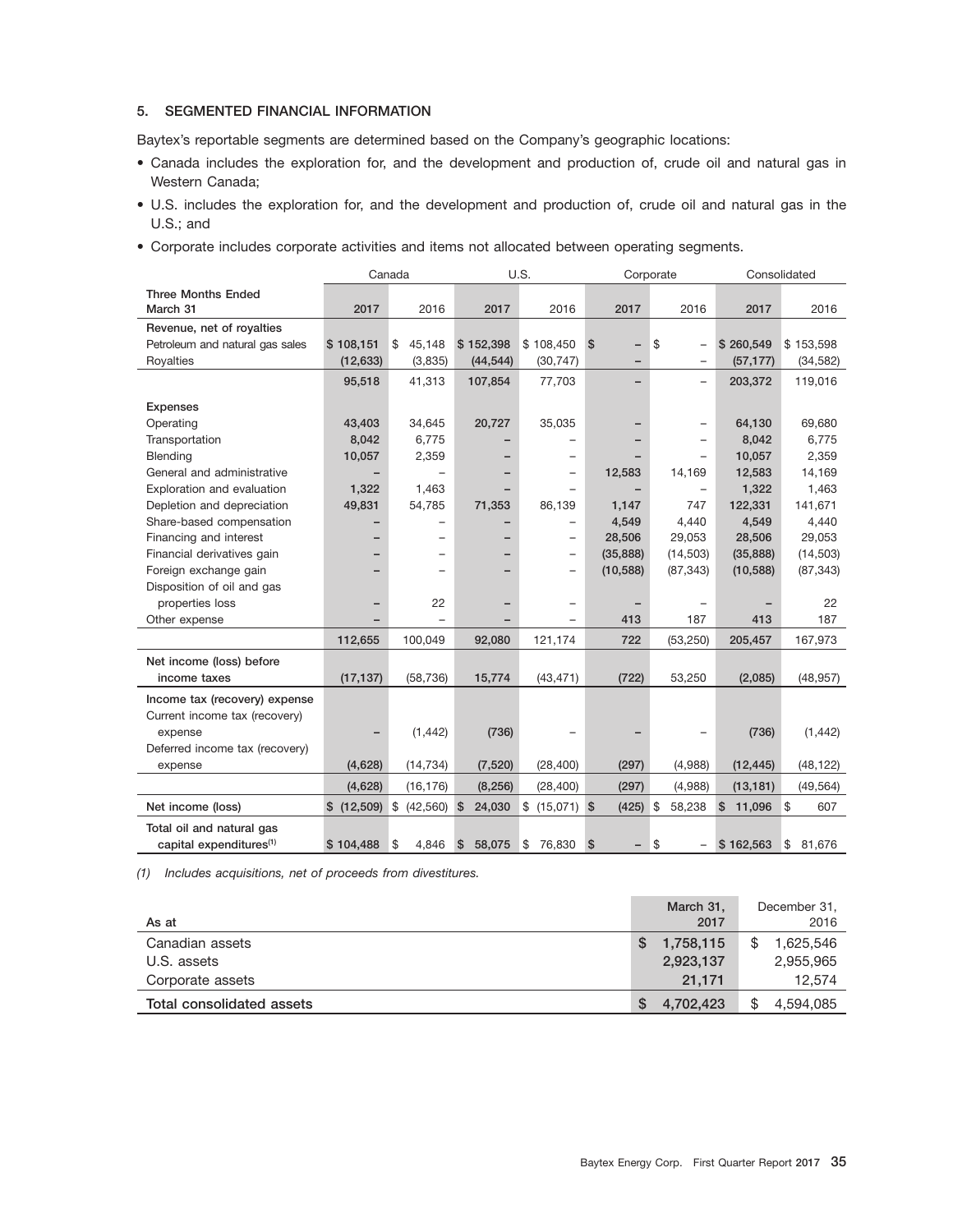#### **5. SEGMENTED FINANCIAL INFORMATION**

Baytex's reportable segments are determined based on the Company's geographic locations:

- Canada includes the exploration for, and the development and production of, crude oil and natural gas in Western Canada;
- U.S. includes the exploration for, and the development and production of, crude oil and natural gas in the U.S.; and
- Corporate includes corporate activities and items not allocated between operating segments.

|                                     |            | Canada          |              | U.S.           |                | Corporate                      | Consolidated |              |
|-------------------------------------|------------|-----------------|--------------|----------------|----------------|--------------------------------|--------------|--------------|
| <b>Three Months Ended</b>           |            |                 |              |                |                |                                |              |              |
| March 31                            | 2017       | 2016            | 2017         | 2016           | 2017           | 2016                           | 2017         | 2016         |
| Revenue, net of royalties           |            |                 |              |                |                |                                |              |              |
| Petroleum and natural gas sales     | \$108,151  | 45,148<br>\$    | \$152,398    | \$108,450      | \$S            | \$<br>$\overline{\phantom{0}}$ | \$260,549    | \$153,598    |
| Royalties                           | (12, 633)  | (3,835)         | (44, 544)    | (30, 747)      |                | $\overline{\phantom{0}}$       | (57, 177)    | (34, 582)    |
|                                     | 95,518     | 41,313          | 107,854      | 77,703         |                | $\overline{\phantom{0}}$       | 203,372      | 119,016      |
| <b>Expenses</b>                     |            |                 |              |                |                |                                |              |              |
| Operating                           | 43,403     | 34,645          | 20,727       | 35,035         |                | $\overline{\phantom{0}}$       | 64,130       | 69,680       |
| Transportation                      | 8,042      | 6,775           |              |                |                |                                | 8,042        | 6,775        |
| <b>Blending</b>                     | 10,057     | 2,359           |              | —              |                |                                | 10,057       | 2,359        |
| General and administrative          | -          |                 |              | -              | 12,583         | 14,169                         | 12,583       | 14,169       |
| Exploration and evaluation          | 1,322      | 1,463           |              |                |                | $\qquad \qquad -$              | 1,322        | 1,463        |
| Depletion and depreciation          | 49,831     | 54,785          | 71,353       | 86,139         | 1,147          | 747                            | 122,331      | 141,671      |
| Share-based compensation            |            |                 |              |                | 4,549          | 4,440                          | 4,549        | 4,440        |
| Financing and interest              |            |                 |              | -              | 28,506         | 29,053                         | 28,506       | 29,053       |
| Financial derivatives gain          |            |                 |              | -              | (35, 888)      | (14, 503)                      | (35, 888)    | (14, 503)    |
| Foreign exchange gain               |            |                 |              | —              | (10, 588)      | (87, 343)                      | (10, 588)    | (87, 343)    |
| Disposition of oil and gas          |            |                 |              |                |                |                                |              |              |
| properties loss                     |            | 22              |              | —              |                |                                |              | 22           |
| Other expense                       |            |                 |              |                | 413            | 187                            | 413          | 187          |
|                                     | 112,655    | 100.049         | 92,080       | 121,174        | 722            | (53, 250)                      | 205,457      | 167,973      |
| Net income (loss) before            |            |                 |              |                |                |                                |              |              |
| income taxes                        | (17, 137)  | (58, 736)       | 15,774       | (43, 471)      | (722)          | 53,250                         | (2,085)      | (48, 957)    |
| Income tax (recovery) expense       |            |                 |              |                |                |                                |              |              |
| Current income tax (recovery)       |            |                 |              |                |                |                                |              |              |
| expense                             |            | (1, 442)        | (736)        |                |                |                                | (736)        | (1, 442)     |
| Deferred income tax (recovery)      |            |                 |              |                |                |                                |              |              |
| expense                             | (4,628)    | (14, 734)       | (7,520)      | (28, 400)      | (297)          | (4,988)                        | (12, 445)    | (48, 122)    |
|                                     | (4,628)    | (16, 176)       | (8, 256)     | (28, 400)      | (297)          | (4,988)                        | (13, 181)    | (49, 564)    |
| Net income (loss)                   | \$(12,509) | \$<br>(42, 560) | 24,030<br>\$ | \$ (15,071) \$ | $(425)$ \$     | 58,238                         | \$<br>11,096 | \$<br>607    |
| Total oil and natural gas           |            |                 |              |                |                |                                |              |              |
| capital expenditures <sup>(1)</sup> | \$104,488  | ∣\$<br>4,846    | \$<br>58,075 | \$<br>76,830   | $\mathfrak{s}$ | \$                             | \$162,563    | \$<br>81,676 |

*(1) Includes acquisitions, net of proceeds from divestitures.*

| As at                     | March 31,<br>2017 | December 31,<br>2016 |
|---------------------------|-------------------|----------------------|
| Canadian assets           | 1,758,115<br>S    | 1.625.546            |
| U.S. assets               | 2,923,137         | 2,955,965            |
| Corporate assets          | 21.171            | 12,574               |
| Total consolidated assets | 4,702,423<br>S    | 4,594,085            |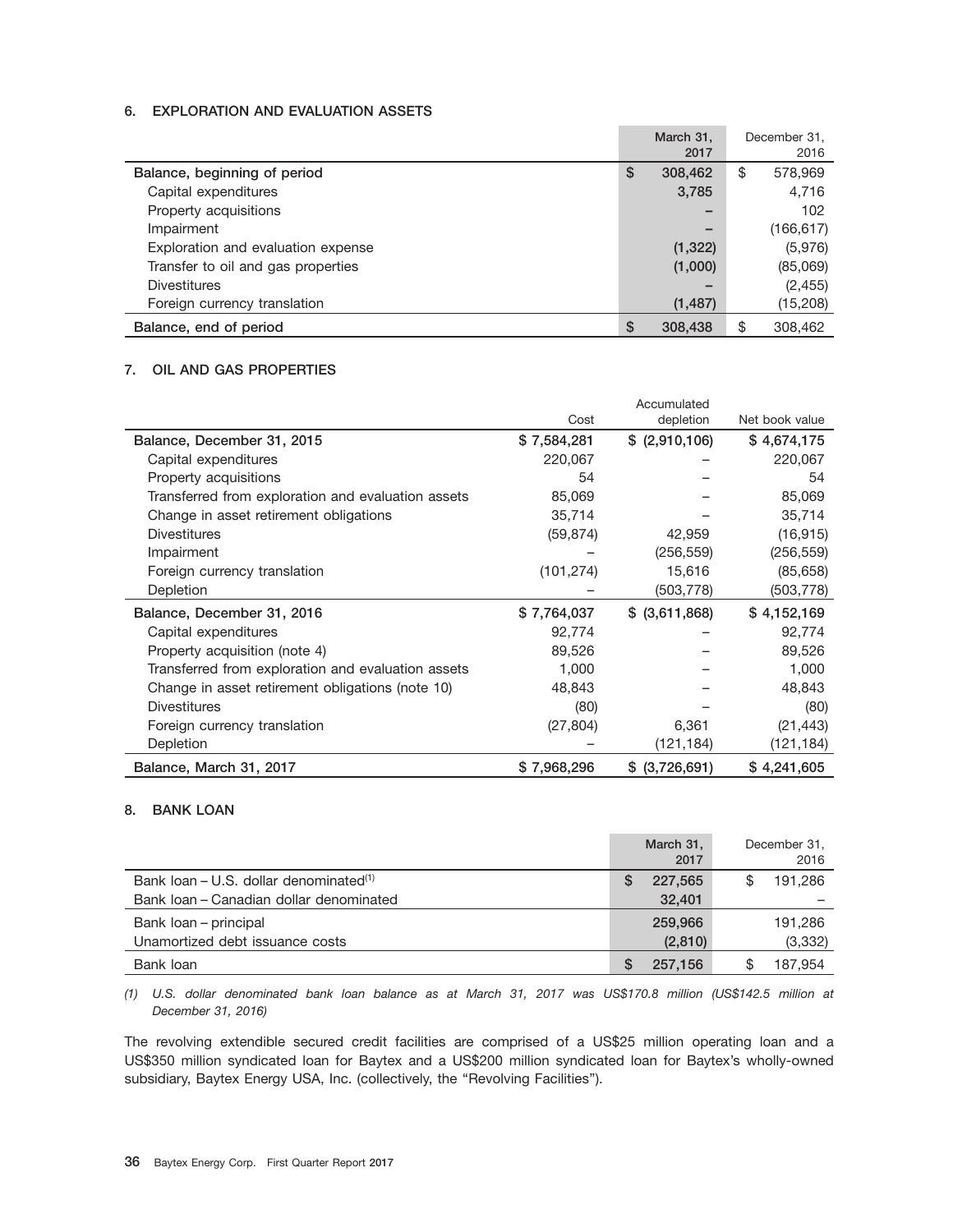#### **6. EXPLORATION AND EVALUATION ASSETS**

|                                    |   | March 31,                |    | December 31. |
|------------------------------------|---|--------------------------|----|--------------|
|                                    |   | 2017                     |    | 2016         |
| Balance, beginning of period       | S | 308,462                  | \$ | 578,969      |
| Capital expenditures               |   | 3,785                    |    | 4,716        |
| Property acquisitions              |   | -                        |    | 102          |
| Impairment                         |   | $\overline{\phantom{0}}$ |    | (166, 617)   |
| Exploration and evaluation expense |   | (1,322)                  |    | (5,976)      |
| Transfer to oil and gas properties |   | (1,000)                  |    | (85,069)     |
| Divestitures                       |   |                          |    | (2, 455)     |
| Foreign currency translation       |   | (1, 487)                 |    | (15,208)     |
| Balance, end of period             | S | 308,438                  | S. | 308,462      |

### **7. OIL AND GAS PROPERTIES**

|                                                    |             | Accumulated     |                |
|----------------------------------------------------|-------------|-----------------|----------------|
|                                                    | Cost        | depletion       | Net book value |
| Balance, December 31, 2015                         | \$7,584,281 | \$ (2,910,106)  | \$4,674,175    |
| Capital expenditures                               | 220,067     |                 | 220,067        |
| Property acquisitions                              | 54          |                 | 54             |
| Transferred from exploration and evaluation assets | 85,069      |                 | 85,069         |
| Change in asset retirement obligations             | 35,714      |                 | 35,714         |
| <b>Divestitures</b>                                | (59, 874)   | 42,959          | (16, 915)      |
| Impairment                                         |             | (256, 559)      | (256, 559)     |
| Foreign currency translation                       | (101, 274)  | 15,616          | (85, 658)      |
| Depletion                                          |             | (503, 778)      | (503,778)      |
| Balance, December 31, 2016                         | \$7,764,037 | $$$ (3,611,868) | \$4,152,169    |
| Capital expenditures                               | 92,774      |                 | 92,774         |
| Property acquisition (note 4)                      | 89,526      |                 | 89,526         |
| Transferred from exploration and evaluation assets | 1,000       |                 | 1,000          |
| Change in asset retirement obligations (note 10)   | 48,843      |                 | 48,843         |
| <b>Divestitures</b>                                | (80)        |                 | (80)           |
| Foreign currency translation                       | (27, 804)   | 6,361           | (21, 443)      |
| Depletion                                          |             | (121, 184)      | (121, 184)     |
| Balance, March 31, 2017                            | \$7,968,296 | \$ (3,726,691)  | \$4,241,605    |

#### **8. BANK LOAN**

|                                                      | March 31,<br>2017 | December 31,<br>2016 |
|------------------------------------------------------|-------------------|----------------------|
| Bank $Ioan - U.S.$ dollar denominated <sup>(1)</sup> | 227.565           | 191.286              |
| Bank Joan - Canadian dollar denominated              | 32,401            |                      |
| Bank loan – principal                                | 259,966           | 191.286              |
| Unamortized debt issuance costs                      | (2,810)           | (3, 332)             |
| Bank loan                                            | 257.156           | 187.954              |

*(1) U.S. dollar denominated bank loan balance as at March 31, 2017 was US\$170.8 million (US\$142.5 million at December 31, 2016)*

The revolving extendible secured credit facilities are comprised of a US\$25 million operating loan and a US\$350 million syndicated loan for Baytex and a US\$200 million syndicated loan for Baytex's wholly-owned subsidiary, Baytex Energy USA, Inc. (collectively, the "Revolving Facilities").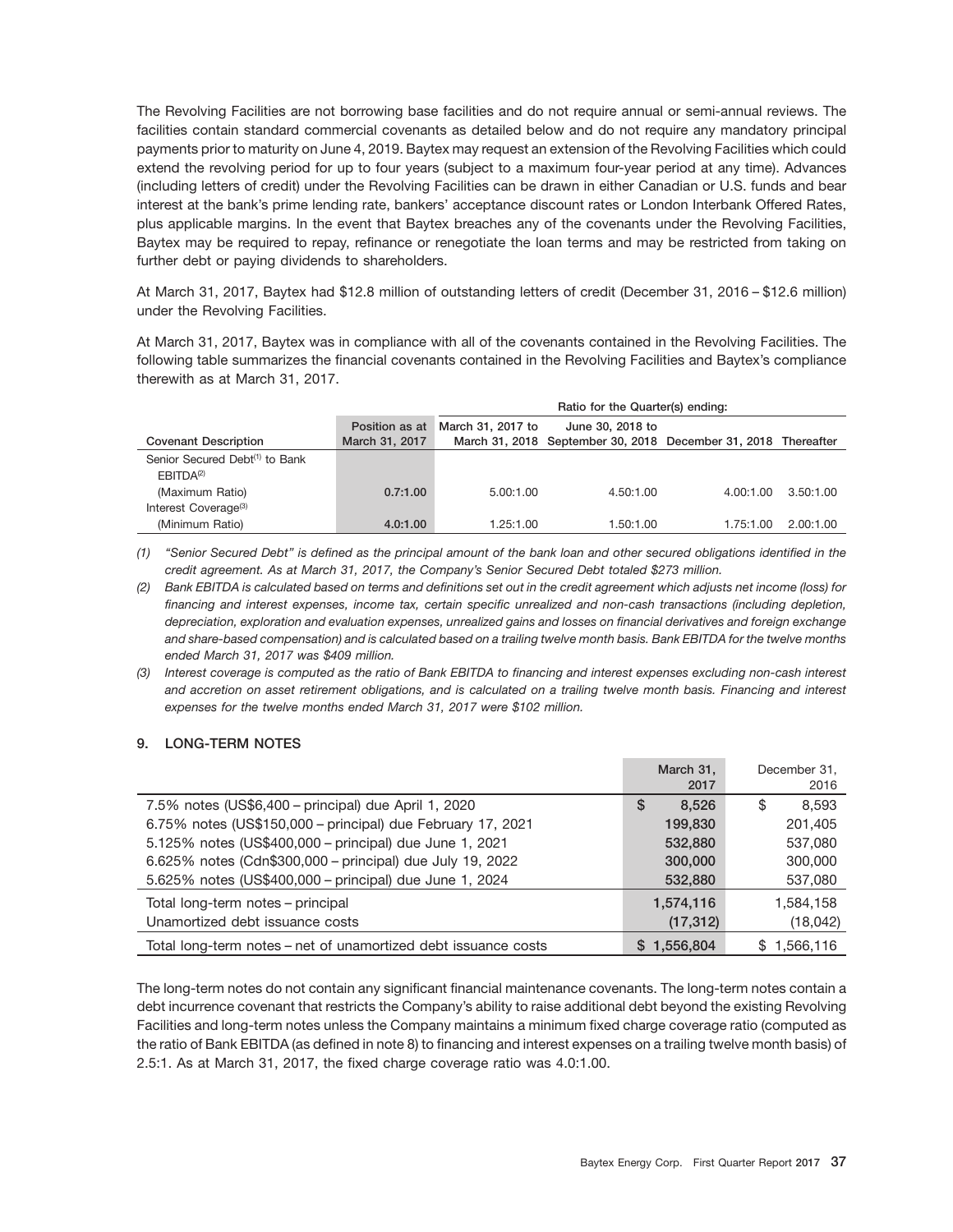The Revolving Facilities are not borrowing base facilities and do not require annual or semi-annual reviews. The facilities contain standard commercial covenants as detailed below and do not require any mandatory principal payments prior to maturity on June 4, 2019. Baytex may request an extension of the Revolving Facilities which could extend the revolving period for up to four years (subject to a maximum four-year period at any time). Advances (including letters of credit) under the Revolving Facilities can be drawn in either Canadian or U.S. funds and bear interest at the bank's prime lending rate, bankers' acceptance discount rates or London Interbank Offered Rates, plus applicable margins. In the event that Baytex breaches any of the covenants under the Revolving Facilities, Baytex may be required to repay, refinance or renegotiate the loan terms and may be restricted from taking on further debt or paying dividends to shareholders.

At March 31, 2017, Baytex had \$12.8 million of outstanding letters of credit (December 31, 2016 – \$12.6 million) under the Revolving Facilities.

At March 31, 2017, Baytex was in compliance with all of the covenants contained in the Revolving Facilities. The following table summarizes the financial covenants contained in the Revolving Facilities and Baytex's compliance therewith as at March 31, 2017.

|                                            |                | Ratio for the Quarter(s) ending: |                                                                |           |           |  |  |  |
|--------------------------------------------|----------------|----------------------------------|----------------------------------------------------------------|-----------|-----------|--|--|--|
|                                            | Position as at | March 31, 2017 to                | June 30, 2018 to                                               |           |           |  |  |  |
| <b>Covenant Description</b>                | March 31, 2017 |                                  | March 31, 2018 September 30, 2018 December 31, 2018 Thereafter |           |           |  |  |  |
| Senior Secured Debt <sup>(1)</sup> to Bank |                |                                  |                                                                |           |           |  |  |  |
| FBITDA <sup>(2)</sup>                      |                |                                  |                                                                |           |           |  |  |  |
| (Maximum Ratio)                            | 0.7:1.00       | 5.00:1.00                        | 4.50:1.00                                                      | 4.00:1.00 | 3.50:1.00 |  |  |  |
| Interest Coverage <sup>(3)</sup>           |                |                                  |                                                                |           |           |  |  |  |
| (Minimum Ratio)                            | 4.0:1.00       | 1.25:1.00                        | 1.50:1.00                                                      | 1.75:1.00 | 2.00:1.00 |  |  |  |

*(1) ''Senior Secured Debt'' is defined as the principal amount of the bank loan and other secured obligations identified in the credit agreement. As at March 31, 2017, the Company's Senior Secured Debt totaled \$273 million.*

*(2) Bank EBITDA is calculated based on terms and definitions set out in the credit agreement which adjusts net income (loss) for financing and interest expenses, income tax, certain specific unrealized and non-cash transactions (including depletion, depreciation, exploration and evaluation expenses, unrealized gains and losses on financial derivatives and foreign exchange and share-based compensation) and is calculated based on a trailing twelve month basis. Bank EBITDA for the twelve months ended March 31, 2017 was \$409 million.*

*(3) Interest coverage is computed as the ratio of Bank EBITDA to financing and interest expenses excluding non-cash interest and accretion on asset retirement obligations, and is calculated on a trailing twelve month basis. Financing and interest expenses for the twelve months ended March 31, 2017 were \$102 million.*

### **9. LONG-TERM NOTES**

|                                                                | March 31,<br>2017 | December 31.<br>2016 |
|----------------------------------------------------------------|-------------------|----------------------|
| 7.5% notes (US\$6,400 – principal) due April 1, 2020           | 8.526<br>S        | 8.593<br>\$          |
| 6.75% notes (US\$150,000 - principal) due February 17, 2021    | 199,830           | 201,405              |
| 5.125% notes (US\$400,000 - principal) due June 1, 2021        | 532,880           | 537,080              |
| 6.625% notes (Cdn\$300,000 - principal) due July 19, 2022      | 300,000           | 300,000              |
| 5.625% notes (US\$400,000 - principal) due June 1, 2024        | 532,880           | 537,080              |
| Total long-term notes – principal                              | 1,574,116         | 1,584,158            |
| Unamortized debt issuance costs                                | (17, 312)         | (18,042)             |
| Total long-term notes - net of unamortized debt issuance costs | 1,556,804         | 1,566,116            |

The long-term notes do not contain any significant financial maintenance covenants. The long-term notes contain a debt incurrence covenant that restricts the Company's ability to raise additional debt beyond the existing Revolving Facilities and long-term notes unless the Company maintains a minimum fixed charge coverage ratio (computed as the ratio of Bank EBITDA (as defined in note 8) to financing and interest expenses on a trailing twelve month basis) of 2.5:1. As at March 31, 2017, the fixed charge coverage ratio was 4.0:1.00.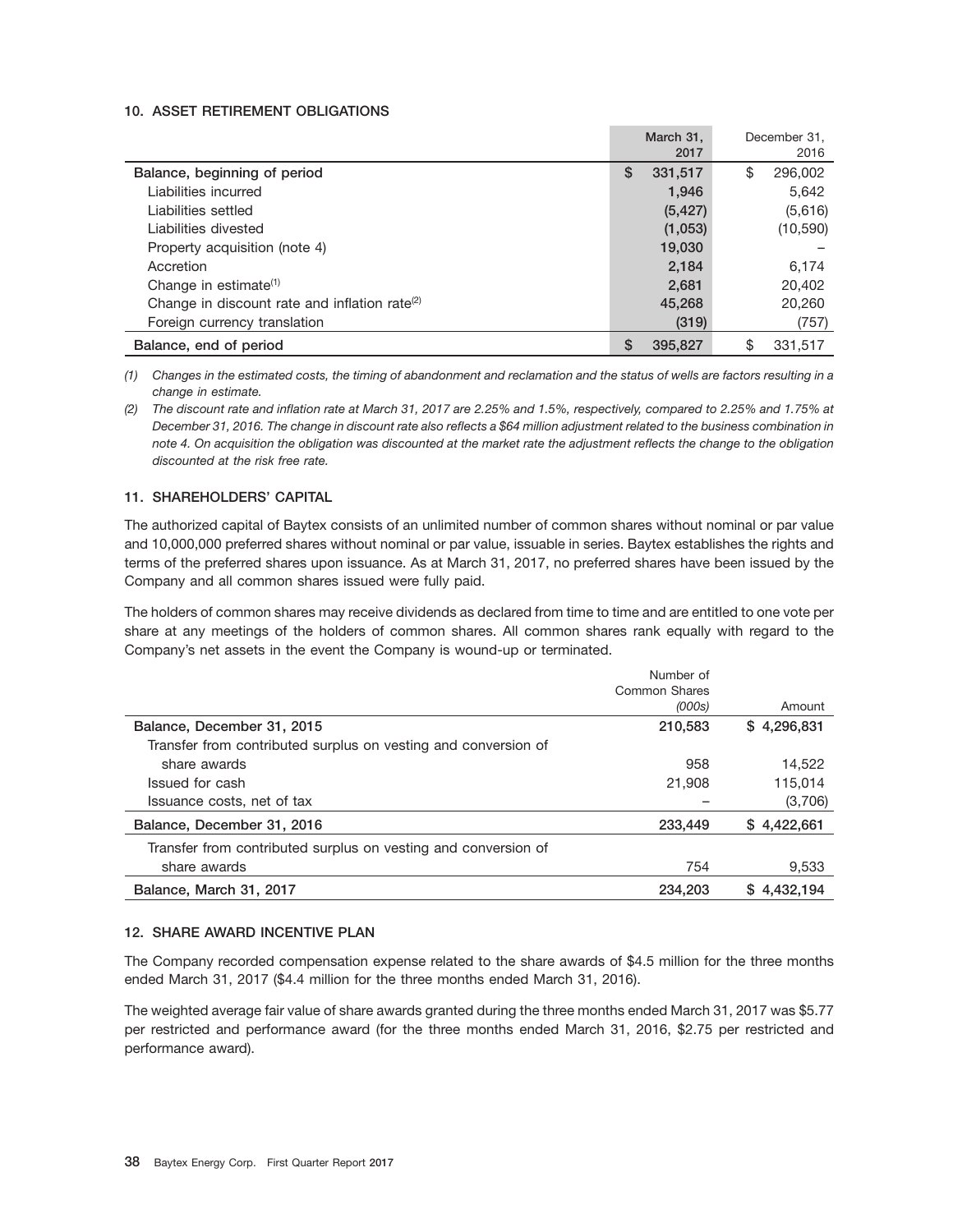#### **10. ASSET RETIREMENT OBLIGATIONS**

|                                                           | March 31.<br>2017 | December 31.<br>2016 |
|-----------------------------------------------------------|-------------------|----------------------|
| Balance, beginning of period                              | S<br>331,517      | \$<br>296,002        |
| Liabilities incurred                                      | 1,946             | 5,642                |
| Liabilities settled                                       | (5, 427)          | (5,616)              |
| Liabilities divested                                      | (1,053)           | (10, 590)            |
| Property acquisition (note 4)                             | 19,030            |                      |
| Accretion                                                 | 2,184             | 6,174                |
| Change in estimate <sup>(1)</sup>                         | 2,681             | 20,402               |
| Change in discount rate and inflation rate <sup>(2)</sup> | 45,268            | 20,260               |
| Foreign currency translation                              | (319)             | (757)                |
| Balance, end of period                                    | S<br>395,827      | \$<br>331.517        |

*(1) Changes in the estimated costs, the timing of abandonment and reclamation and the status of wells are factors resulting in a change in estimate.*

*(2) The discount rate and inflation rate at March 31, 2017 are 2.25% and 1.5%, respectively, compared to 2.25% and 1.75% at December 31, 2016. The change in discount rate also reflects a \$64 million adjustment related to the business combination in note 4. On acquisition the obligation was discounted at the market rate the adjustment reflects the change to the obligation discounted at the risk free rate.*

#### **11. SHAREHOLDERS' CAPITAL**

The authorized capital of Baytex consists of an unlimited number of common shares without nominal or par value and 10,000,000 preferred shares without nominal or par value, issuable in series. Baytex establishes the rights and terms of the preferred shares upon issuance. As at March 31, 2017, no preferred shares have been issued by the Company and all common shares issued were fully paid.

The holders of common shares may receive dividends as declared from time to time and are entitled to one vote per share at any meetings of the holders of common shares. All common shares rank equally with regard to the Company's net assets in the event the Company is wound-up or terminated.

| Number of              |
|------------------------|
| Common Shares          |
| (000s)<br>Amount       |
| 210,583<br>\$4,296,831 |
|                        |
| 958<br>14,522          |
| 115.014<br>21,908      |
| (3,706)                |
| \$4,422,661<br>233,449 |
|                        |
| 754<br>9.533           |
| \$4.432.194<br>234,203 |
|                        |

#### **12. SHARE AWARD INCENTIVE PLAN**

The Company recorded compensation expense related to the share awards of \$4.5 million for the three months ended March 31, 2017 (\$4.4 million for the three months ended March 31, 2016).

The weighted average fair value of share awards granted during the three months ended March 31, 2017 was \$5.77 per restricted and performance award (for the three months ended March 31, 2016, \$2.75 per restricted and performance award).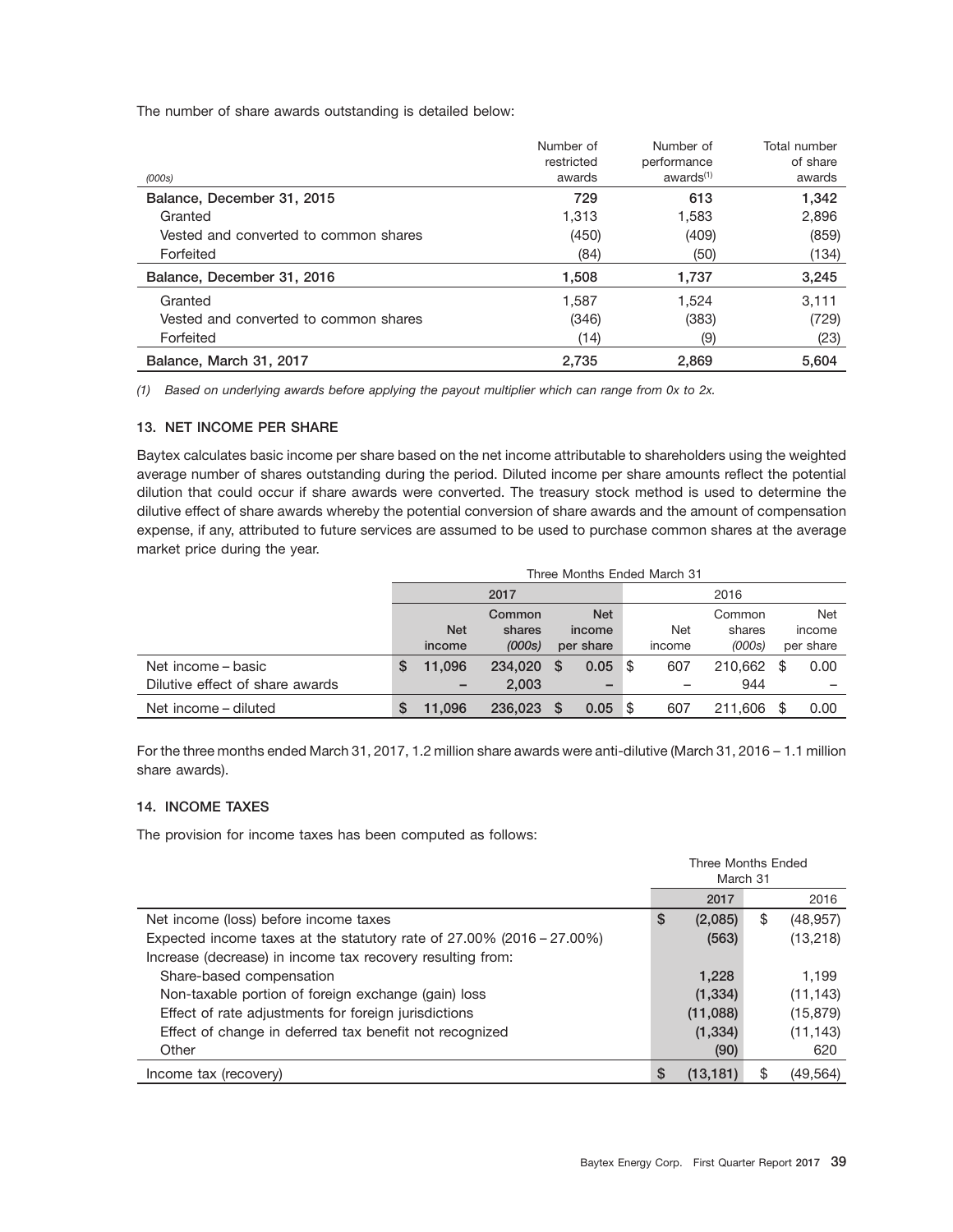The number of share awards outstanding is detailed below:

|                                       | Number of<br>restricted | Number of<br>performance<br>awards <sup>(1)</sup> | Total number<br>of share |
|---------------------------------------|-------------------------|---------------------------------------------------|--------------------------|
| (000s)                                | awards                  |                                                   | awards                   |
| Balance, December 31, 2015            | 729                     | 613                                               | 1,342                    |
| Granted                               | 1,313                   | 1,583                                             | 2,896                    |
| Vested and converted to common shares | (450)                   | (409)                                             | (859)                    |
| Forfeited                             | (84)                    | (50)                                              | (134)                    |
| Balance, December 31, 2016            | 1,508                   | 1,737                                             | 3,245                    |
| Granted                               | 1.587                   | 1.524                                             | 3.111                    |
| Vested and converted to common shares | (346)                   | (383)                                             | (729)                    |
| Forfeited                             | (14)                    | (9)                                               | (23)                     |
| Balance, March 31, 2017               | 2.735                   | 2.869                                             | 5.604                    |

*(1) Based on underlying awards before applying the payout multiplier which can range from 0x to 2x.*

#### **13. NET INCOME PER SHARE**

Baytex calculates basic income per share based on the net income attributable to shareholders using the weighted average number of shares outstanding during the period. Diluted income per share amounts reflect the potential dilution that could occur if share awards were converted. The treasury stock method is used to determine the dilutive effect of share awards whereby the potential conversion of share awards and the amount of compensation expense, if any, attributed to future services are assumed to be used to purchase common shares at the average market price during the year.

|                                 |   | Three Months Ended March 31 |         |    |            |     |            |         |    |           |
|---------------------------------|---|-----------------------------|---------|----|------------|-----|------------|---------|----|-----------|
|                                 |   | 2017                        |         |    |            |     |            | 2016    |    |           |
|                                 |   |                             | Common  |    | <b>Net</b> |     |            | Common  |    | Net       |
|                                 |   | <b>Net</b>                  | shares  |    | income     |     | <b>Net</b> | shares  |    | income    |
|                                 |   | income                      | (000s)  |    | per share  |     | income     | (000s)  |    | per share |
| Net income – basic              | S | 11.096                      | 234,020 | S. | 0.05       | -\$ | 607        | 210.662 | \$ | 0.00      |
| Dilutive effect of share awards |   | -                           | 2.003   |    |            |     |            | 944     |    |           |
| Net income – diluted            |   | 11.096                      | 236,023 | S. | 0.05       | ∣\$ | 607        | 211.606 | \$ | 0.00      |

For the three months ended March 31, 2017, 1.2 million share awards were anti-dilutive (March 31, 2016 – 1.1 million share awards).

### **14. INCOME TAXES**

The provision for income taxes has been computed as follows:

|                                                                          | Three Months Ended<br>March 31 |           |    |           |
|--------------------------------------------------------------------------|--------------------------------|-----------|----|-----------|
|                                                                          |                                | 2017      |    | 2016      |
| Net income (loss) before income taxes                                    | S                              | (2,085)   | \$ | (48, 957) |
| Expected income taxes at the statutory rate of $27.00\%$ (2016 – 27.00%) |                                | (563)     |    | (13,218)  |
| Increase (decrease) in income tax recovery resulting from:               |                                |           |    |           |
| Share-based compensation                                                 |                                | 1.228     |    | 1.199     |
| Non-taxable portion of foreign exchange (gain) loss                      |                                | (1, 334)  |    | (11, 143) |
| Effect of rate adjustments for foreign jurisdictions                     |                                | (11,088)  |    | (15, 879) |
| Effect of change in deferred tax benefit not recognized                  |                                | (1, 334)  |    | (11, 143) |
| Other                                                                    |                                | (90)      |    | 620       |
| Income tax (recovery)                                                    | S                              | (13, 181) | \$ | (49, 564) |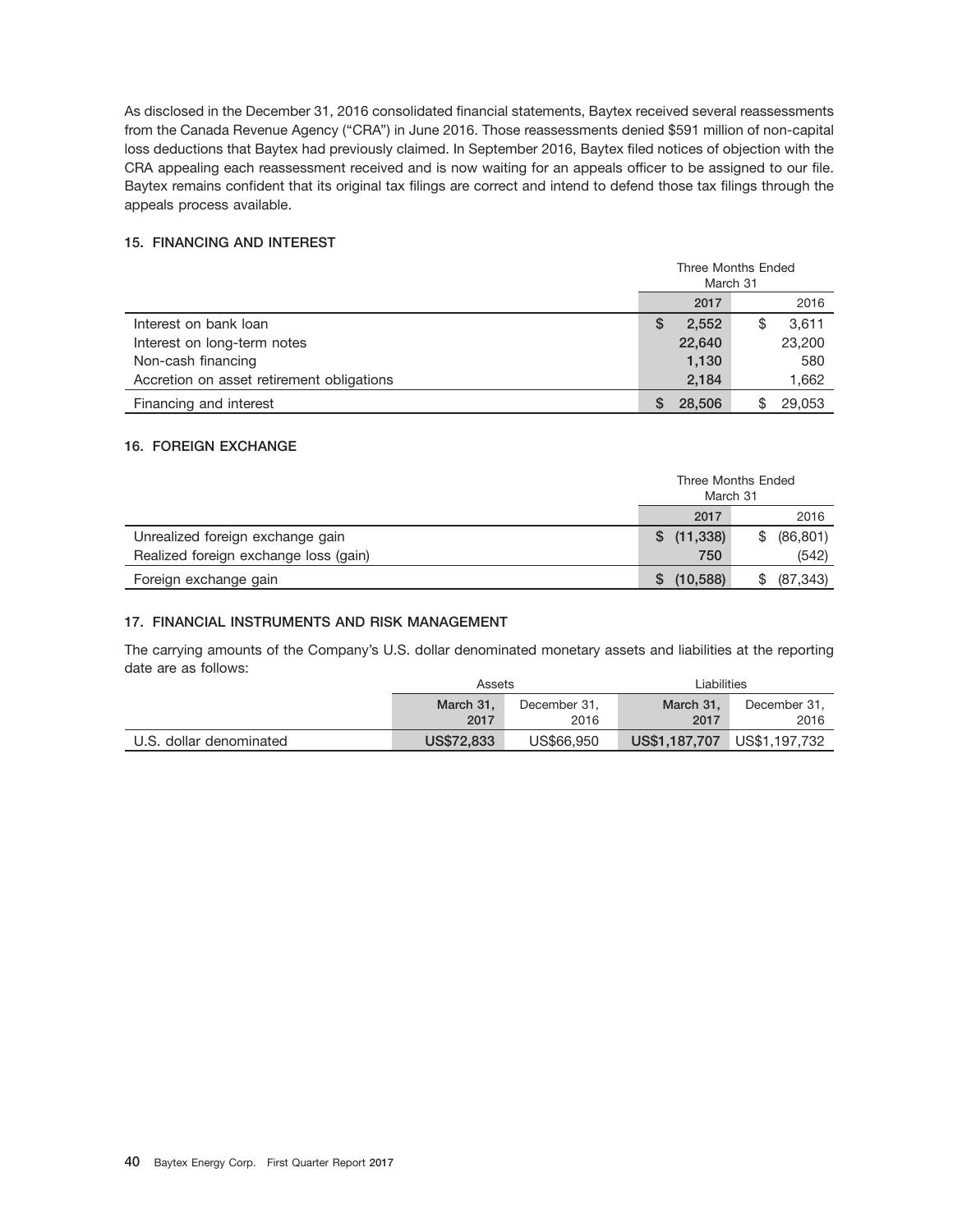As disclosed in the December 31, 2016 consolidated financial statements, Baytex received several reassessments from the Canada Revenue Agency (''CRA'') in June 2016. Those reassessments denied \$591 million of non-capital loss deductions that Baytex had previously claimed. In September 2016, Baytex filed notices of objection with the CRA appealing each reassessment received and is now waiting for an appeals officer to be assigned to our file. Baytex remains confident that its original tax filings are correct and intend to defend those tax filings through the appeals process available.

#### **15. FINANCING AND INTEREST**

|                                           | Three Months Ended<br>March 31 |        |  |        |
|-------------------------------------------|--------------------------------|--------|--|--------|
|                                           | 2017<br>2016                   |        |  |        |
| Interest on bank loan                     | S                              | 2,552  |  | 3,611  |
| Interest on long-term notes               |                                | 22,640 |  | 23,200 |
| Non-cash financing                        |                                | 1,130  |  | 580    |
| Accretion on asset retirement obligations |                                | 2,184  |  | 1,662  |
| Financing and interest                    | S                              | 28,506 |  | 29,053 |

### **16. FOREIGN EXCHANGE**

|                                       | March 31        | Three Months Ended |
|---------------------------------------|-----------------|--------------------|
|                                       | 2017            | 2016               |
| Unrealized foreign exchange gain      | (11, 338)<br>S. | (86, 801)<br>\$.   |
| Realized foreign exchange loss (gain) | 750             | (542)              |
| Foreign exchange gain                 | (10, 588)<br>S. | (87, 343)          |

#### **17. FINANCIAL INSTRUMENTS AND RISK MANAGEMENT**

The carrying amounts of the Company's U.S. dollar denominated monetary assets and liabilities at the reporting date are as follows:

|                         | Assets                    |              | Liabilities   |               |
|-------------------------|---------------------------|--------------|---------------|---------------|
|                         | March 31.<br>December 31. |              | March 31.     | December 31.  |
|                         | 2017                      | 2017<br>2016 |               | 2016          |
| U.S. dollar denominated | US\$72,833                | US\$66,950   | US\$1,187,707 | US\$1,197,732 |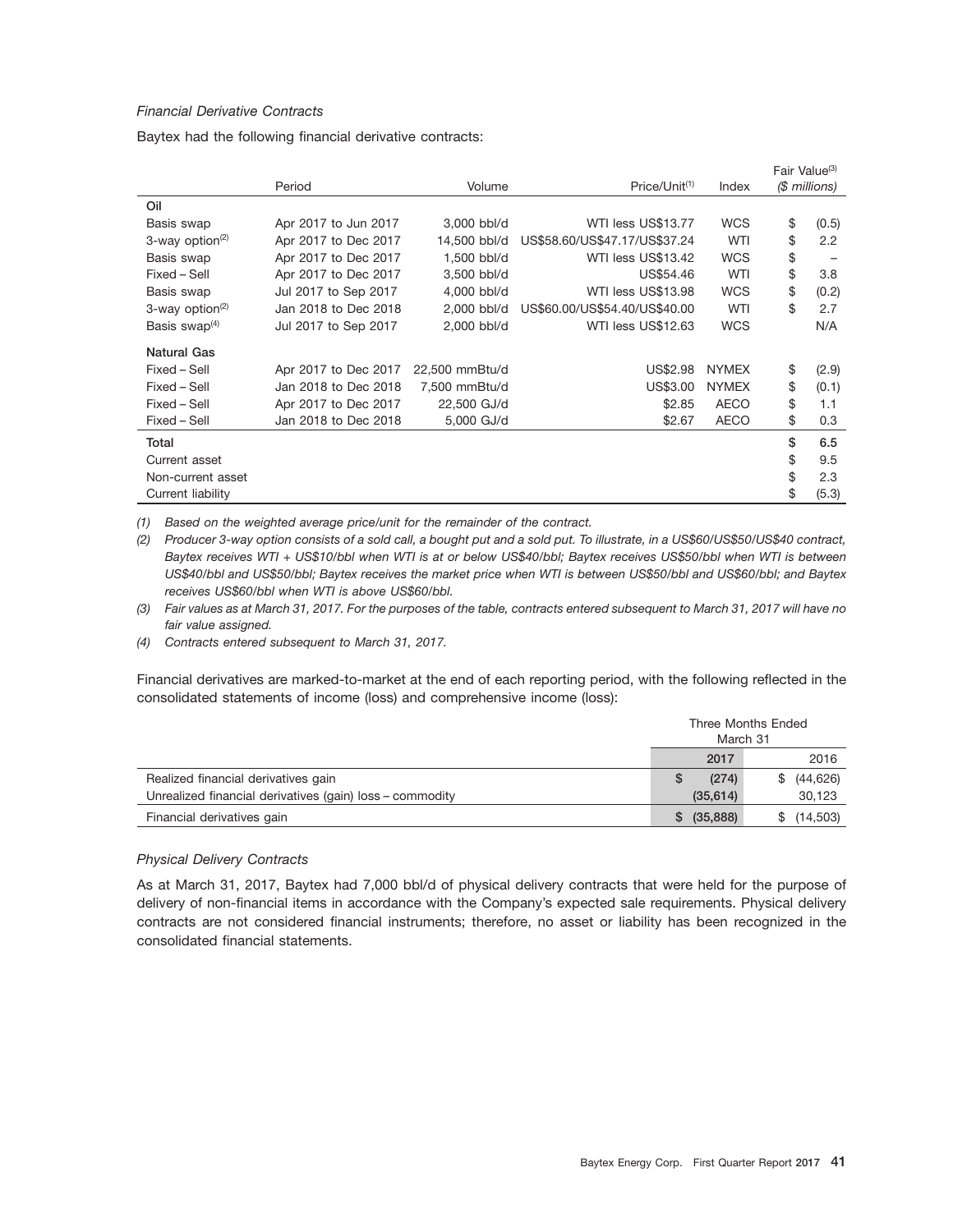#### *Financial Derivative Contracts*

Baytex had the following financial derivative contracts:

|                                |                      |                |                               |              | Fair Value <sup>(3)</sup> |
|--------------------------------|----------------------|----------------|-------------------------------|--------------|---------------------------|
|                                | Period               | Volume         | Price/Unit <sup>(1)</sup>     | Index        | (\$ millions)             |
| Oil                            |                      |                |                               |              |                           |
| Basis swap                     | Apr 2017 to Jun 2017 | 3,000 bbl/d    | WTI less US\$13.77            | <b>WCS</b>   | \$<br>(0.5)               |
| $3$ -way option <sup>(2)</sup> | Apr 2017 to Dec 2017 | 14,500 bbl/d   | US\$58.60/US\$47.17/US\$37.24 | <b>WTI</b>   | \$<br>2.2                 |
| Basis swap                     | Apr 2017 to Dec 2017 | 1,500 bbl/d    | WTI less US\$13.42            | <b>WCS</b>   | \$                        |
| Fixed - Sell                   | Apr 2017 to Dec 2017 | 3,500 bbl/d    | US\$54.46                     | WTI          | \$<br>3.8                 |
| Basis swap                     | Jul 2017 to Sep 2017 | 4,000 bbl/d    | WTI less US\$13.98            | <b>WCS</b>   | \$<br>(0.2)               |
| $3$ -way option <sup>(2)</sup> | Jan 2018 to Dec 2018 | 2.000 bbl/d    | US\$60.00/US\$54.40/US\$40.00 | WTI          | \$<br>2.7                 |
| Basis swap $(4)$               | Jul 2017 to Sep 2017 | 2,000 bbl/d    | WTI less US\$12.63            | <b>WCS</b>   | N/A                       |
| Natural Gas                    |                      |                |                               |              |                           |
| Fixed - Sell                   | Apr 2017 to Dec 2017 | 22,500 mmBtu/d | US\$2.98                      | <b>NYMEX</b> | \$<br>(2.9)               |
| Fixed - Sell                   | Jan 2018 to Dec 2018 | 7,500 mmBtu/d  | US\$3.00                      | <b>NYMEX</b> | \$<br>(0.1)               |
| Fixed - Sell                   | Apr 2017 to Dec 2017 | 22,500 GJ/d    | \$2.85                        | <b>AECO</b>  | \$<br>1.1                 |
| Fixed - Sell                   | Jan 2018 to Dec 2018 | 5,000 GJ/d     | \$2.67                        | <b>AECO</b>  | \$<br>0.3                 |
| Total                          |                      |                |                               |              | \$<br>6.5                 |
| Current asset                  |                      |                |                               |              | \$<br>9.5                 |
| Non-current asset              |                      |                |                               |              | \$<br>2.3                 |
| Current liability              |                      |                |                               |              | \$<br>(5.3)               |

*(1) Based on the weighted average price/unit for the remainder of the contract.*

*(2) Producer 3-way option consists of a sold call, a bought put and a sold put. To illustrate, in a US\$60/US\$50/US\$40 contract, Baytex receives WTI + US\$10/bbl when WTI is at or below US\$40/bbl; Baytex receives US\$50/bbl when WTI is between US\$40/bbl and US\$50/bbl; Baytex receives the market price when WTI is between US\$50/bbl and US\$60/bbl; and Baytex receives US\$60/bbl when WTI is above US\$60/bbl.*

*(3) Fair values as at March 31, 2017. For the purposes of the table, contracts entered subsequent to March 31, 2017 will have no fair value assigned.*

*(4) Contracts entered subsequent to March 31, 2017.*

Financial derivatives are marked-to-market at the end of each reporting period, with the following reflected in the consolidated statements of income (loss) and comprehensive income (loss):

|                                                          | Three Months Ended<br>March 31 |           |  |           |
|----------------------------------------------------------|--------------------------------|-----------|--|-----------|
|                                                          |                                | 2017      |  | 2016      |
| Realized financial derivatives gain                      |                                | (274)     |  | (44, 626) |
| Unrealized financial derivatives (gain) loss - commodity |                                | (35, 614) |  | 30,123    |
| Financial derivatives gain                               |                                | (35, 888) |  | (14,503)  |

#### *Physical Delivery Contracts*

As at March 31, 2017, Baytex had 7,000 bbl/d of physical delivery contracts that were held for the purpose of delivery of non-financial items in accordance with the Company's expected sale requirements. Physical delivery contracts are not considered financial instruments; therefore, no asset or liability has been recognized in the consolidated financial statements.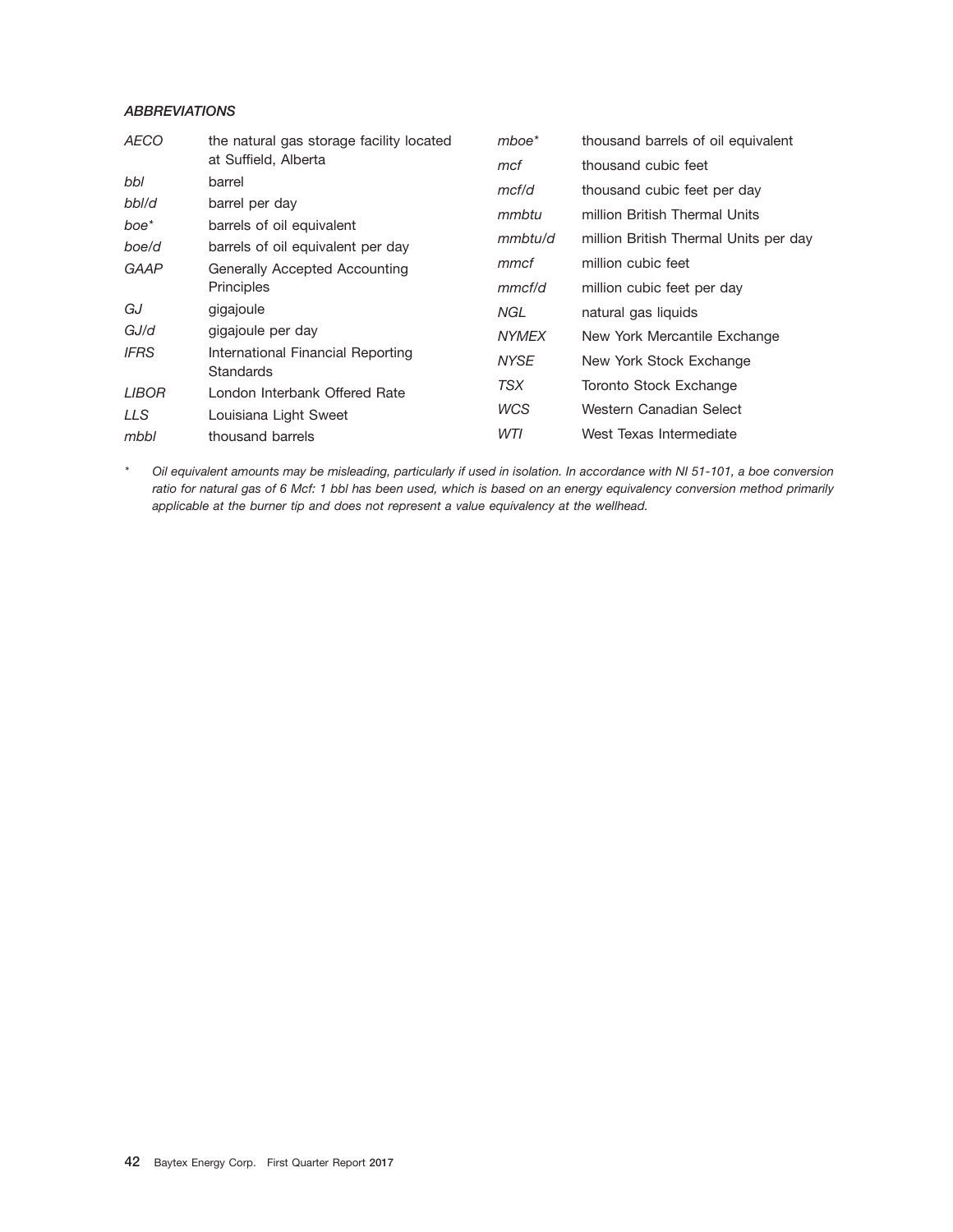### *ABBREVIATIONS*

| <b>AECO</b>  | the natural gas storage facility located              | $m$ boe $*$  | thousand barrels of oil equivalent    |
|--------------|-------------------------------------------------------|--------------|---------------------------------------|
|              | at Suffield, Alberta                                  | mcf          | thousand cubic feet                   |
| bbl          | barrel                                                | mcf/d        | thousand cubic feet per day           |
| bbl/d        | barrel per day                                        | mmbtu        | million British Thermal Units         |
| boe*         | barrels of oil equivalent                             |              |                                       |
| boe/d        | barrels of oil equivalent per day                     | mmbtu/d      | million British Thermal Units per day |
| GAAP         | Generally Accepted Accounting                         | mmcf         | million cubic feet                    |
|              | Principles                                            | mmcf/d       | million cubic feet per day            |
| GJ           | gigajoule                                             | NGL          | natural gas liquids                   |
| GJ/d         | gigajoule per day                                     | <b>NYMEX</b> | New York Mercantile Exchange          |
| <b>IFRS</b>  | International Financial Reporting<br><b>Standards</b> | <b>NYSE</b>  | New York Stock Exchange               |
| <b>LIBOR</b> | London Interbank Offered Rate                         | TSX          | Toronto Stock Exchange                |
| LLS          | Louisiana Light Sweet                                 | <b>WCS</b>   | Western Canadian Select               |
| mbbl         | thousand barrels                                      | WTI          | West Texas Intermediate               |
|              |                                                       |              |                                       |

*\* Oil equivalent amounts may be misleading, particularly if used in isolation. In accordance with NI 51-101, a boe conversion ratio for natural gas of 6 Mcf: 1 bbl has been used, which is based on an energy equivalency conversion method primarily applicable at the burner tip and does not represent a value equivalency at the wellhead.*